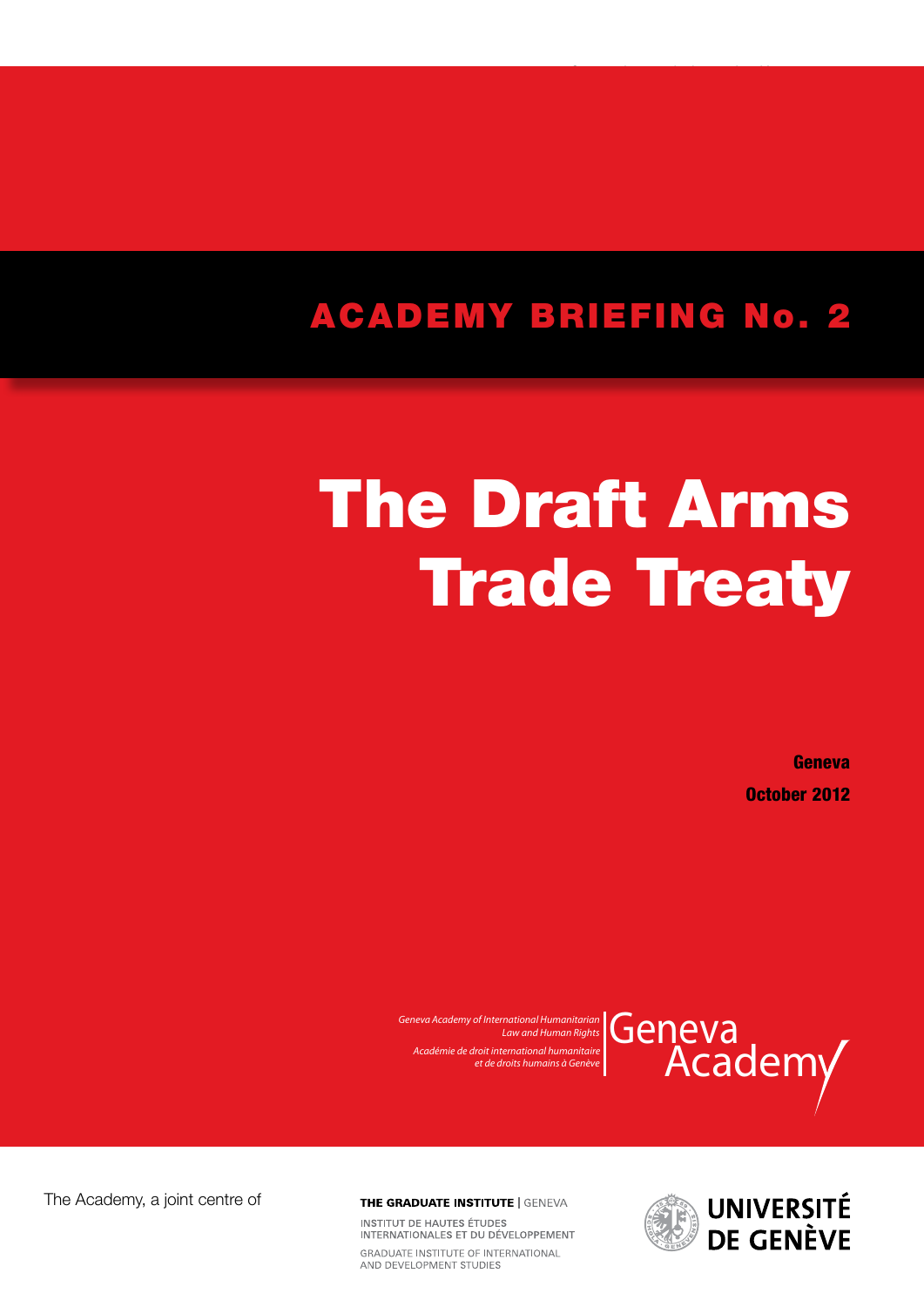## ACADEMY BRIEFING No. 2

# The Draft Arms **Trade Treaty**

Geneva October 2012



*Geneva Academy of International Humanitarian Law and Human Rights Académie de droit international humanitaire et de droits humains à Genève*



**THE GRADUATE INSTITUTE | GENEVA** 

INSTITUTIDE HAUTES ÉTUDES INTERNATIONALES ET DU DÉVELOPPEMENT GRADUATE INSTITUTE OF INTERNATIONAL AND DEVELOPMENT STUDIES

The Academy, a joint centre of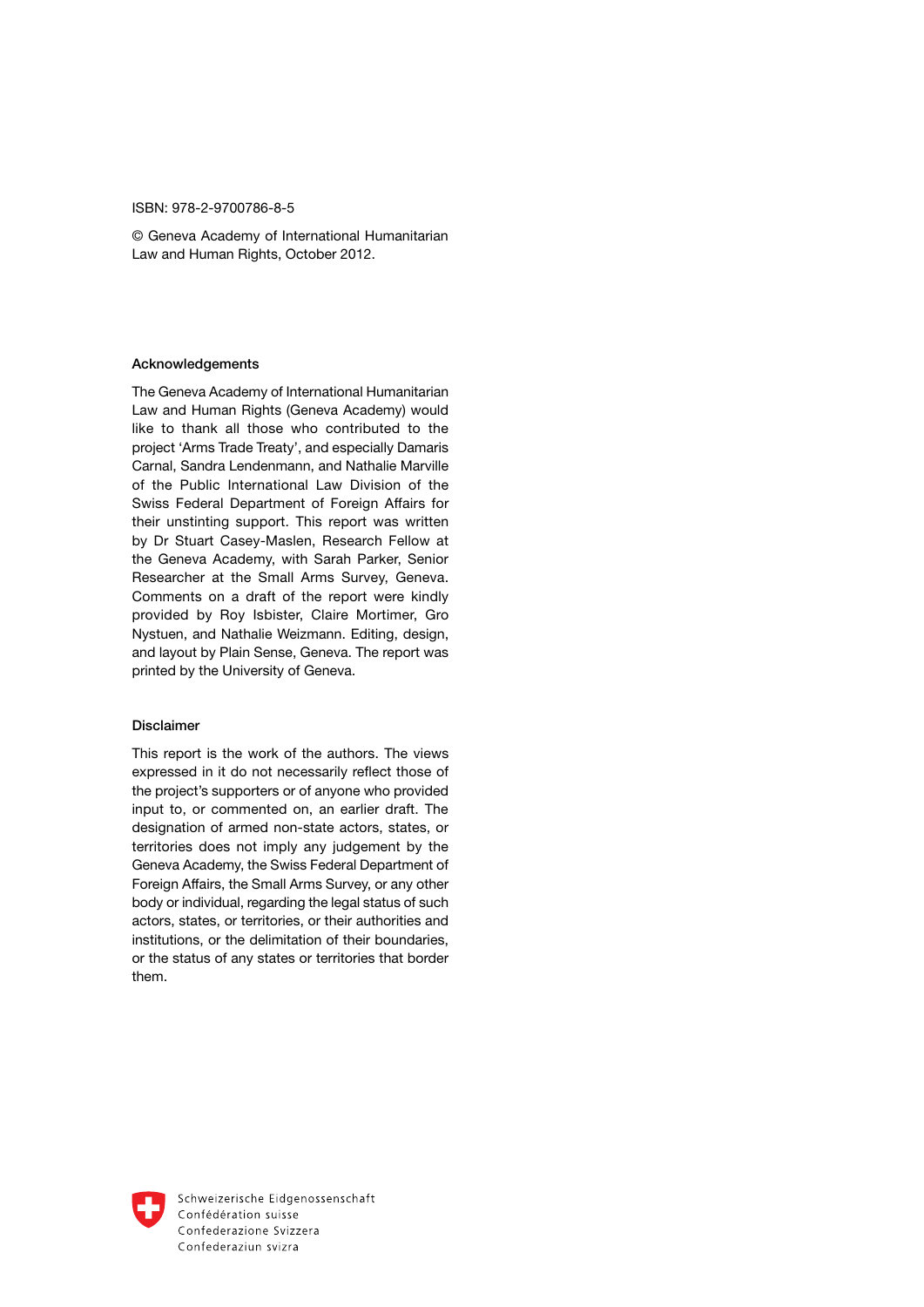#### ISBN: 978-2-9700786-8-5

© Geneva Academy of International Humanitarian Law and Human Rights, October 2012.

#### Acknowledgements

The Geneva Academy of International Humanitarian Law and Human Rights (Geneva Academy) would like to thank all those who contributed to the project 'Arms Trade Treaty', and especially Damaris Carnal, Sandra Lendenmann, and Nathalie Marville of the Public International Law Division of the Swiss Federal Department of Foreign Affairs for their unstinting support. This report was written by Dr Stuart Casey-Maslen, Research Fellow at the Geneva Academy, with Sarah Parker, Senior Researcher at the Small Arms Survey, Geneva. Comments on a draft of the report were kindly provided by Roy Isbister, Claire Mortimer, Gro Nystuen, and Nathalie Weizmann. Editing, design, and layout by Plain Sense, Geneva. The report was printed by the University of Geneva.

#### Disclaimer

This report is the work of the authors. The views expressed in it do not necessarily reflect those of the project's supporters or of anyone who provided input to, or commented on, an earlier draft. The designation of armed non-state actors, states, or territories does not imply any judgement by the Geneva Academy, the Swiss Federal Department of Foreign Affairs, the Small Arms Survey, or any other body or individual, regarding the legal status of such actors, states, or territories, or their authorities and institutions, or the delimitation of their boundaries, or the status of any states or territories that border them.



Schweizerische Eidgenossenschaft Confédération suisse Confederazione Svizzera Confederaziun svizra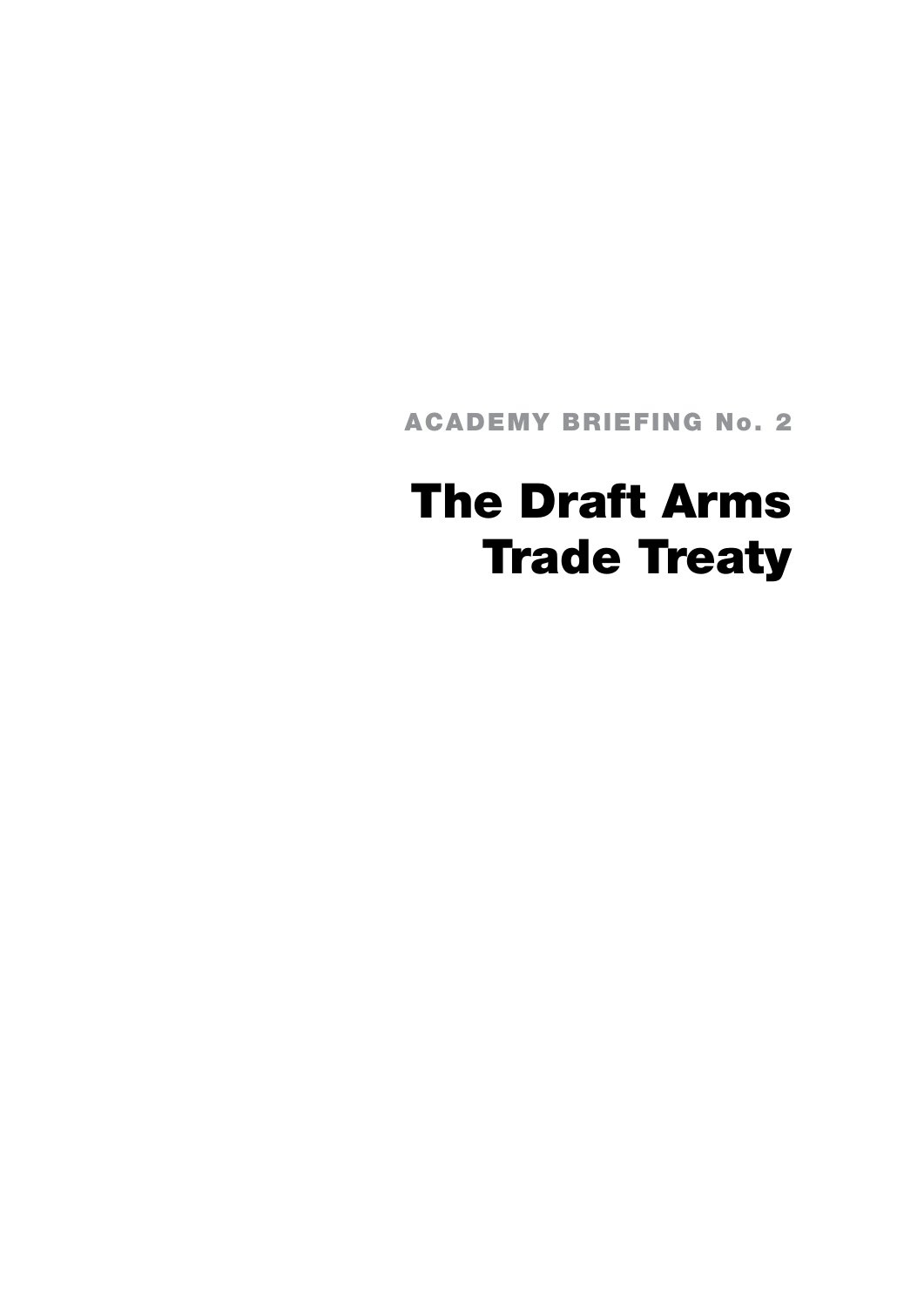ACADEMY BRIEFING No. 2

# The Draft Arms Trade Treaty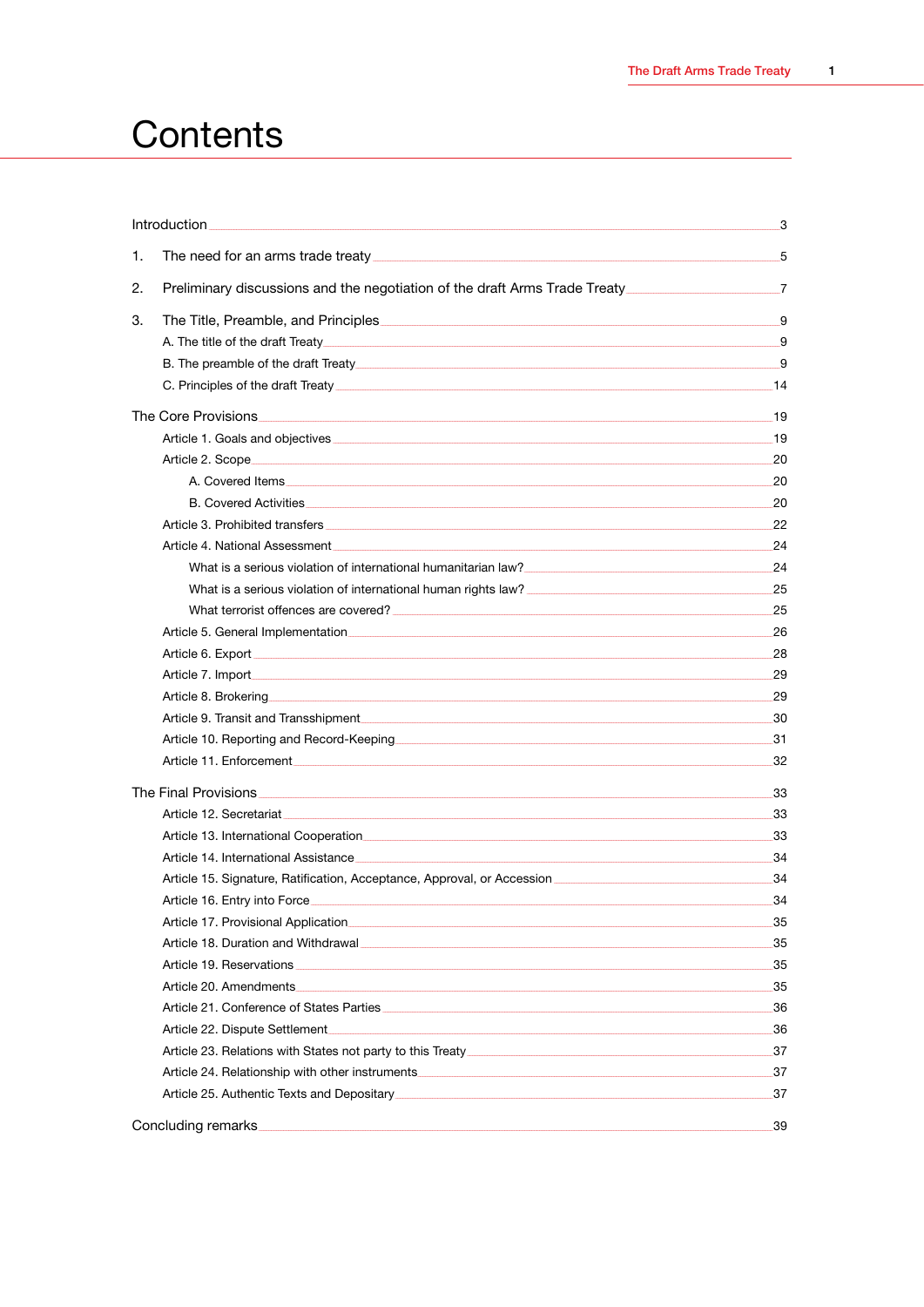## Contents

|    | Introduction                                                                                                                                                                                                                        | 3   |
|----|-------------------------------------------------------------------------------------------------------------------------------------------------------------------------------------------------------------------------------------|-----|
| 1. |                                                                                                                                                                                                                                     | 5   |
| 2. | Preliminary discussions and the negotiation of the draft Arms Trade Treaty___________________________________7                                                                                                                      |     |
| 3. |                                                                                                                                                                                                                                     | 9   |
|    |                                                                                                                                                                                                                                     | 9   |
|    |                                                                                                                                                                                                                                     | 9   |
|    |                                                                                                                                                                                                                                     |     |
|    |                                                                                                                                                                                                                                     | 19  |
|    |                                                                                                                                                                                                                                     |     |
|    |                                                                                                                                                                                                                                     | 20  |
|    |                                                                                                                                                                                                                                     | 20  |
|    | B. Covered Activities 20 network and the contract of the contract of the contract of the contract of the contract of the contract of the contract of the contract of the contract of the contract of the contract of the contr      |     |
|    |                                                                                                                                                                                                                                     | 22  |
|    |                                                                                                                                                                                                                                     | 24  |
|    | What is a serious violation of international humanitarian law?<br>24                                                                                                                                                                |     |
|    | What is a serious violation of international human rights law? [14] Maximum manuscular 25                                                                                                                                           |     |
|    |                                                                                                                                                                                                                                     | 25  |
|    |                                                                                                                                                                                                                                     |     |
|    |                                                                                                                                                                                                                                     | 28  |
|    | Article 7. Import 29 29                                                                                                                                                                                                             |     |
|    |                                                                                                                                                                                                                                     | 29  |
|    | Article 9. Transit and Transshipment 2000 and the context of the state of the state of the state of the state o                                                                                                                     |     |
|    | Article 10. Reporting and Record-Keeping <b>Construction and Construction</b> and 31                                                                                                                                                |     |
|    |                                                                                                                                                                                                                                     | 32  |
|    |                                                                                                                                                                                                                                     | 33  |
|    |                                                                                                                                                                                                                                     |     |
|    | Article 13. International Cooperation<br>entity and the contract of the contract of the contract of the contract of the contract of the contract of th                                                                              | 33  |
|    |                                                                                                                                                                                                                                     | -34 |
|    |                                                                                                                                                                                                                                     |     |
|    | Article 16. Entry into Force <b>Example 2006</b> Article 16. Article 16. Entry in the control of the control of the control of the control of the control of the control of the control of the control of the control of the contro | 34  |
|    |                                                                                                                                                                                                                                     | 35  |
|    |                                                                                                                                                                                                                                     | 35  |
|    |                                                                                                                                                                                                                                     | 35  |
|    |                                                                                                                                                                                                                                     |     |
|    |                                                                                                                                                                                                                                     | 36  |
|    |                                                                                                                                                                                                                                     | -36 |
|    | Article 23. Relations with States not party to this Treaty [2012] Marticle 23. Relations with States not party to this Treaty [2012] Marticle 23. Relations with States not party to this Treaty [2012] Marticle 23.                |     |
|    |                                                                                                                                                                                                                                     | 37  |
|    | Article 25. Authentic Texts and Depositary [2007] The Contract of the Case of Article 25. Authentic Texts and Depositary [2007] The Contract of the Contract of the Contract of the Contract of the Contract of the Contract o      | 37  |
|    | Concluding remarks                                                                                                                                                                                                                  | 39  |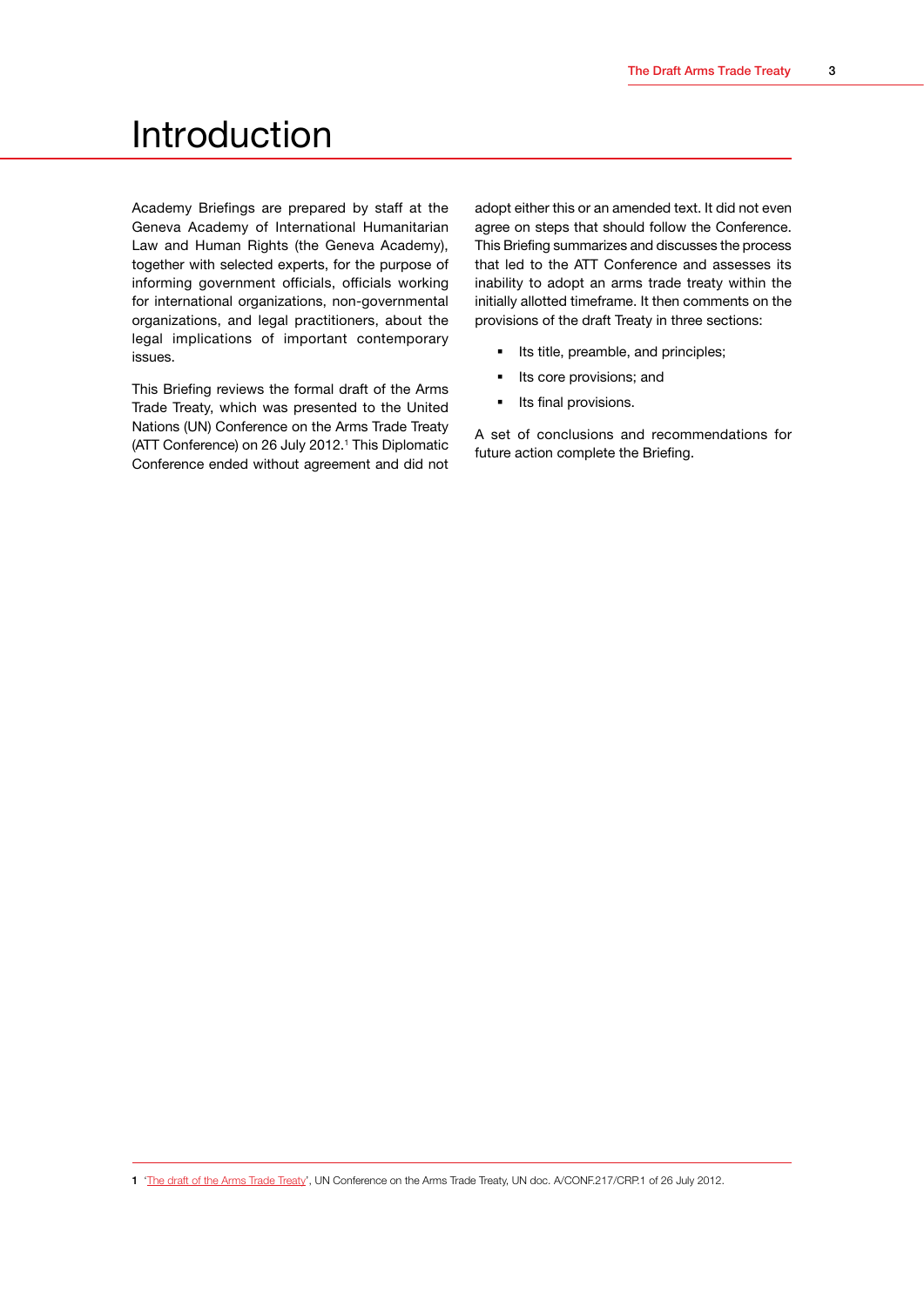## <span id="page-5-0"></span>Introduction

Academy Briefings are prepared by staff at the Geneva Academy of International Humanitarian Law and Human Rights (the Geneva Academy), together with selected experts, for the purpose of informing government officials, officials working for international organizations, non-governmental organizations, and legal practitioners, about the legal implications of important contemporary issues.

This Briefing reviews the formal draft of the Arms Trade Treaty, which was presented to the United Nations (UN) Conference on the Arms Trade Treaty (ATT Conference) on 26 July 2012.<sup>1</sup> This Diplomatic Conference ended without agreement and did not adopt either this or an amended text. It did not even agree on steps that should follow the Conference. This Briefing summarizes and discusses the process that led to the ATT Conference and assesses its inability to adopt an arms trade treaty within the initially allotted timeframe. It then comments on the provisions of the draft Treaty in three sections:

- Its title, preamble, and principles;
- **Its core provisions; and**
- Its final provisions.

A set of conclusions and recommendations for future action complete the Briefing.

1 '[The draft of the Arms Trade Treaty](http://www.geneva-academy.ch/RULAC/pdf/Comprehensive-Draft-Arms-Trade-Treaty-of-26-July-2012.pdf)', UN Conference on the Arms Trade Treaty, UN doc. A/CONF.217/CRP.1 of 26 July 2012.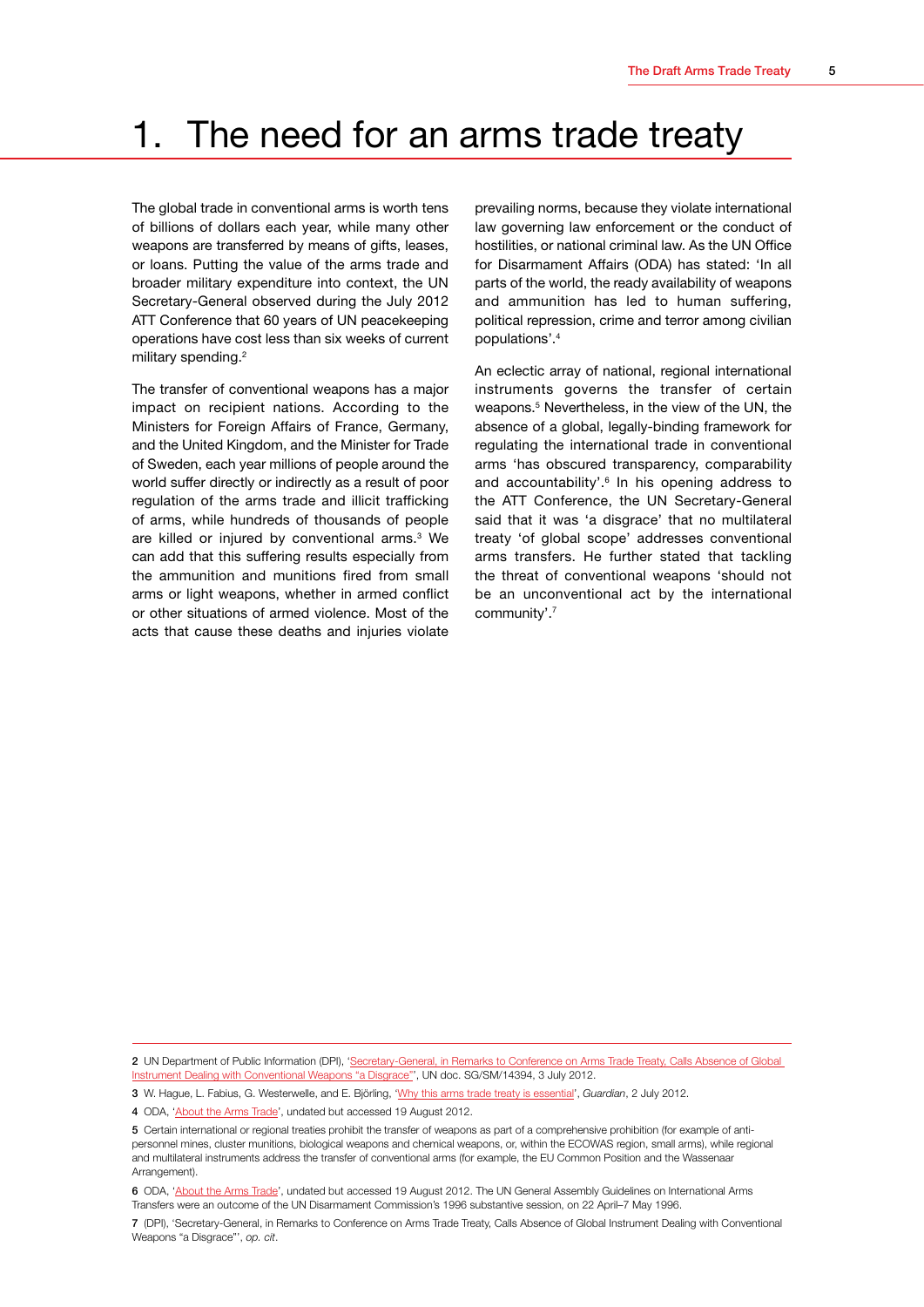## <span id="page-7-0"></span>1. The need for an arms trade treaty

The global trade in conventional arms is worth tens of billions of dollars each year, while many other weapons are transferred by means of gifts, leases, or loans. Putting the value of the arms trade and broader military expenditure into context, the UN Secretary-General observed during the July 2012 ATT Conference that 60 years of UN peacekeeping operations have cost less than six weeks of current military spending.<sup>2</sup>

The transfer of conventional weapons has a major impact on recipient nations. According to the Ministers for Foreign Affairs of France, Germany, and the United Kingdom, and the Minister for Trade of Sweden, each year millions of people around the world suffer directly or indirectly as a result of poor regulation of the arms trade and illicit trafficking of arms, while hundreds of thousands of people are killed or injured by conventional arms.<sup>3</sup> We can add that this suffering results especially from the ammunition and munitions fired from small arms or light weapons, whether in armed conflict or other situations of armed violence. Most of the acts that cause these deaths and injuries violate

prevailing norms, because they violate international law governing law enforcement or the conduct of hostilities, or national criminal law. As the UN Office for Disarmament Affairs (ODA) has stated: 'In all parts of the world, the ready availability of weapons and ammunition has led to human suffering, political repression, crime and terror among civilian populations'.4

An eclectic array of national, regional international instruments governs the transfer of certain weapons.<sup>5</sup> Nevertheless, in the view of the UN, the absence of a global, legally-binding framework for regulating the international trade in conventional arms 'has obscured transparency, comparability and accountability'. 6 In his opening address to the ATT Conference, the UN Secretary-General said that it was 'a disgrace' that no multilateral treaty 'of global scope' addresses conventional arms transfers. He further stated that tackling the threat of conventional weapons 'should not be an unconventional act by the international community'.7

<sup>2</sup> UN Department of Public Information (DPI), 'Secretary-General, in Remarks to Conference on Arms Trade Treaty, Calls Absence of Global [Instrument Dealing with Conventional Weapons "a Disgrace"](http://www.un.org/News/Press/docs/2012/sgsm14394.doc.htm)', UN doc. SG/SM/14394, 3 July 2012.

<sup>3</sup> W. Hague, L. Fabius, G. Westerwelle, and E. Björling, ['Why this arms trade treaty is essential'](http://www.guardian.co.uk/commentisfree/2012/jul/02/arms-trade-treaty-un-talks-weapons), *Guardian*, 2 July 2012.

<sup>4</sup> ODA, ['About the Arms Trade](http://www.un.org/disarmament/convarms/ArmsTrade/)', undated but accessed 19 August 2012.

<sup>5</sup> Certain international or regional treaties prohibit the transfer of weapons as part of a comprehensive prohibition (for example of antipersonnel mines, cluster munitions, biological weapons and chemical weapons, or, within the ECOWAS region, small arms), while regional and multilateral instruments address the transfer of conventional arms (for example, the EU Common Position and the Wassenaar Arrangement).

<sup>6</sup> ODA, ['About the Arms Trade](http://www.un.org/disarmament/convarms/ArmsTrade/)', undated but accessed 19 August 2012. The UN General Assembly Guidelines on International Arms Transfers were an outcome of the UN Disarmament Commission's 1996 substantive session, on 22 April–7 May 1996.

<sup>7</sup> (DPI), 'Secretary-General, in Remarks to Conference on Arms Trade Treaty, Calls Absence of Global Instrument Dealing with Conventional Weapons "a Disgrace"', *op. cit*.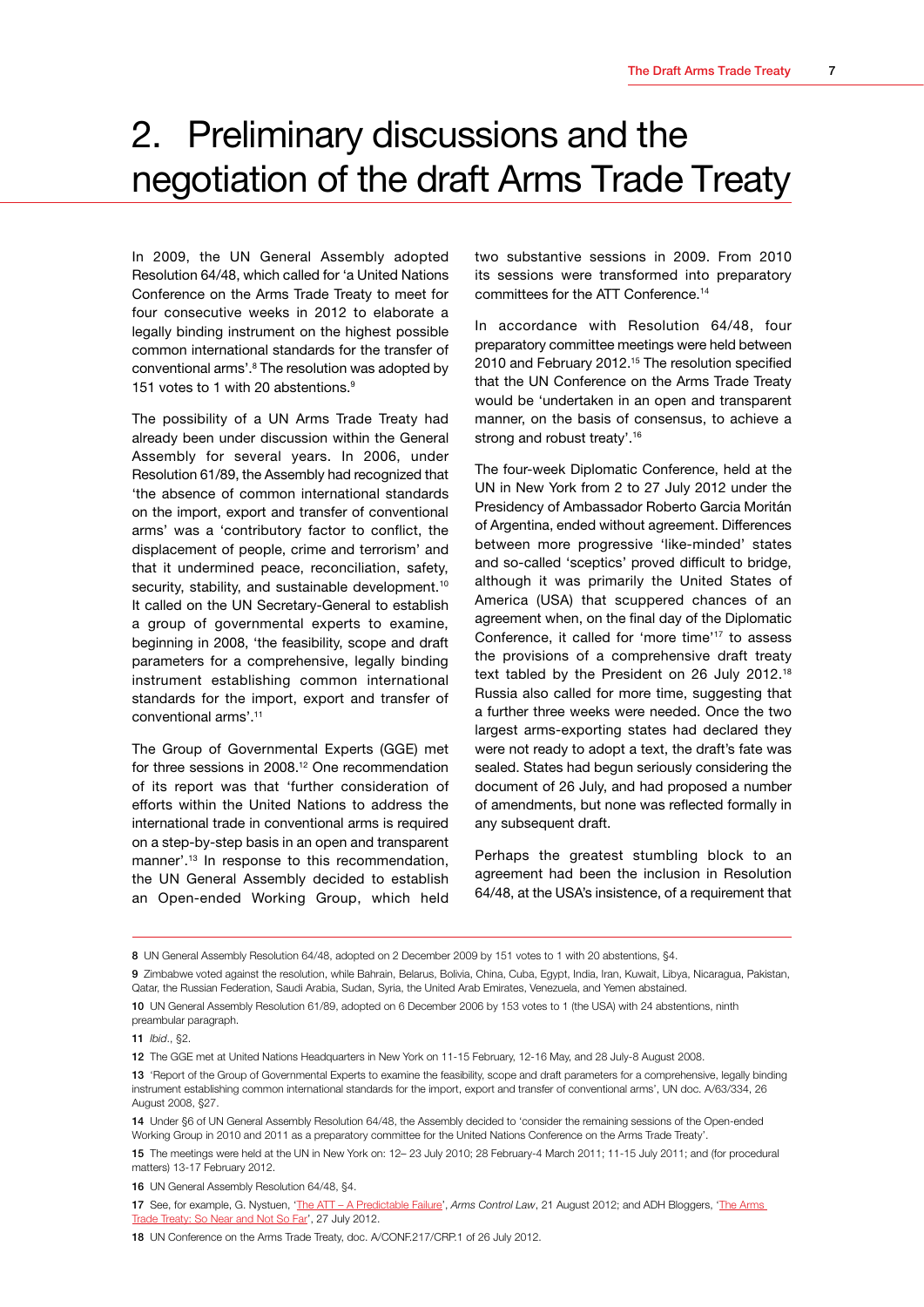## <span id="page-9-0"></span>2. Preliminary discussions and the negotiation of the draft Arms Trade Treaty

In 2009, the UN General Assembly adopted Resolution 64/48, which called for 'a United Nations Conference on the Arms Trade Treaty to meet for four consecutive weeks in 2012 to elaborate a legally binding instrument on the highest possible common international standards for the transfer of conventional arms'.<sup>8</sup> The resolution was adopted by 151 votes to 1 with 20 abstentions.<sup>9</sup>

The possibility of a UN Arms Trade Treaty had already been under discussion within the General Assembly for several years. In 2006, under Resolution 61/89, the Assembly had recognized that 'the absence of common international standards on the import, export and transfer of conventional arms' was a 'contributory factor to conflict, the displacement of people, crime and terrorism' and that it undermined peace, reconciliation, safety, security, stability, and sustainable development.<sup>10</sup> It called on the UN Secretary-General to establish a group of governmental experts to examine, beginning in 2008, 'the feasibility, scope and draft parameters for a comprehensive, legally binding instrument establishing common international standards for the import, export and transfer of conventional arms'.11

The Group of Governmental Experts (GGE) met for three sessions in 2008.12 One recommendation of its report was that 'further consideration of efforts within the United Nations to address the international trade in conventional arms is required on a step-by-step basis in an open and transparent manner'.13 In response to this recommendation, the UN General Assembly decided to establish an Open-ended Working Group, which held

two substantive sessions in 2009. From 2010 its sessions were transformed into preparatory committees for the ATT Conference.14

In accordance with Resolution 64/48, four preparatory committee meetings were held between 2010 and February 2012.15 The resolution specified that the UN Conference on the Arms Trade Treaty would be 'undertaken in an open and transparent manner, on the basis of consensus, to achieve a strong and robust treaty'.<sup>16</sup>

The four-week Diplomatic Conference, held at the UN in New York from 2 to 27 July 2012 under the Presidency of Ambassador Roberto Garcia Moritán of Argentina, ended without agreement. Differences between more progressive 'like-minded' states and so-called 'sceptics' proved difficult to bridge, although it was primarily the United States of America (USA) that scuppered chances of an agreement when, on the final day of the Diplomatic Conference, it called for 'more time'17 to assess the provisions of a comprehensive draft treaty text tabled by the President on 26 July 2012.18 Russia also called for more time, suggesting that a further three weeks were needed. Once the two largest arms-exporting states had declared they were not ready to adopt a text, the draft's fate was sealed. States had begun seriously considering the document of 26 July, and had proposed a number of amendments, but none was reflected formally in any subsequent draft.

Perhaps the greatest stumbling block to an agreement had been the inclusion in Resolution 64/48, at the USA's insistence, of a requirement that

16 UN General Assembly Resolution 64/48, §4.

17 See, for example, G. Nystuen, ['The ATT – A Predictable Failure'](http://armscontrollaw.com/2012/08/21/the-att-a-predictable-failure/), *Arms Control Law*, 21 August 2012; and ADH Bloggers, '[The Arms](http://www.armstradetreaty.blogspot.fr/)  [Trade Treaty: So Near and Not So Far](http://www.armstradetreaty.blogspot.fr/)', 27 July 2012.

18 UN Conference on the Arms Trade Treaty, doc. A/CONF.217/CRP.1 of 26 July 2012.

<sup>8</sup> UN General Assembly Resolution 64/48, adopted on 2 December 2009 by 151 votes to 1 with 20 abstentions, \$4.

<sup>9</sup> Zimbabwe voted against the resolution, while Bahrain, Belarus, Bolivia, China, Cuba, Egypt, India, Iran, Kuwait, Libya, Nicaragua, Pakistan, Qatar, the Russian Federation, Saudi Arabia, Sudan, Syria, the United Arab Emirates, Venezuela, and Yemen abstained.

<sup>10</sup> UN General Assembly Resolution 61/89, adopted on 6 December 2006 by 153 votes to 1 (the USA) with 24 abstentions, ninth preambular paragraph.

<sup>11</sup> *Ibid*., §2.

<sup>12</sup> The GGE met at United Nations Headquarters in New York on 11-15 February, 12-16 May, and 28 July-8 August 2008.

<sup>13 &#</sup>x27;Report of the Group of Governmental Experts to examine the feasibility, scope and draft parameters for a comprehensive, legally binding instrument establishing common international standards for the import, export and transfer of conventional arms', UN doc. A/63/334, 26 August 2008, §27.

<sup>14</sup> Under §6 of UN General Assembly Resolution 64/48, the Assembly decided to 'consider the remaining sessions of the Open-ended Working Group in 2010 and 2011 as a preparatory committee for the United Nations Conference on the Arms Trade Treaty'.

<sup>15</sup> The meetings were held at the UN in New York on: 12– 23 July 2010; 28 February-4 March 2011; 11-15 July 2011; and (for procedural matters) 13-17 February 2012.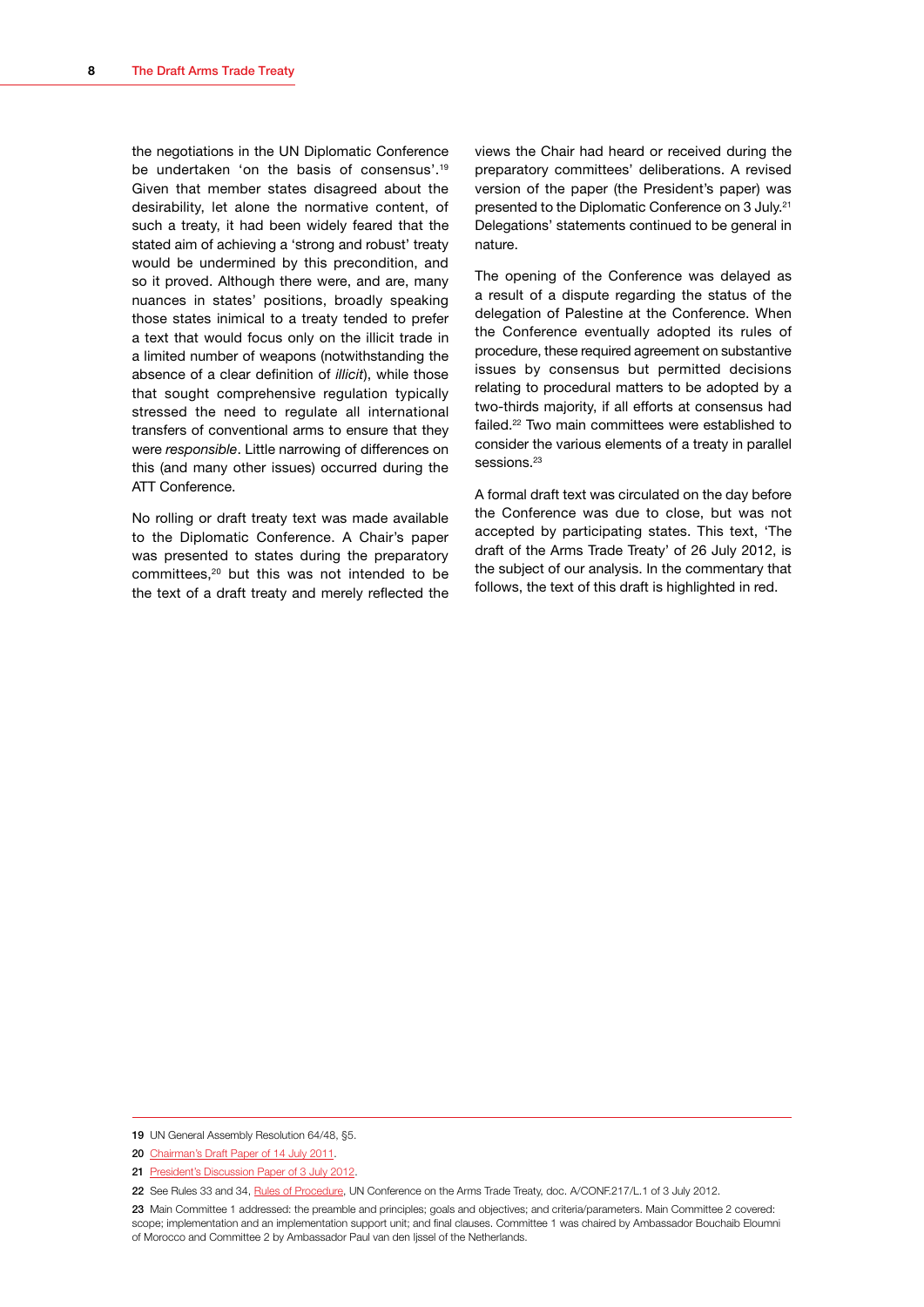the negotiations in the UN Diplomatic Conference be undertaken 'on the basis of consensus'.<sup>19</sup> Given that member states disagreed about the desirability, let alone the normative content, of such a treaty, it had been widely feared that the stated aim of achieving a 'strong and robust' treaty would be undermined by this precondition, and so it proved. Although there were, and are, many nuances in states' positions, broadly speaking those states inimical to a treaty tended to prefer a text that would focus only on the illicit trade in a limited number of weapons (notwithstanding the absence of a clear definition of *illicit*), while those that sought comprehensive regulation typically stressed the need to regulate all international transfers of conventional arms to ensure that they were *responsible*. Little narrowing of differences on this (and many other issues) occurred during the ATT Conference.

No rolling or draft treaty text was made available to the Diplomatic Conference. A Chair's paper was presented to states during the preparatory committees,<sup>20</sup> but this was not intended to be the text of a draft treaty and merely reflected the

views the Chair had heard or received during the preparatory committees' deliberations. A revised version of the paper (the President's paper) was presented to the Diplomatic Conference on 3 July.21 Delegations' statements continued to be general in nature.

The opening of the Conference was delayed as a result of a dispute regarding the status of the delegation of Palestine at the Conference. When the Conference eventually adopted its rules of procedure, these required agreement on substantive issues by consensus but permitted decisions relating to procedural matters to be adopted by a two-thirds majority, if all efforts at consensus had failed.22 Two main committees were established to consider the various elements of a treaty in parallel sessions.<sup>23</sup>

A formal draft text was circulated on the day before the Conference was due to close, but was not accepted by participating states. This text, 'The draft of the Arms Trade Treaty' of 26 July 2012, is the subject of our analysis. In the commentary that follows, the text of this draft is highlighted in red.

<sup>19</sup> UN General Assembly Resolution 64/48, §5.

<sup>20</sup> [Chairman's Draft Paper of 14 July 2011](http://www.geneva-academy.ch/RULAC/pdf/Chairman-Draft-ATT-blog.pdf).

<sup>21</sup> [President's Discussion Paper of 3 July 2012.](http://www.geneva-academy.ch/RULAC/pdf/President-s-Discussion-Paper-3-July-2012.pdf)

<sup>22</sup> See Rules 33 and 34, [Rules of Procedure](http://www.un.org/ga/search/view_doc.asp?symbol=A/CONF.217/L.1&Lang=E), UN Conference on the Arms Trade Treaty, doc. A/CONF.217/L.1 of 3 July 2012.

<sup>23</sup> Main Committee 1 addressed: the preamble and principles; goals and objectives; and criteria/parameters. Main Committee 2 covered: scope; implementation and an implementation support unit; and final clauses. Committee 1 was chaired by Ambassador Bouchaib Eloumni of Morocco and Committee 2 by Ambassador Paul van den Ijssel of the Netherlands.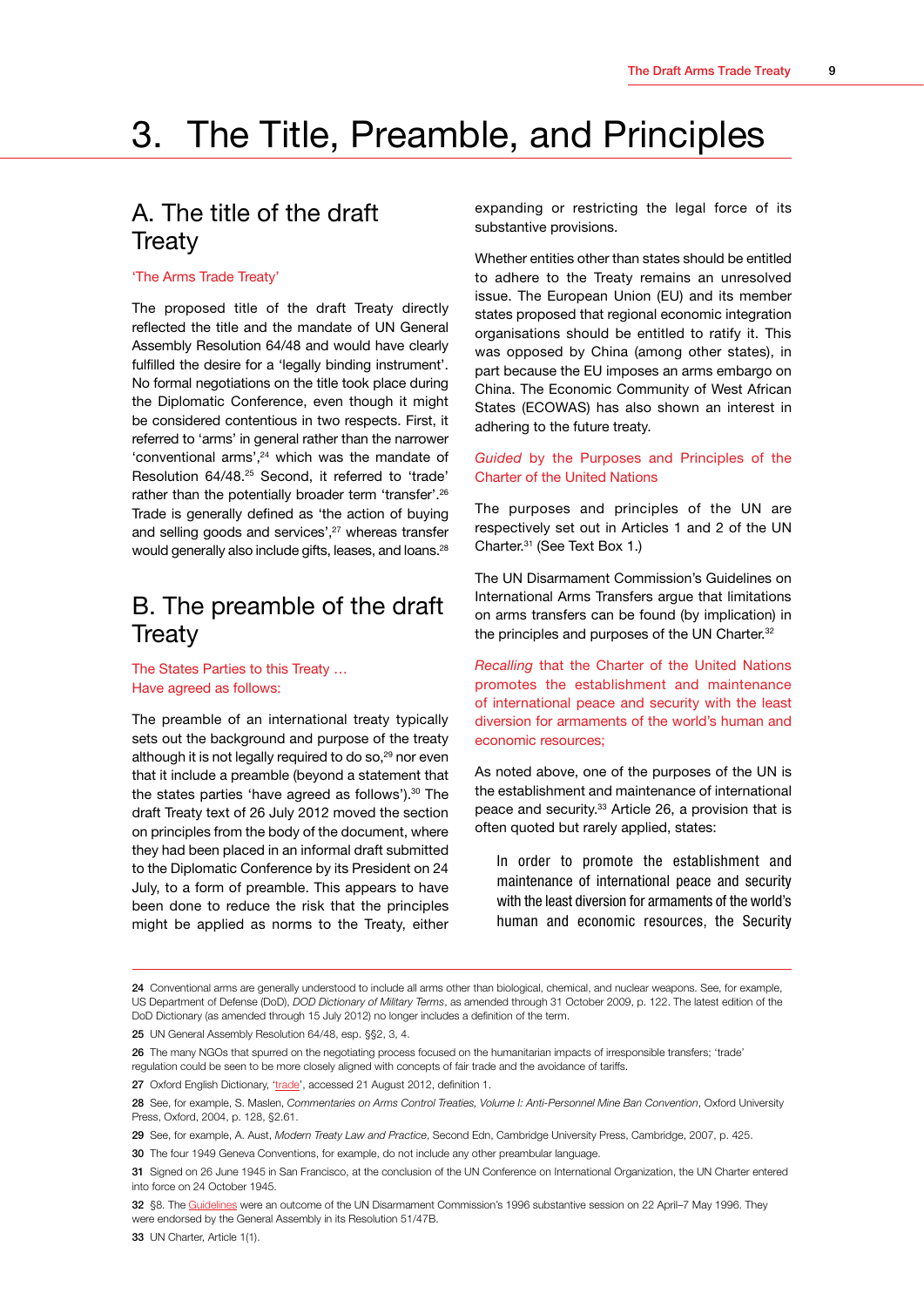## <span id="page-11-0"></span>3. The Title, Preamble, and Principles

## A. The title of the draft **Treaty**

#### 'The Arms Trade Treaty'

The proposed title of the draft Treaty directly reflected the title and the mandate of UN General Assembly Resolution 64/48 and would have clearly fulfilled the desire for a 'legally binding instrument'. No formal negotiations on the title took place during the Diplomatic Conference, even though it might be considered contentious in two respects. First, it referred to 'arms' in general rather than the narrower 'conventional arms',24 which was the mandate of Resolution 64/48.25 Second, it referred to 'trade' rather than the potentially broader term 'transfer'.<sup>26</sup> Trade is generally defined as 'the action of buying and selling goods and services',<sup>27</sup> whereas transfer would generally also include gifts, leases, and loans.<sup>28</sup>

## B. The preamble of the draft **Treaty**

The States Parties to this Treaty … Have agreed as follows:

The preamble of an international treaty typically sets out the background and purpose of the treaty although it is not legally required to do so,<sup>29</sup> nor even that it include a preamble (beyond a statement that the states parties 'have agreed as follows').<sup>30</sup> The draft Treaty text of 26 July 2012 moved the section on principles from the body of the document, where they had been placed in an informal draft submitted to the Diplomatic Conference by its President on 24 July, to a form of preamble. This appears to have been done to reduce the risk that the principles might be applied as norms to the Treaty, either

expanding or restricting the legal force of its substantive provisions.

Whether entities other than states should be entitled to adhere to the Treaty remains an unresolved issue. The European Union (EU) and its member states proposed that regional economic integration organisations should be entitled to ratify it. This was opposed by China (among other states), in part because the EU imposes an arms embargo on China. The Economic Community of West African States (ECOWAS) has also shown an interest in adhering to the future treaty.

#### *Guided* by the Purposes and Principles of the Charter of the United Nations

The purposes and principles of the UN are respectively set out in Articles 1 and 2 of the UN Charter.31 (See Text Box 1.)

The UN Disarmament Commission's Guidelines on International Arms Transfers argue that limitations on arms transfers can be found (by implication) in the principles and purposes of the UN Charter.<sup>32</sup>

*Recalling* that the Charter of the United Nations promotes the establishment and maintenance of international peace and security with the least diversion for armaments of the world's human and economic resources;

As noted above, one of the purposes of the UN is the establishment and maintenance of international peace and security.<sup>33</sup> Article 26, a provision that is often quoted but rarely applied, states:

In order to promote the establishment and maintenance of international peace and security with the least diversion for armaments of the world's human and economic resources, the Security

25 UN General Assembly Resolution 64/48, esp. §§2, 3, 4.

<sup>24</sup> Conventional arms are generally understood to include all arms other than biological, chemical, and nuclear weapons. See, for example, US Department of Defense (DoD), *DOD Dictionary of Military Terms*, as amended through 31 October 2009, p. 122. The latest edition of the DoD Dictionary (as amended through 15 July 2012) no longer includes a definition of the term.

<sup>26</sup> The many NGOs that spurred on the negotiating process focused on the humanitarian impacts of irresponsible transfers; 'trade' regulation could be seen to be more closely aligned with concepts of fair trade and the avoidance of tariffs.

<sup>27</sup> Oxford English Dictionary, ['trade](http://oxforddictionaries.com/definition/english/trade?q=trade)', accessed 21 August 2012, definition 1.

<sup>28</sup> See, for example, S. Maslen, *Commentaries on Arms Control Treaties, Volume I: Anti-Personnel Mine Ban Convention*, Oxford University Press, Oxford, 2004, p. 128, §2.61.

<sup>29</sup> See, for example, A. Aust, *Modern Treaty Law and Practice*, Second Edn, Cambridge University Press, Cambridge, 2007, p. 425.

<sup>30</sup> The four 1949 Geneva Conventions, for example, do not include any other preambular language.

<sup>31</sup> Signed on 26 June 1945 in San Francisco, at the conclusion of the UN Conference on International Organization, the UN Charter entered into force on 24 October 1945.

<sup>32</sup> §8. The [Guidelines](http://www.cfr.org/arms-trade/unga-guidelines-international-arms-transfers/p28082) were an outcome of the UN Disarmament Commission's 1996 substantive session on 22 April–7 May 1996. They were endorsed by the General Assembly in its Resolution 51/47B.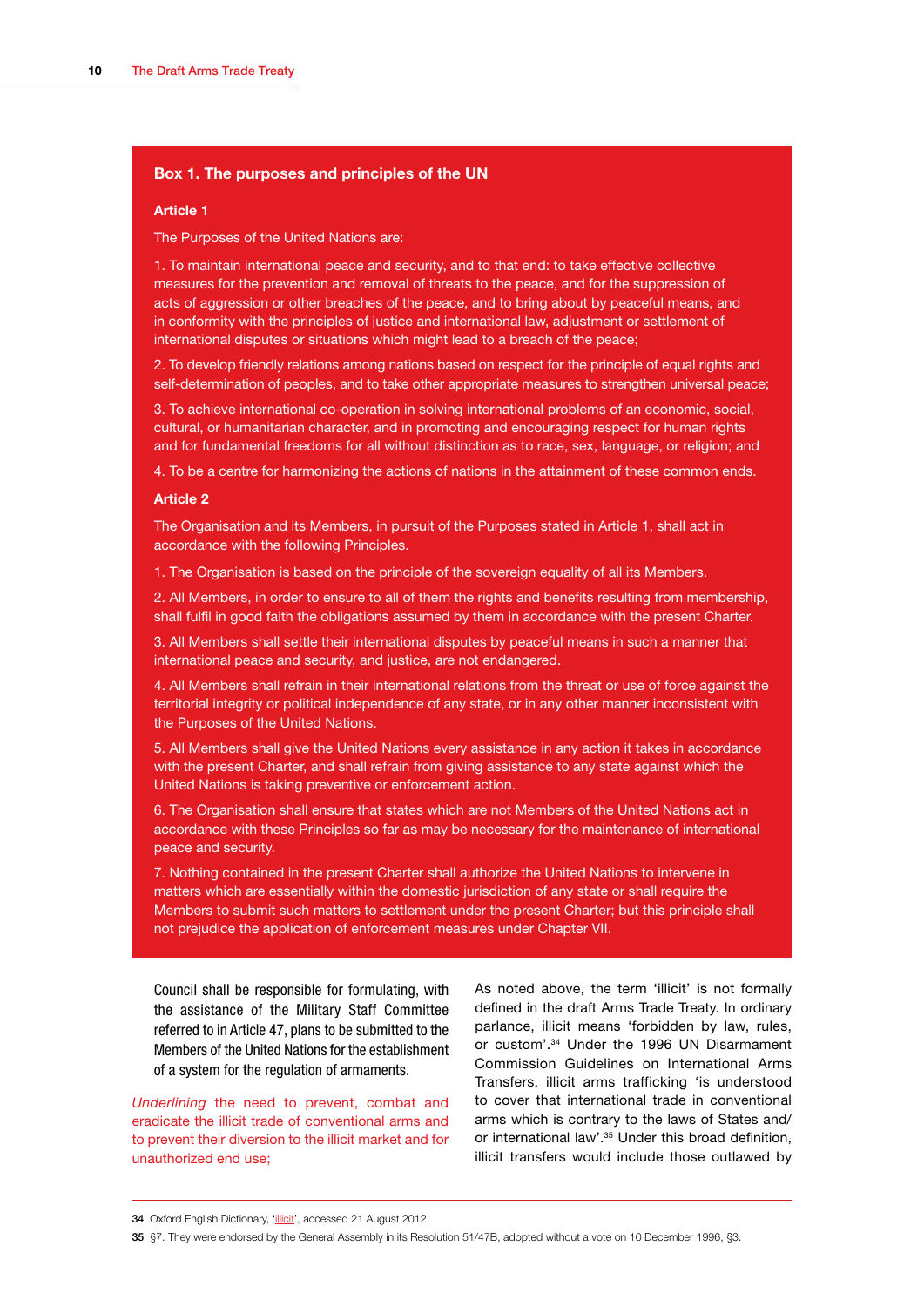#### **Box 1. The purposes and principles of the UN**

#### **Article 1**

The Purposes of the United Nations are:

1. To maintain international peace and security, and to that end: to take effective collective measures for the prevention and removal of threats to the peace, and for the suppression of acts of aggression or other breaches of the peace, and to bring about by peaceful means, and in conformity with the principles of justice and international law, adjustment or settlement of international disputes or situations which might lead to a breach of the peace;

2. To develop friendly relations among nations based on respect for the principle of equal rights and self-determination of peoples, and to take other appropriate measures to strengthen universal peace;

3. To achieve international co-operation in solving international problems of an economic, social, cultural, or humanitarian character, and in promoting and encouraging respect for human rights and for fundamental freedoms for all without distinction as to race, sex, language, or religion; and

4. To be a centre for harmonizing the actions of nations in the attainment of these common ends.

#### **Article 2**

The Organisation and its Members, in pursuit of the Purposes stated in Article 1, shall act in accordance with the following Principles.

1. The Organisation is based on the principle of the sovereign equality of all its Members.

2. All Members, in order to ensure to all of them the rights and benefits resulting from membership, shall fulfil in good faith the obligations assumed by them in accordance with the present Charter.

3. All Members shall settle their international disputes by peaceful means in such a manner that international peace and security, and justice, are not endangered.

4. All Members shall refrain in their international relations from the threat or use of force against the territorial integrity or political independence of any state, or in any other manner inconsistent with the Purposes of the United Nations.

5. All Members shall give the United Nations every assistance in any action it takes in accordance with the present Charter, and shall refrain from giving assistance to any state against which the United Nations is taking preventive or enforcement action.

6. The Organisation shall ensure that states which are not Members of the United Nations act in accordance with these Principles so far as may be necessary for the maintenance of international peace and security.

7. Nothing contained in the present Charter shall authorize the United Nations to intervene in matters which are essentially within the domestic jurisdiction of any state or shall require the Members to submit such matters to settlement under the present Charter; but this principle shall not prejudice the application of enforcement measures under Chapter VII.

Council shall be responsible for formulating, with the assistance of the Military Staff Committee referred to in Article 47, plans to be submitted to the Members of the United Nations for the establishment of a system for the regulation of armaments.

*Underlining* the need to prevent, combat and eradicate the illicit trade of conventional arms and to prevent their diversion to the illicit market and for unauthorized end use;

As noted above, the term 'illicit' is not formally defined in the draft Arms Trade Treaty. In ordinary parlance, illicit means 'forbidden by law, rules, or custom'.34 Under the 1996 UN Disarmament Commission Guidelines on International Arms Transfers, illicit arms trafficking 'is understood to cover that international trade in conventional arms which is contrary to the laws of States and/ or international law'.<sup>35</sup> Under this broad definition, illicit transfers would include those outlawed by

<sup>34</sup> Oxford English Dictionary, ['illicit'](http://oxforddictionaries.com/definition/english/illicit?q=illicit), accessed 21 August 2012.

<sup>35</sup> §7. They were endorsed by the General Assembly in its Resolution 51/47B, adopted without a vote on 10 December 1996, §3.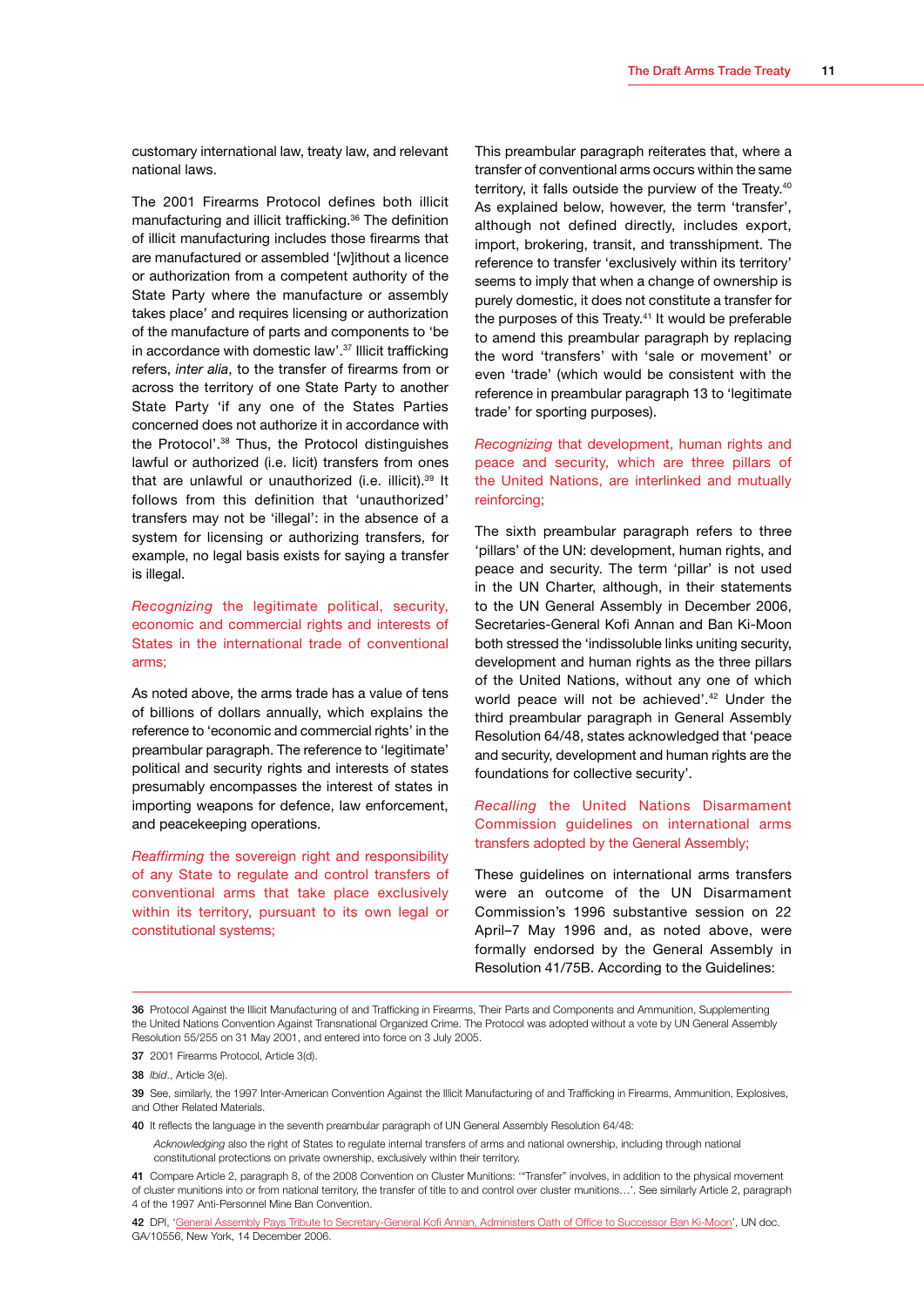customary international law, treaty law, and relevant national laws.

The 2001 Firearms Protocol defines both illicit manufacturing and illicit trafficking.36 The definition of illicit manufacturing includes those firearms that are manufactured or assembled '[w]ithout a licence or authorization from a competent authority of the State Party where the manufacture or assembly takes place' and requires licensing or authorization of the manufacture of parts and components to 'be in accordance with domestic law'.37 Illicit trafficking refers, *inter alia*, to the transfer of firearms from or across the territory of one State Party to another State Party 'if any one of the States Parties concerned does not authorize it in accordance with the Protocol'.38 Thus, the Protocol distinguishes lawful or authorized (i.e. licit) transfers from ones that are unlawful or unauthorized (i.e. illicit).<sup>39</sup> It follows from this definition that 'unauthorized' transfers may not be 'illegal': in the absence of a system for licensing or authorizing transfers, for example, no legal basis exists for saying a transfer is illegal.

*Recognizing* the legitimate political, security, economic and commercial rights and interests of States in the international trade of conventional arms;

As noted above, the arms trade has a value of tens of billions of dollars annually, which explains the reference to 'economic and commercial rights' in the preambular paragraph. The reference to 'legitimate' political and security rights and interests of states presumably encompasses the interest of states in importing weapons for defence, law enforcement, and peacekeeping operations.

*Reaffirming* the sovereign right and responsibility of any State to regulate and control transfers of conventional arms that take place exclusively within its territory, pursuant to its own legal or constitutional systems;

This preambular paragraph reiterates that, where a transfer of conventional arms occurs within the same territory, it falls outside the purview of the Treaty.<sup>40</sup> As explained below, however, the term 'transfer', although not defined directly, includes export, import, brokering, transit, and transshipment. The reference to transfer 'exclusively within its territory' seems to imply that when a change of ownership is purely domestic, it does not constitute a transfer for the purposes of this Treaty.41 It would be preferable to amend this preambular paragraph by replacing the word 'transfers' with 'sale or movement' or even 'trade' (which would be consistent with the reference in preambular paragraph 13 to 'legitimate trade' for sporting purposes).

*Recognizing* that development, human rights and peace and security, which are three pillars of the United Nations, are interlinked and mutually reinforcing;

The sixth preambular paragraph refers to three 'pillars' of the UN: development, human rights, and peace and security. The term 'pillar' is not used in the UN Charter, although, in their statements to the UN General Assembly in December 2006, Secretaries-General Kofi Annan and Ban Ki-Moon both stressed the 'indissoluble links uniting security, development and human rights as the three pillars of the United Nations, without any one of which world peace will not be achieved'.<sup>42</sup> Under the third preambular paragraph in General Assembly Resolution 64/48, states acknowledged that 'peace and security, development and human rights are the foundations for collective security'.

#### *Recalling* the United Nations Disarmament Commission guidelines on international arms transfers adopted by the General Assembly;

These guidelines on international arms transfers were an outcome of the UN Disarmament Commission's 1996 substantive session on 22 April–7 May 1996 and, as noted above, were formally endorsed by the General Assembly in Resolution 41/75B. According to the Guidelines:

<sup>36</sup> Protocol Against the Illicit Manufacturing of and Trafficking in Firearms, Their Parts and Components and Ammunition, Supplementing the United Nations Convention Against Transnational Organized Crime. The Protocol was adopted without a vote by UN General Assembly Resolution 55/255 on 31 May 2001, and entered into force on 3 July 2005.

<sup>37</sup> 2001 Firearms Protocol, Article 3(d).

<sup>38</sup> *Ibid*., Article 3(e).

<sup>39</sup> See, similarly, the 1997 Inter-American Convention Against the Illicit Manufacturing of and Trafficking in Firearms, Ammunition, Explosives, and Other Related Materials.

<sup>40</sup> It reflects the language in the seventh preambular paragraph of UN General Assembly Resolution 64/48:

*Acknowledging* also the right of States to regulate internal transfers of arms and national ownership, including through national constitutional protections on private ownership, exclusively within their territory.

<sup>41</sup> Compare Article 2, paragraph 8, of the 2008 Convention on Cluster Munitions: '"Transfer" involves, in addition to the physical movement of cluster munitions into or from national territory, the transfer of title to and control over cluster munitions…'. See similarly Article 2, paragraph 4 of the 1997 Anti-Personnel Mine Ban Convention.

<sup>42</sup> DPI, ['General Assembly Pays Tribute to Secretary-General Kofi Annan, Administers Oath of Office to Successor Ban Ki-Moon'](http://www.un.org/News/Press/docs/2006/ga10556.doc.htm), UN doc. GA/10556, New York, 14 December 2006.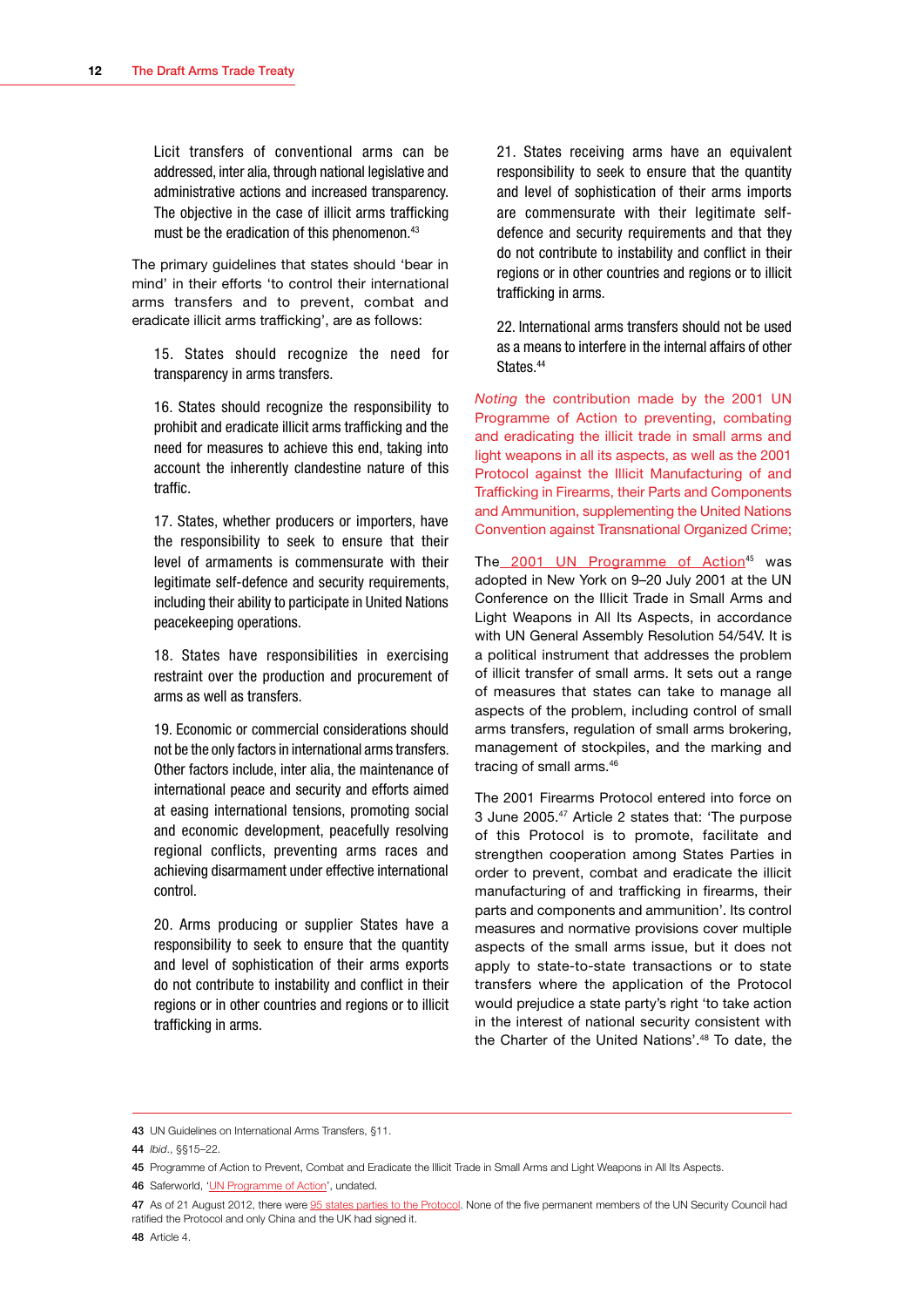Licit transfers of conventional arms can be addressed, inter alia, through national legislative and administrative actions and increased transparency. The objective in the case of illicit arms trafficking must be the eradication of this phenomenon.<sup>43</sup>

The primary guidelines that states should 'bear in mind' in their efforts 'to control their international arms transfers and to prevent, combat and eradicate illicit arms trafficking', are as follows:

15. States should recognize the need for transparency in arms transfers.

16. States should recognize the responsibility to prohibit and eradicate illicit arms trafficking and the need for measures to achieve this end, taking into account the inherently clandestine nature of this traffic.

17. States, whether producers or importers, have the responsibility to seek to ensure that their level of armaments is commensurate with their legitimate self-defence and security requirements, including their ability to participate in United Nations peacekeeping operations.

18. States have responsibilities in exercising restraint over the production and procurement of arms as well as transfers.

19. Economic or commercial considerations should not be the only factors in international arms transfers. Other factors include, inter alia, the maintenance of international peace and security and efforts aimed at easing international tensions, promoting social and economic development, peacefully resolving regional conflicts, preventing arms races and achieving disarmament under effective international control.

20. Arms producing or supplier States have a responsibility to seek to ensure that the quantity and level of sophistication of their arms exports do not contribute to instability and conflict in their regions or in other countries and regions or to illicit trafficking in arms.

21. States receiving arms have an equivalent responsibility to seek to ensure that the quantity and level of sophistication of their arms imports are commensurate with their legitimate selfdefence and security requirements and that they do not contribute to instability and conflict in their regions or in other countries and regions or to illicit trafficking in arms.

22. International arms transfers should not be used as a means to interfere in the internal affairs of other States.<sup>44</sup>

*Noting* the contribution made by the 2001 UN Programme of Action to preventing, combating and eradicating the illicit trade in small arms and light weapons in all its aspects, as well as the 2001 Protocol against the Illicit Manufacturing of and Trafficking in Firearms, their Parts and Components and Ammunition, supplementing the United Nations Convention against Transnational Organized Crime;

The [2001 UN Programme of Action](http://cns.miis.edu/inventory/pdfs/aptsarms.pdf)<sup>45</sup> was adopted in New York on 9–20 July 2001 at the UN Conference on the Illicit Trade in Small Arms and Light Weapons in All Its Aspects, in accordance with UN General Assembly Resolution 54/54V. It is a political instrument that addresses the problem of illicit transfer of small arms. It sets out a range of measures that states can take to manage all aspects of the problem, including control of small arms transfers, regulation of small arms brokering, management of stockpiles, and the marking and tracing of small arms.<sup>46</sup>

The 2001 Firearms Protocol entered into force on 3 June 2005.47 Article 2 states that: 'The purpose of this Protocol is to promote, facilitate and strengthen cooperation among States Parties in order to prevent, combat and eradicate the illicit manufacturing of and trafficking in firearms, their parts and components and ammunition'. Its control measures and normative provisions cover multiple aspects of the small arms issue, but it does not apply to state-to-state transactions or to state transfers where the application of the Protocol would prejudice a state party's right 'to take action in the interest of national security consistent with the Charter of the United Nations'.48 To date, the

<sup>43</sup> UN Guidelines on International Arms Transfers, §11.

<sup>44</sup> *Ibid*., §§15–22.

<sup>45</sup> Programme of Action to Prevent, Combat and Eradicate the Illicit Trade in Small Arms and Light Weapons in All Its Aspects.

<sup>46</sup> Saferworld, '[UN Programme of Action'](http://www.saferworld.org.uk/what/un-programme-of-action-), undated.

<sup>47</sup> As of 21 August 2012, there were [95 states parties to the Protocol.](http://treaties.un.org/Pages/ViewDetails.aspx?src=IND&mtdsg_no=XVIII-12-c&chapter=18&lang=en) None of the five permanent members of the UN Security Council had ratified the Protocol and only China and the UK had signed it.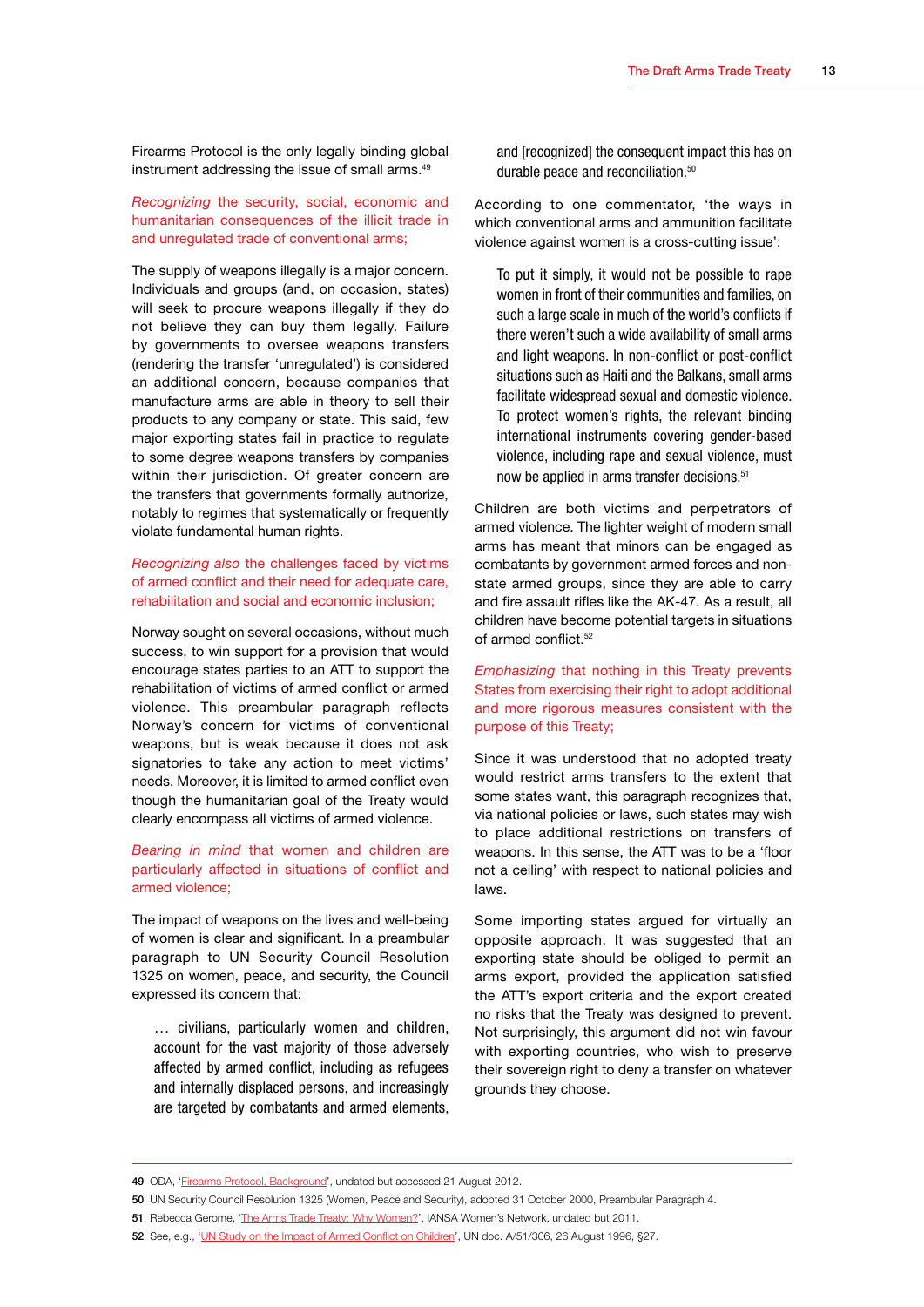Firearms Protocol is the only legally binding global instrument addressing the issue of small arms.<sup>49</sup>

#### *Recognizing* the security, social, economic and humanitarian consequences of the illicit trade in and unregulated trade of conventional arms;

The supply of weapons illegally is a major concern. Individuals and groups (and, on occasion, states) will seek to procure weapons illegally if they do not believe they can buy them legally. Failure by governments to oversee weapons transfers (rendering the transfer 'unregulated') is considered an additional concern, because companies that manufacture arms are able in theory to sell their products to any company or state. This said, few major exporting states fail in practice to regulate to some degree weapons transfers by companies within their jurisdiction. Of greater concern are the transfers that governments formally authorize, notably to regimes that systematically or frequently violate fundamental human rights.

#### *Recognizing also* the challenges faced by victims of armed conflict and their need for adequate care, rehabilitation and social and economic inclusion;

Norway sought on several occasions, without much success, to win support for a provision that would encourage states parties to an ATT to support the rehabilitation of victims of armed conflict or armed violence. This preambular paragraph reflects Norway's concern for victims of conventional weapons, but is weak because it does not ask signatories to take any action to meet victims' needs. Moreover, it is limited to armed conflict even though the humanitarian goal of the Treaty would clearly encompass all victims of armed violence.

#### *Bearing in mind* that women and children are particularly affected in situations of conflict and armed violence;

The impact of weapons on the lives and well-being of women is clear and significant. In a preambular paragraph to UN Security Council Resolution 1325 on women, peace, and security, the Council expressed its concern that:

… civilians, particularly women and children, account for the vast majority of those adversely affected by armed conflict, including as refugees and internally displaced persons, and increasingly are targeted by combatants and armed elements,

and [recognized] the consequent impact this has on durable peace and reconciliation.<sup>50</sup>

According to one commentator, 'the ways in which conventional arms and ammunition facilitate violence against women is a cross-cutting issue':

To put it simply, it would not be possible to rape women in front of their communities and families, on such a large scale in much of the world's conflicts if there weren't such a wide availability of small arms and light weapons. In non-conflict or post-conflict situations such as Haiti and the Balkans, small arms facilitate widespread sexual and domestic violence. To protect women's rights, the relevant binding international instruments covering gender-based violence, including rape and sexual violence, must now be applied in arms transfer decisions.<sup>51</sup>

Children are both victims and perpetrators of armed violence. The lighter weight of modern small arms has meant that minors can be engaged as combatants by government armed forces and nonstate armed groups, since they are able to carry and fire assault rifles like the AK-47. As a result, all children have become potential targets in situations of armed conflict.<sup>52</sup>

*Emphasizing* that nothing in this Treaty prevents States from exercising their right to adopt additional and more rigorous measures consistent with the purpose of this Treaty;

Since it was understood that no adopted treaty would restrict arms transfers to the extent that some states want, this paragraph recognizes that, via national policies or laws, such states may wish to place additional restrictions on transfers of weapons. In this sense, the ATT was to be a 'floor not a ceiling' with respect to national policies and laws.

Some importing states argued for virtually an opposite approach. It was suggested that an exporting state should be obliged to permit an arms export, provided the application satisfied the ATT's export criteria and the export created no risks that the Treaty was designed to prevent. Not surprisingly, this argument did not win favour with exporting countries, who wish to preserve their sovereign right to deny a transfer on whatever grounds they choose.

<sup>49</sup> ODA, '[Firearms Protocol, Background'](http://www.poa-iss.org/FirearmsProtocol/FirearmsProtocol.aspx), undated but accessed 21 August 2012.

<sup>50</sup> UN Security Council Resolution 1325 (Women, Peace and Security), adopted 31 October 2000, Preambular Paragraph 4.

<sup>51</sup> Rebecca Gerome, '[The Arms Trade Treaty: Why Women?](http://www.iansa-women.org/node/600)', IANSA Women's Network, undated but 2011.

<sup>52</sup> See, e.g., '[UN Study on the Impact of Armed Conflict on Children](http://www.unicef.org/graca/a51-306_en.pdf)', UN doc. A/51/306, 26 August 1996, §27.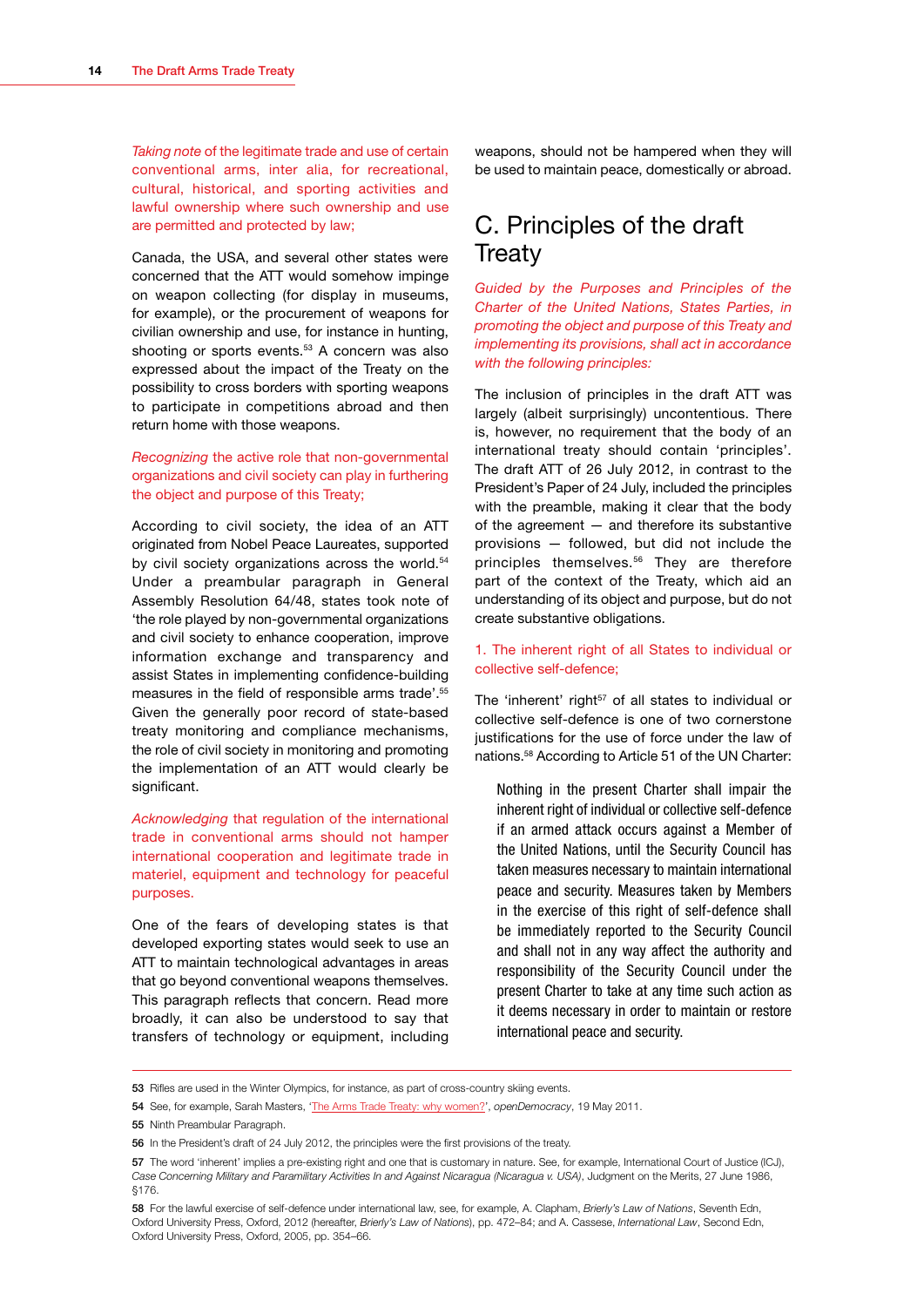<span id="page-16-0"></span>*Taking note* of the legitimate trade and use of certain conventional arms, inter alia, for recreational, cultural, historical, and sporting activities and lawful ownership where such ownership and use are permitted and protected by law;

Canada, the USA, and several other states were concerned that the ATT would somehow impinge on weapon collecting (for display in museums, for example), or the procurement of weapons for civilian ownership and use, for instance in hunting, shooting or sports events.<sup>53</sup> A concern was also expressed about the impact of the Treaty on the possibility to cross borders with sporting weapons to participate in competitions abroad and then return home with those weapons.

#### *Recognizing* the active role that non-governmental organizations and civil society can play in furthering the object and purpose of this Treaty;

According to civil society, the idea of an ATT originated from Nobel Peace Laureates, supported by civil society organizations across the world.<sup>54</sup> Under a preambular paragraph in General Assembly Resolution 64/48, states took note of 'the role played by non-governmental organizations and civil society to enhance cooperation, improve information exchange and transparency and assist States in implementing confidence-building measures in the field of responsible arms trade'.55 Given the generally poor record of state-based treaty monitoring and compliance mechanisms, the role of civil society in monitoring and promoting the implementation of an ATT would clearly be significant.

*Acknowledging* that regulation of the international trade in conventional arms should not hamper international cooperation and legitimate trade in materiel, equipment and technology for peaceful purposes.

One of the fears of developing states is that developed exporting states would seek to use an ATT to maintain technological advantages in areas that go beyond conventional weapons themselves. This paragraph reflects that concern. Read more broadly, it can also be understood to say that transfers of technology or equipment, including

weapons, should not be hampered when they will be used to maintain peace, domestically or abroad.

## C. Principles of the draft **Treaty**

*Guided by the Purposes and Principles of the Charter of the United Nations, States Parties, in promoting the object and purpose of this Treaty and implementing its provisions, shall act in accordance with the following principles:*

The inclusion of principles in the draft ATT was largely (albeit surprisingly) uncontentious. There is, however, no requirement that the body of an international treaty should contain 'principles'. The draft ATT of 26 July 2012, in contrast to the President's Paper of 24 July, included the principles with the preamble, making it clear that the body of the agreement — and therefore its substantive provisions — followed, but did not include the principles themselves.<sup>56</sup> They are therefore part of the context of the Treaty, which aid an understanding of its object and purpose, but do not create substantive obligations.

#### 1. The inherent right of all States to individual or collective self-defence;

The 'inherent' right<sup>57</sup> of all states to individual or collective self-defence is one of two cornerstone justifications for the use of force under the law of nations.58 According to Article 51 of the UN Charter:

Nothing in the present Charter shall impair the inherent right of individual or collective self-defence if an armed attack occurs against a Member of the United Nations, until the Security Council has taken measures necessary to maintain international peace and security. Measures taken by Members in the exercise of this right of self-defence shall be immediately reported to the Security Council and shall not in any way affect the authority and responsibility of the Security Council under the present Charter to take at any time such action as it deems necessary in order to maintain or restore international peace and security.

<sup>53</sup> Rifles are used in the Winter Olympics, for instance, as part of cross-country skiing events.

<sup>54</sup> See, for example, Sarah Masters, '[The Arms Trade Treaty: why women?'](http://www.opendemocracy.net/sarah-masters/arms-trade-treaty-why-women), *openDemocracy*, 19 May 2011.

<sup>55</sup> Ninth Preambular Paragraph.

<sup>56</sup> In the President's draft of 24 July 2012, the principles were the first provisions of the treaty.

<sup>57</sup> The word 'inherent' implies a pre-existing right and one that is customary in nature. See, for example, International Court of Justice (ICJ), *Case Concerning Military and Paramilitary Activities In and Against Nicaragua (Nicaragua v. USA)*, Judgment on the Merits, 27 June 1986, §176.

<sup>58</sup> For the lawful exercise of self-defence under international law, see, for example, A. Clapham, *Brierly's Law of Nations*, Seventh Edn, Oxford University Press, Oxford, 2012 (hereafter, *Brierly's Law of Nations*), pp. 472–84; and A. Cassese, *International Law*, Second Edn, Oxford University Press, Oxford, 2005, pp. 354–66.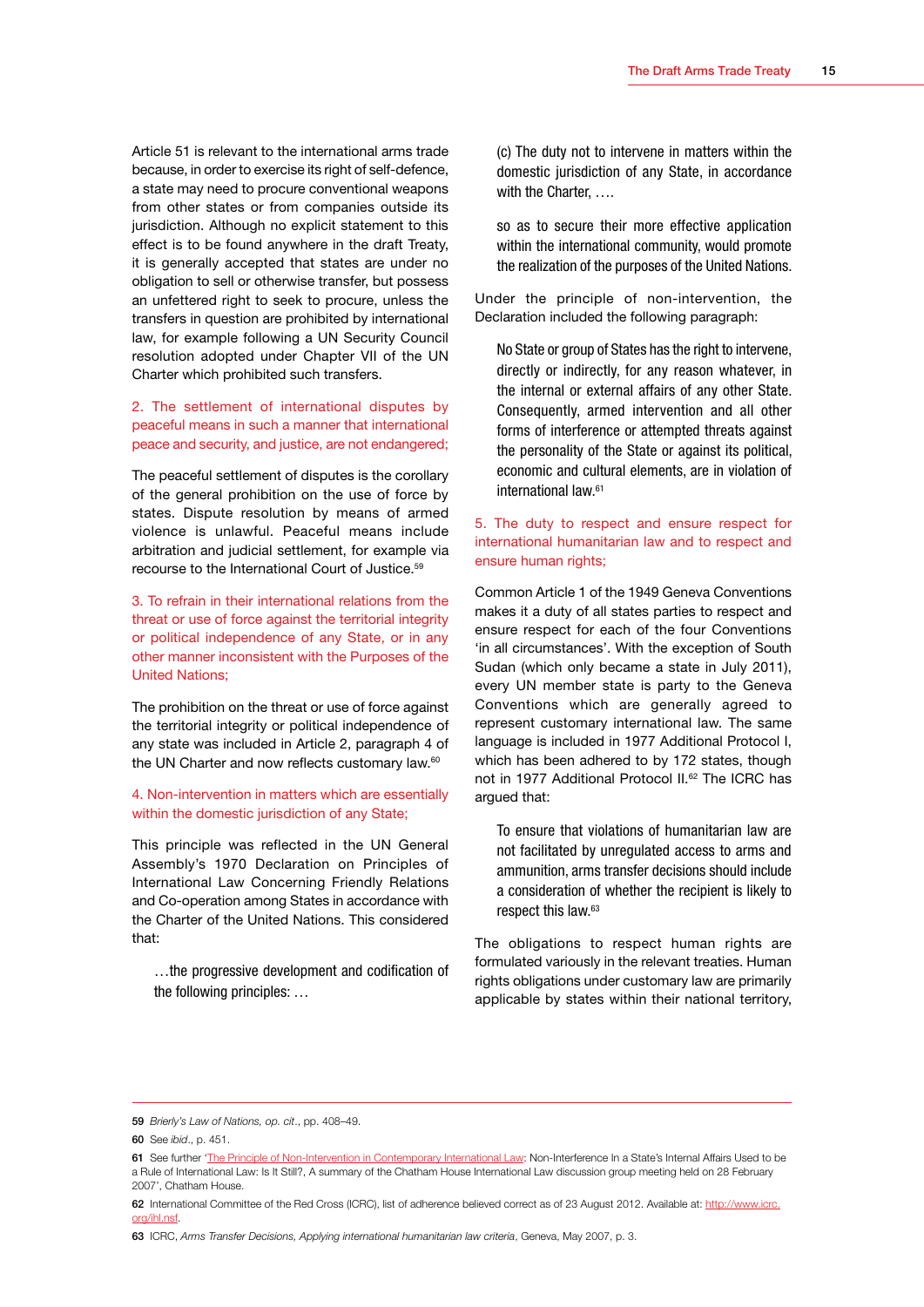Article 51 is relevant to the international arms trade because, in order to exercise its right of self-defence, a state may need to procure conventional weapons from other states or from companies outside its jurisdiction. Although no explicit statement to this effect is to be found anywhere in the draft Treaty, it is generally accepted that states are under no obligation to sell or otherwise transfer, but possess an unfettered right to seek to procure, unless the transfers in question are prohibited by international law, for example following a UN Security Council resolution adopted under Chapter VII of the UN Charter which prohibited such transfers.

2. The settlement of international disputes by peaceful means in such a manner that international peace and security, and justice, are not endangered;

The peaceful settlement of disputes is the corollary of the general prohibition on the use of force by states. Dispute resolution by means of armed violence is unlawful. Peaceful means include arbitration and judicial settlement, for example via recourse to the International Court of Justice.59

3. To refrain in their international relations from the threat or use of force against the territorial integrity or political independence of any State, or in any other manner inconsistent with the Purposes of the United Nations;

The prohibition on the threat or use of force against the territorial integrity or political independence of any state was included in Article 2, paragraph 4 of the UN Charter and now reflects customary law.<sup>60</sup>

4. Non-intervention in matters which are essentially within the domestic jurisdiction of any State;

This principle was reflected in the UN General Assembly's 1970 Declaration on Principles of International Law Concerning Friendly Relations and Co-operation among States in accordance with the Charter of the United Nations. This considered that:

…the progressive development and codification of the following principles: …

(c) The duty not to intervene in matters within the domestic jurisdiction of any State, in accordance with the Charter, ....

so as to secure their more effective application within the international community, would promote the realization of the purposes of the United Nations.

Under the principle of non-intervention, the Declaration included the following paragraph:

No State or group of States has the right to intervene. directly or indirectly, for any reason whatever, in the internal or external affairs of any other State. Consequently, armed intervention and all other forms of interference or attempted threats against the personality of the State or against its political, economic and cultural elements, are in violation of international law.61

#### 5. The duty to respect and ensure respect for international humanitarian law and to respect and ensure human rights;

Common Article 1 of the 1949 Geneva Conventions makes it a duty of all states parties to respect and ensure respect for each of the four Conventions 'in all circumstances'. With the exception of South Sudan (which only became a state in July 2011), every UN member state is party to the Geneva Conventions which are generally agreed to represent customary international law. The same language is included in 1977 Additional Protocol I, which has been adhered to by 172 states, though not in 1977 Additional Protocol II.<sup>62</sup> The ICRC has argued that:

To ensure that violations of humanitarian law are not facilitated by unregulated access to arms and ammunition, arms transfer decisions should include a consideration of whether the recipient is likely to respect this law.63

The obligations to respect human rights are formulated variously in the relevant treaties. Human rights obligations under customary law are primarily applicable by states within their national territory,

<sup>59</sup> *Brierly's Law of Nations, op. cit*., pp. 408–49.

<sup>60</sup> See *ibid*., p. 451.

<sup>61</sup> See further '[The Principle of Non-Intervention in Contemporary International Law](http://www.chathamhouse.org/sites/default/files/public/Research/International%20Law/il280207.pdf): Non-Interference In a State's Internal Affairs Used to be a Rule of International Law: Is It Still?, A summary of the Chatham House International Law discussion group meeting held on 28 February 2007', Chatham House.

<sup>62</sup> International Committee of the Red Cross (ICRC), list of adherence believed correct as of 23 August 2012. Available at: [http://www.icrc.](http://www.icrc.org/ihl.nsf) [org/ihl.nsf.](http://www.icrc.org/ihl.nsf)

<sup>63</sup> ICRC, *Arms Transfer Decisions, Applying international humanitarian law criteria*, Geneva, May 2007, p. 3.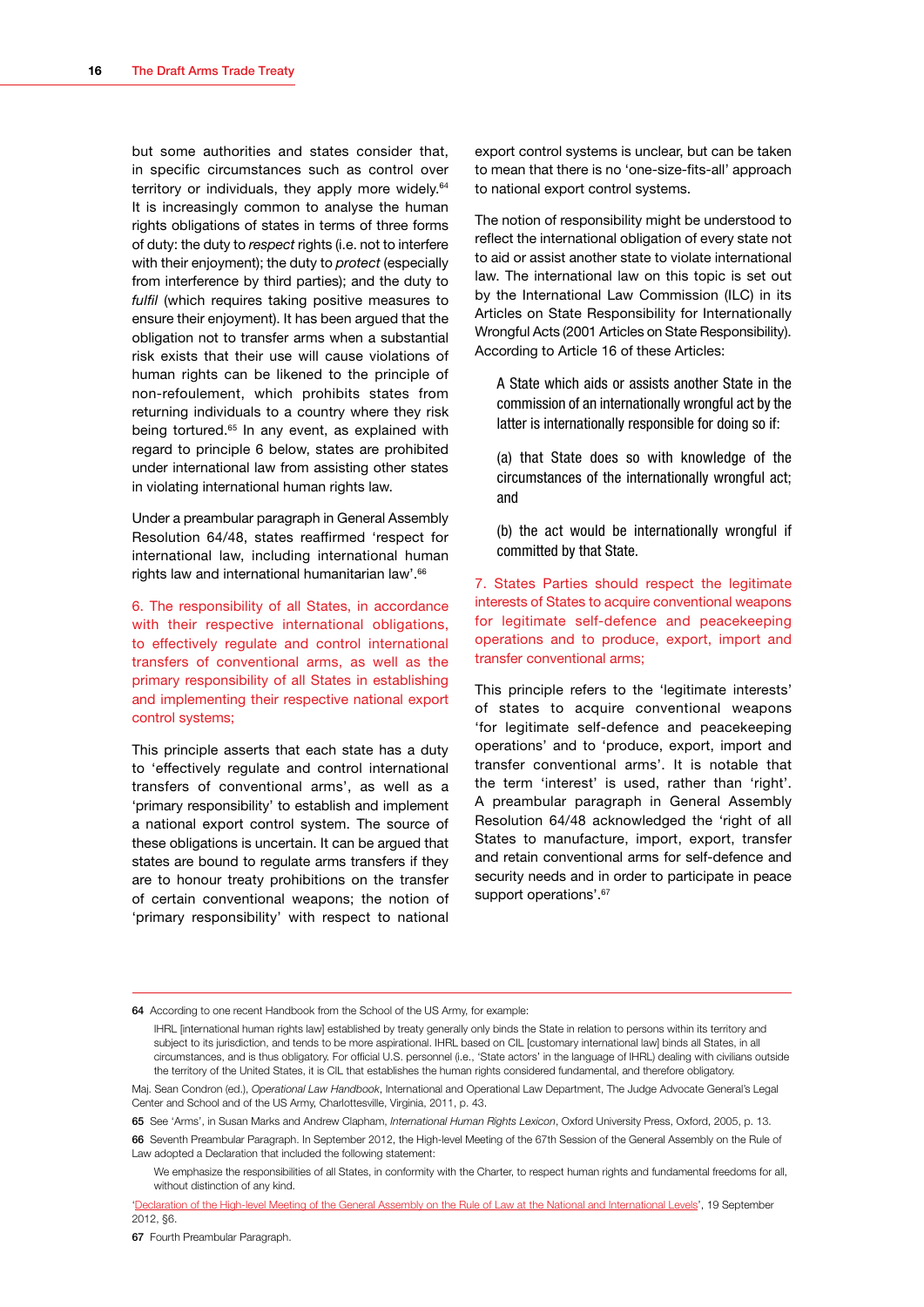but some authorities and states consider that, in specific circumstances such as control over territory or individuals, they apply more widely.<sup>64</sup> It is increasingly common to analyse the human rights obligations of states in terms of three forms of duty: the duty to *respect* rights (i.e. not to interfere with their enjoyment); the duty to *protect* (especially from interference by third parties); and the duty to *fulfil* (which requires taking positive measures to ensure their enjoyment). It has been argued that the obligation not to transfer arms when a substantial risk exists that their use will cause violations of human rights can be likened to the principle of non-refoulement, which prohibits states from returning individuals to a country where they risk being tortured.<sup>65</sup> In any event, as explained with regard to principle 6 below, states are prohibited under international law from assisting other states in violating international human rights law.

Under a preambular paragraph in General Assembly Resolution 64/48, states reaffirmed 'respect for international law, including international human rights law and international humanitarian law'.<sup>66</sup>

6. The responsibility of all States, in accordance with their respective international obligations, to effectively regulate and control international transfers of conventional arms, as well as the primary responsibility of all States in establishing and implementing their respective national export control systems;

This principle asserts that each state has a duty to 'effectively regulate and control international transfers of conventional arms', as well as a 'primary responsibility' to establish and implement a national export control system. The source of these obligations is uncertain. It can be argued that states are bound to regulate arms transfers if they are to honour treaty prohibitions on the transfer of certain conventional weapons; the notion of 'primary responsibility' with respect to national

export control systems is unclear, but can be taken to mean that there is no 'one-size-fits-all' approach to national export control systems.

The notion of responsibility might be understood to reflect the international obligation of every state not to aid or assist another state to violate international law. The international law on this topic is set out by the International Law Commission (ILC) in its Articles on State Responsibility for Internationally Wrongful Acts (2001 Articles on State Responsibility). According to Article 16 of these Articles:

A State which aids or assists another State in the commission of an internationally wrongful act by the latter is internationally responsible for doing so if:

(a) that State does so with knowledge of the circumstances of the internationally wrongful act; and

(b) the act would be internationally wrongful if committed by that State.

7. States Parties should respect the legitimate interests of States to acquire conventional weapons for legitimate self-defence and peacekeeping operations and to produce, export, import and transfer conventional arms;

This principle refers to the 'legitimate interests' of states to acquire conventional weapons 'for legitimate self-defence and peacekeeping operations' and to 'produce, export, import and transfer conventional arms'. It is notable that the term 'interest' is used, rather than 'right'. A preambular paragraph in General Assembly Resolution 64/48 acknowledged the 'right of all States to manufacture, import, export, transfer and retain conventional arms for self-defence and security needs and in order to participate in peace support operations'.<sup>67</sup>

64 According to one recent Handbook from the School of the US Army, for example:

IHRL [international human rights law] established by treaty generally only binds the State in relation to persons within its territory and subject to its jurisdiction, and tends to be more aspirational. IHRL based on CIL [customary international law] binds all States, in all circumstances, and is thus obligatory. For official U.S. personnel (i.e., 'State actors' in the language of IHRL) dealing with civilians outside the territory of the United States, it is CIL that establishes the human rights considered fundamental, and therefore obligatory.

Maj. Sean Condron (ed.), *Operational Law Handbook*, International and Operational Law Department, The Judge Advocate General's Legal Center and School and of the US Army, Charlottesville, Virginia, 2011, p. 43.

65 See 'Arms', in Susan Marks and Andrew Clapham, *International Human Rights Lexicon*, Oxford University Press, Oxford, 2005, p. 13.

66 Seventh Preambular Paragraph. In September 2012, the High-level Meeting of the 67th Session of the General Assembly on the Rule of Law adopted a Declaration that included the following statement:

We emphasize the responsibilities of all States, in conformity with the Charter, to respect human rights and fundamental freedoms for all, without distinction of any kind.

aration of the High-level Meeting of the General Assembly on the Rule of Law at the National and International Levels', 19 September 2012, §6.

67 Fourth Preambular Paragraph.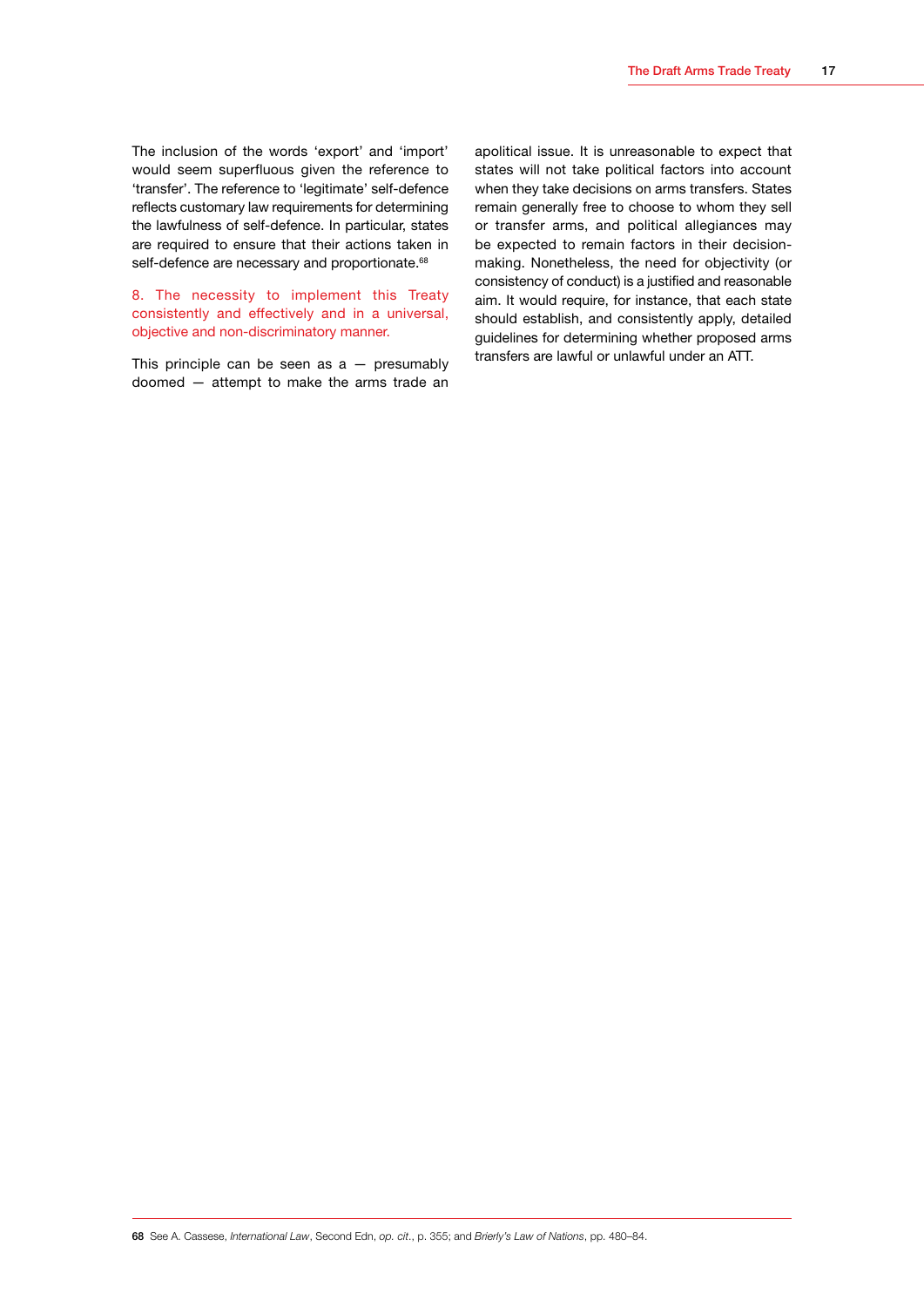The inclusion of the words 'export' and 'import' would seem superfluous given the reference to 'transfer'. The reference to 'legitimate' self-defence reflects customary law requirements for determining the lawfulness of self-defence. In particular, states are required to ensure that their actions taken in self-defence are necessary and proportionate.<sup>68</sup>

8. The necessity to implement this Treaty consistently and effectively and in a universal, objective and non-discriminatory manner.

This principle can be seen as  $a -$  presumably doomed — attempt to make the arms trade an apolitical issue. It is unreasonable to expect that states will not take political factors into account when they take decisions on arms transfers. States remain generally free to choose to whom they sell or transfer arms, and political allegiances may be expected to remain factors in their decisionmaking. Nonetheless, the need for objectivity (or consistency of conduct) is a justified and reasonable aim. It would require, for instance, that each state should establish, and consistently apply, detailed guidelines for determining whether proposed arms transfers are lawful or unlawful under an ATT.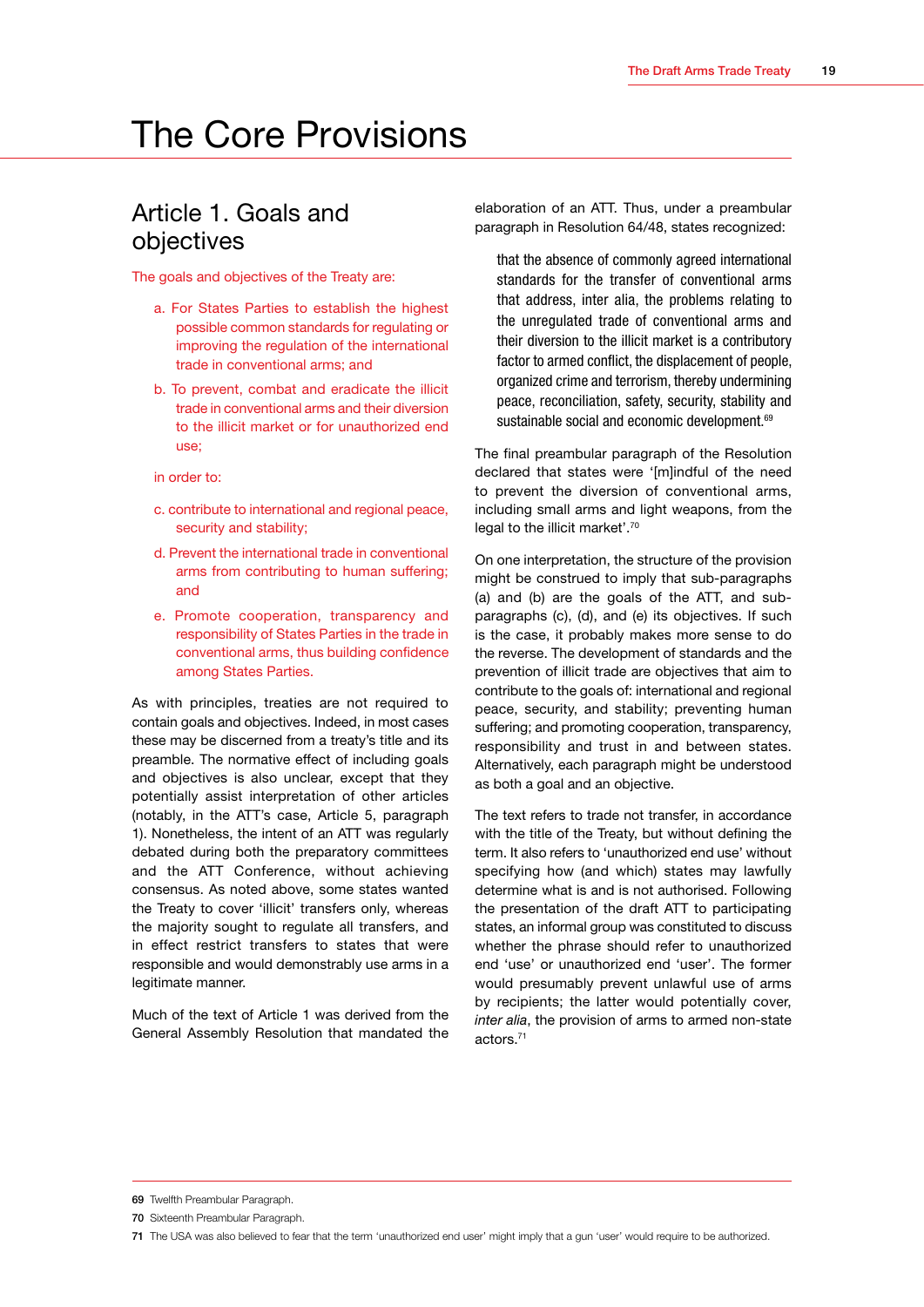## <span id="page-21-0"></span>The Core Provisions

### Article 1. Goals and objectives

The goals and objectives of the Treaty are:

- a. For States Parties to establish the highest possible common standards for regulating or improving the regulation of the international trade in conventional arms; and
- b. To prevent, combat and eradicate the illicit trade in conventional arms and their diversion to the illicit market or for unauthorized end use;
- in order to:
- c. contribute to international and regional peace, security and stability;
- d. Prevent the international trade in conventional arms from contributing to human suffering; and
- e. Promote cooperation, transparency and responsibility of States Parties in the trade in conventional arms, thus building confidence among States Parties.

As with principles, treaties are not required to contain goals and objectives. Indeed, in most cases these may be discerned from a treaty's title and its preamble. The normative effect of including goals and objectives is also unclear, except that they potentially assist interpretation of other articles (notably, in the ATT's case, Article 5, paragraph 1). Nonetheless, the intent of an ATT was regularly debated during both the preparatory committees and the ATT Conference, without achieving consensus. As noted above, some states wanted the Treaty to cover 'illicit' transfers only, whereas the majority sought to regulate all transfers, and in effect restrict transfers to states that were responsible and would demonstrably use arms in a legitimate manner.

Much of the text of Article 1 was derived from the General Assembly Resolution that mandated the elaboration of an ATT. Thus, under a preambular paragraph in Resolution 64/48, states recognized:

that the absence of commonly agreed international standards for the transfer of conventional arms that address, inter alia, the problems relating to the unregulated trade of conventional arms and their diversion to the illicit market is a contributory factor to armed conflict, the displacement of people, organized crime and terrorism, thereby undermining peace, reconciliation, safety, security, stability and sustainable social and economic development.<sup>69</sup>

The final preambular paragraph of the Resolution declared that states were '[m]indful of the need to prevent the diversion of conventional arms, including small arms and light weapons, from the legal to the illicit market'.<sup>70</sup>

On one interpretation, the structure of the provision might be construed to imply that sub-paragraphs (a) and (b) are the goals of the ATT, and subparagraphs (c), (d), and (e) its objectives. If such is the case, it probably makes more sense to do the reverse. The development of standards and the prevention of illicit trade are objectives that aim to contribute to the goals of: international and regional peace, security, and stability; preventing human suffering; and promoting cooperation, transparency, responsibility and trust in and between states. Alternatively, each paragraph might be understood as both a goal and an objective.

The text refers to trade not transfer, in accordance with the title of the Treaty, but without defining the term. It also refers to 'unauthorized end use' without specifying how (and which) states may lawfully determine what is and is not authorised. Following the presentation of the draft ATT to participating states, an informal group was constituted to discuss whether the phrase should refer to unauthorized end 'use' or unauthorized end 'user'. The former would presumably prevent unlawful use of arms by recipients; the latter would potentially cover, *inter alia*, the provision of arms to armed non-state actors.71

<sup>69</sup> Twelfth Preambular Paragraph.

<sup>70</sup> Sixteenth Preambular Paragraph.

<sup>71</sup> The USA was also believed to fear that the term 'unauthorized end user' might imply that a gun 'user' would require to be authorized.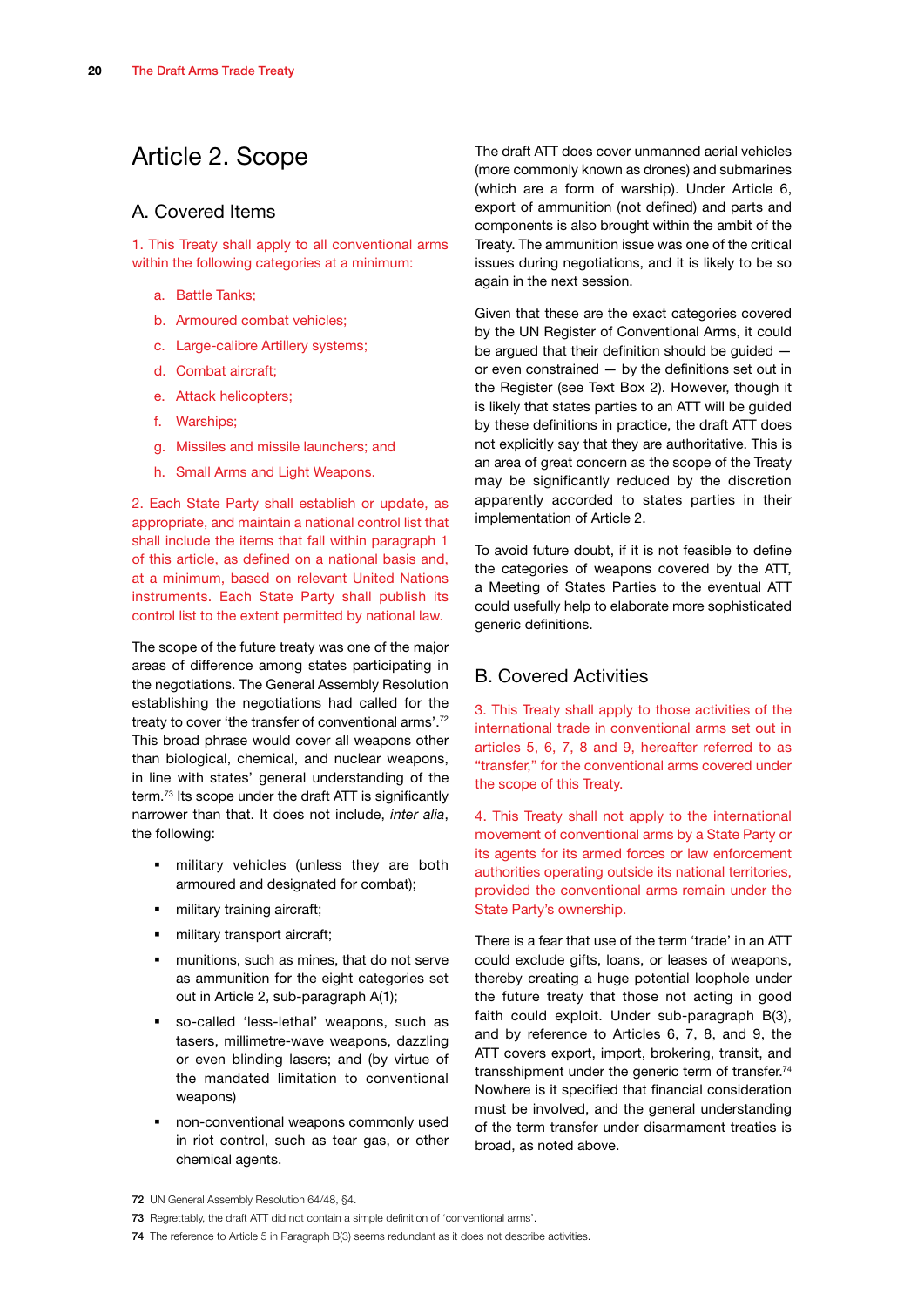## <span id="page-22-0"></span>Article 2. Scope

#### A. Covered Items

1. This Treaty shall apply to all conventional arms within the following categories at a minimum:

- a. Battle Tanks;
- b. Armoured combat vehicles;
- c. Large-calibre Artillery systems;
- d. Combat aircraft;
- e. Attack helicopters;
- f. Warships;
- g. Missiles and missile launchers; and
- h. Small Arms and Light Weapons.

2. Each State Party shall establish or update, as appropriate, and maintain a national control list that shall include the items that fall within paragraph 1 of this article, as defined on a national basis and, at a minimum, based on relevant United Nations instruments. Each State Party shall publish its control list to the extent permitted by national law.

The scope of the future treaty was one of the major areas of difference among states participating in the negotiations. The General Assembly Resolution establishing the negotiations had called for the treaty to cover 'the transfer of conventional arms'.72 This broad phrase would cover all weapons other than biological, chemical, and nuclear weapons, in line with states' general understanding of the term.<sup>73</sup> Its scope under the draft ATT is significantly narrower than that. It does not include, *inter alia*, the following:

- **military vehicles (unless they are both** armoured and designated for combat);
- military training aircraft;
- military transport aircraft;
- munitions, such as mines, that do not serve as ammunition for the eight categories set out in Article 2, sub-paragraph A(1);
- so-called 'less-lethal' weapons, such as tasers, millimetre-wave weapons, dazzling or even blinding lasers; and (by virtue of the mandated limitation to conventional weapons)
- non-conventional weapons commonly used in riot control, such as tear gas, or other chemical agents.

The draft ATT does cover unmanned aerial vehicles (more commonly known as drones) and submarines (which are a form of warship). Under Article 6, export of ammunition (not defined) and parts and components is also brought within the ambit of the Treaty. The ammunition issue was one of the critical issues during negotiations, and it is likely to be so again in the next session.

Given that these are the exact categories covered by the UN Register of Conventional Arms, it could be argued that their definition should be guided or even constrained — by the definitions set out in the Register (see Text Box 2). However, though it is likely that states parties to an ATT will be guided by these definitions in practice, the draft ATT does not explicitly say that they are authoritative. This is an area of great concern as the scope of the Treaty may be significantly reduced by the discretion apparently accorded to states parties in their implementation of Article 2.

To avoid future doubt, if it is not feasible to define the categories of weapons covered by the ATT, a Meeting of States Parties to the eventual ATT could usefully help to elaborate more sophisticated generic definitions.

#### B. Covered Activities

3. This Treaty shall apply to those activities of the international trade in conventional arms set out in articles 5, 6, 7, 8 and 9, hereafter referred to as "transfer," for the conventional arms covered under the scope of this Treaty.

4. This Treaty shall not apply to the international movement of conventional arms by a State Party or its agents for its armed forces or law enforcement authorities operating outside its national territories, provided the conventional arms remain under the State Party's ownership.

There is a fear that use of the term 'trade' in an ATT could exclude gifts, loans, or leases of weapons, thereby creating a huge potential loophole under the future treaty that those not acting in good faith could exploit. Under sub-paragraph B(3), and by reference to Articles 6, 7, 8, and 9, the ATT covers export, import, brokering, transit, and transshipment under the generic term of transfer.<sup>74</sup> Nowhere is it specified that financial consideration must be involved, and the general understanding of the term transfer under disarmament treaties is broad, as noted above.

<sup>72</sup> UN General Assembly Resolution 64/48, §4.

<sup>73</sup> Regrettably, the draft ATT did not contain a simple definition of 'conventional arms'.

<sup>74</sup> The reference to Article 5 in Paragraph B(3) seems redundant as it does not describe activities.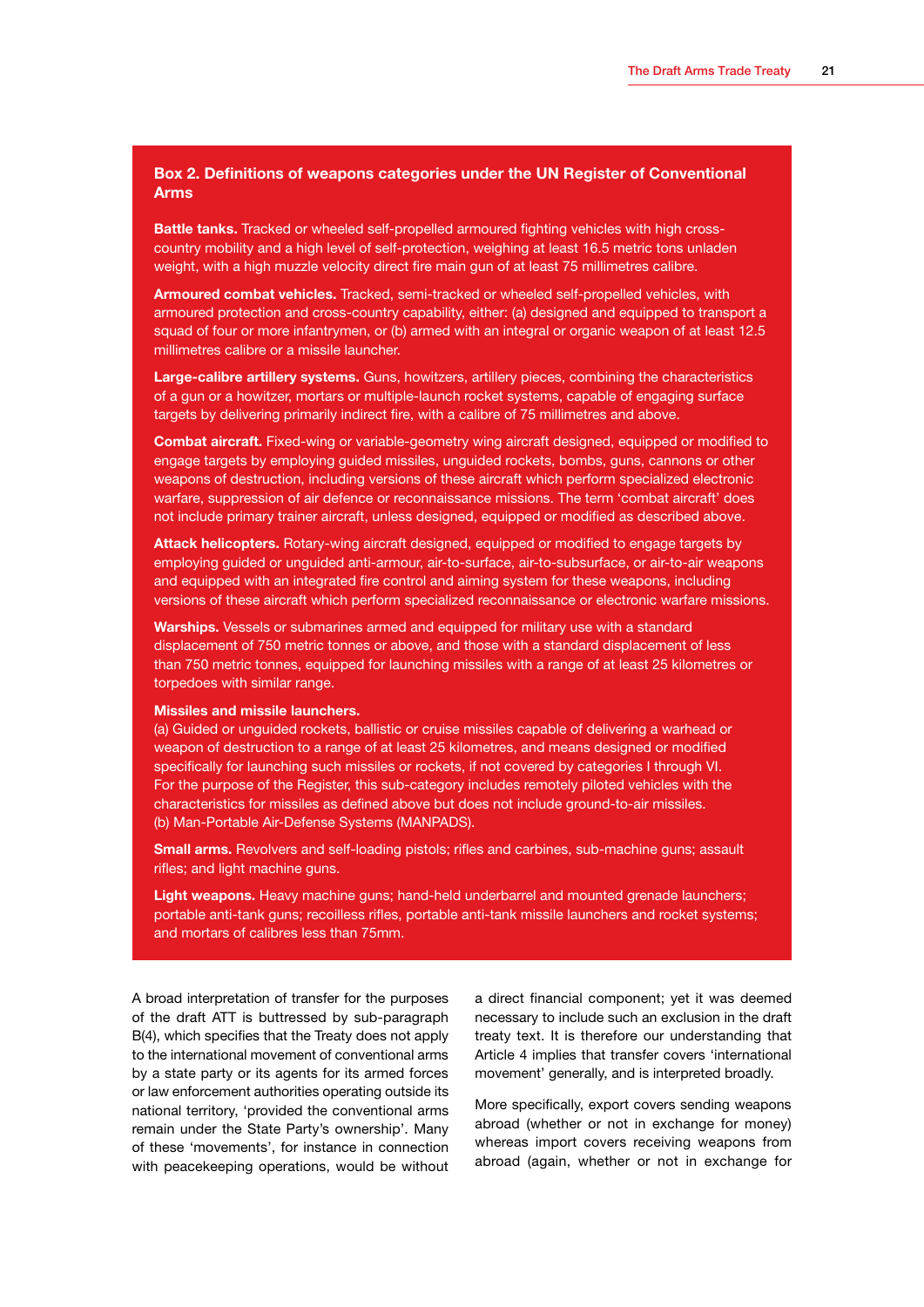#### **Box 2. Definitions of weapons categories under the UN Register of Conventional Arms**

**Battle tanks.** Tracked or wheeled self-propelled armoured fighting vehicles with high crosscountry mobility and a high level of self-protection, weighing at least 16.5 metric tons unladen weight, with a high muzzle velocity direct fire main gun of at least 75 millimetres calibre.

**Armoured combat vehicles.** Tracked, semi-tracked or wheeled self-propelled vehicles, with armoured protection and cross-country capability, either: (a) designed and equipped to transport a squad of four or more infantrymen, or (b) armed with an integral or organic weapon of at least 12.5 millimetres calibre or a missile launcher.

**Large-calibre artillery systems.** Guns, howitzers, artillery pieces, combining the characteristics of a gun or a howitzer, mortars or multiple-launch rocket systems, capable of engaging surface targets by delivering primarily indirect fire, with a calibre of 75 millimetres and above.

**Combat aircraft.** Fixed-wing or variable-geometry wing aircraft designed, equipped or modified to engage targets by employing guided missiles, unguided rockets, bombs, guns, cannons or other weapons of destruction, including versions of these aircraft which perform specialized electronic warfare, suppression of air defence or reconnaissance missions. The term 'combat aircraft' does not include primary trainer aircraft, unless designed, equipped or modified as described above.

**Attack helicopters.** Rotary-wing aircraft designed, equipped or modified to engage targets by employing guided or unguided anti-armour, air-to-surface, air-to-subsurface, or air-to-air weapons and equipped with an integrated fire control and aiming system for these weapons, including versions of these aircraft which perform specialized reconnaissance or electronic warfare missions.

**Warships.** Vessels or submarines armed and equipped for military use with a standard displacement of 750 metric tonnes or above, and those with a standard displacement of less than 750 metric tonnes, equipped for launching missiles with a range of at least 25 kilometres or torpedoes with similar range.

#### **Missiles and missile launchers.**

(a) Guided or unguided rockets, ballistic or cruise missiles capable of delivering a warhead or weapon of destruction to a range of at least 25 kilometres, and means designed or modified specifically for launching such missiles or rockets, if not covered by categories I through VI. For the purpose of the Register, this sub-category includes remotely piloted vehicles with the characteristics for missiles as defined above but does not include ground-to-air missiles. (b) Man-Portable Air-Defense Systems (MANPADS).

**Small arms.** Revolvers and self-loading pistols; rifles and carbines, sub-machine guns; assault rifles; and light machine guns.

**Light weapons.** Heavy machine guns; hand-held underbarrel and mounted grenade launchers; portable anti-tank guns; recoilless rifles, portable anti-tank missile launchers and rocket systems; and mortars of calibres less than 75mm.

A broad interpretation of transfer for the purposes of the draft ATT is buttressed by sub-paragraph B(4), which specifies that the Treaty does not apply to the international movement of conventional arms by a state party or its agents for its armed forces or law enforcement authorities operating outside its national territory, 'provided the conventional arms remain under the State Party's ownership'. Many of these 'movements', for instance in connection with peacekeeping operations, would be without a direct financial component; yet it was deemed necessary to include such an exclusion in the draft treaty text. It is therefore our understanding that Article 4 implies that transfer covers 'international movement' generally, and is interpreted broadly.

More specifically, export covers sending weapons abroad (whether or not in exchange for money) whereas import covers receiving weapons from abroad (again, whether or not in exchange for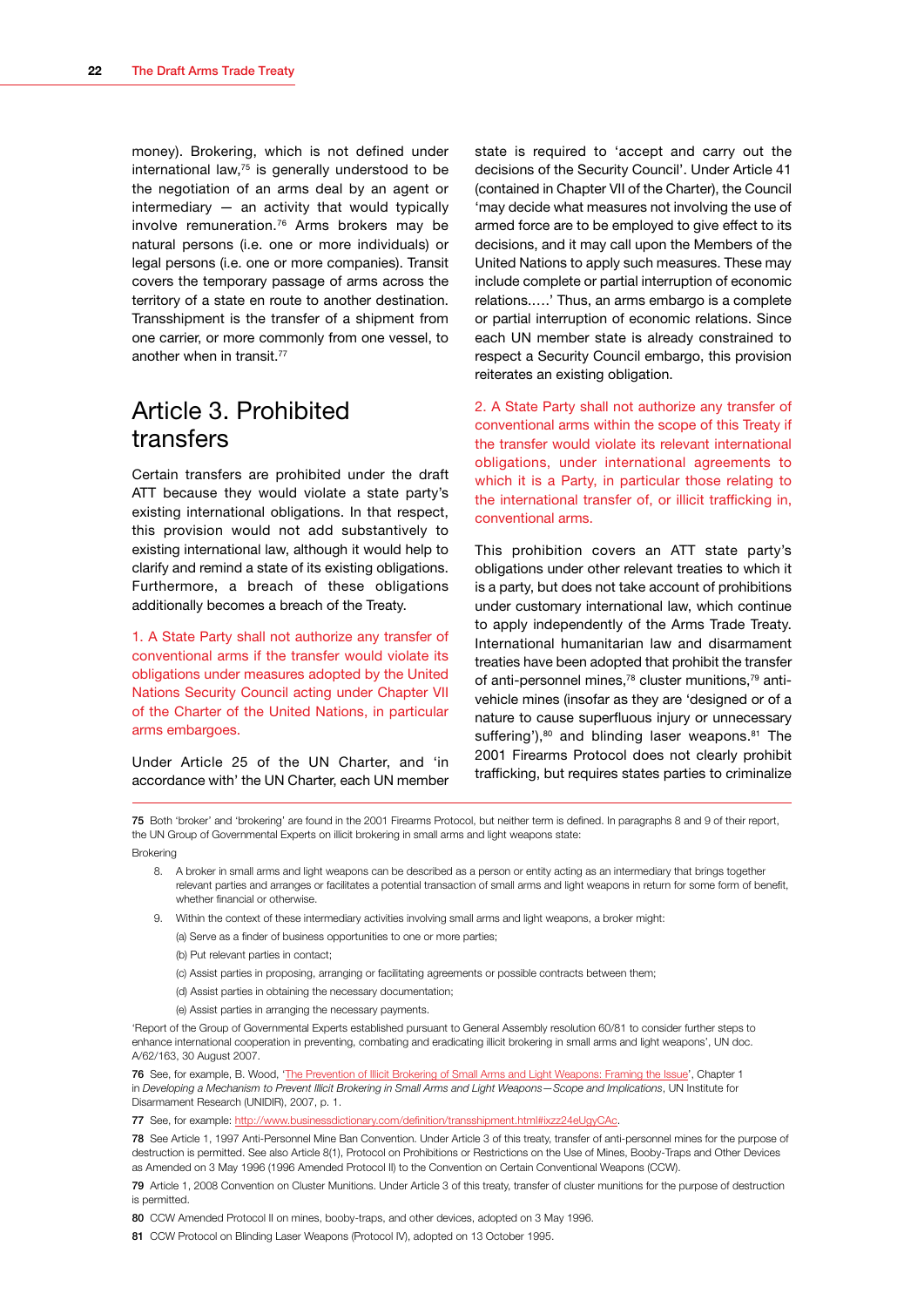<span id="page-24-0"></span>money). Brokering, which is not defined under international law, $75$  is generally understood to be the negotiation of an arms deal by an agent or intermediary  $-$  an activity that would typically involve remuneration.76 Arms brokers may be natural persons (i.e. one or more individuals) or legal persons (i.e. one or more companies). Transit covers the temporary passage of arms across the territory of a state en route to another destination. Transshipment is the transfer of a shipment from one carrier, or more commonly from one vessel, to another when in transit.<sup>77</sup>

## Article 3. Prohibited transfers

Certain transfers are prohibited under the draft ATT because they would violate a state party's existing international obligations. In that respect, this provision would not add substantively to existing international law, although it would help to clarify and remind a state of its existing obligations. Furthermore, a breach of these obligations additionally becomes a breach of the Treaty.

1. A State Party shall not authorize any transfer of conventional arms if the transfer would violate its obligations under measures adopted by the United Nations Security Council acting under Chapter VII of the Charter of the United Nations, in particular arms embargoes.

Under Article 25 of the UN Charter, and 'in accordance with' the UN Charter, each UN member

state is required to 'accept and carry out the decisions of the Security Council'. Under Article 41 (contained in Chapter VII of the Charter), the Council 'may decide what measures not involving the use of armed force are to be employed to give effect to its decisions, and it may call upon the Members of the United Nations to apply such measures. These may include complete or partial interruption of economic relations.….' Thus, an arms embargo is a complete or partial interruption of economic relations. Since each UN member state is already constrained to respect a Security Council embargo, this provision reiterates an existing obligation.

2. A State Party shall not authorize any transfer of conventional arms within the scope of this Treaty if the transfer would violate its relevant international obligations, under international agreements to which it is a Party, in particular those relating to the international transfer of, or illicit trafficking in, conventional arms.

This prohibition covers an ATT state party's obligations under other relevant treaties to which it is a party, but does not take account of prohibitions under customary international law, which continue to apply independently of the Arms Trade Treaty. International humanitarian law and disarmament treaties have been adopted that prohibit the transfer of anti-personnel mines,78 cluster munitions,79 antivehicle mines (insofar as they are 'designed or of a nature to cause superfluous injury or unnecessary suffering'), $80$  and blinding laser weapons. $81$  The 2001 Firearms Protocol does not clearly prohibit trafficking, but requires states parties to criminalize

75 Both 'broker' and 'brokering' are found in the 2001 Firearms Protocol, but neither term is defined. In paragraphs 8 and 9 of their report, the UN Group of Governmental Experts on illicit brokering in small arms and light weapons state:

Brokering

- 8. A broker in small arms and light weapons can be described as a person or entity acting as an intermediary that brings together relevant parties and arranges or facilitates a potential transaction of small arms and light weapons in return for some form of benefit whether financial or otherwise.
- 9. Within the context of these intermediary activities involving small arms and light weapons, a broker might:

(a) Serve as a finder of business opportunities to one or more parties;

- (b) Put relevant parties in contact;
- (c) Assist parties in proposing, arranging or facilitating agreements or possible contracts between them;
- (d) Assist parties in obtaining the necessary documentation;
- (e) Assist parties in arranging the necessary payments.

'Report of the Group of Governmental Experts established pursuant to General Assembly resolution 60/81 to consider further steps to enhance international cooperation in preventing, combating and eradicating illicit brokering in small arms and light weapons', UN doc. A/62/163, 30 August 2007.

76 See, for example, B. Wood, '[The Prevention of Illicit Brokering of Small Arms and Light Weapons: Framing the Issue](http://www.unidir.org/pdf/articles/pdf-art2590.pdf)', Chapter 1 in *Developing a Mechanism to Prevent Illicit Brokering in Small Arms and Light Weapons—Scope and Implications*, UN Institute for Disarmament Research (UNIDIR), 2007, p. 1.

78 See Article 1, 1997 Anti-Personnel Mine Ban Convention. Under Article 3 of this treaty, transfer of anti-personnel mines for the purpose of destruction is permitted. See also Article 8(1), Protocol on Prohibitions or Restrictions on the Use of Mines, Booby-Traps and Other Devices as Amended on 3 May 1996 (1996 Amended Protocol II) to the Convention on Certain Conventional Weapons (CCW).

80 CCW Amended Protocol II on mines, booby-traps, and other devices, adopted on 3 May 1996.

<sup>77</sup> See, for example: http://www.businessdictionary.com/definition/transshipment.html#ixzz24eUgyCAc.

<sup>79</sup> Article 1, 2008 Convention on Cluster Munitions. Under Article 3 of this treaty, transfer of cluster munitions for the purpose of destruction is permitted.

<sup>81</sup> CCW Protocol on Blinding Laser Weapons (Protocol IV), adopted on 13 October 1995.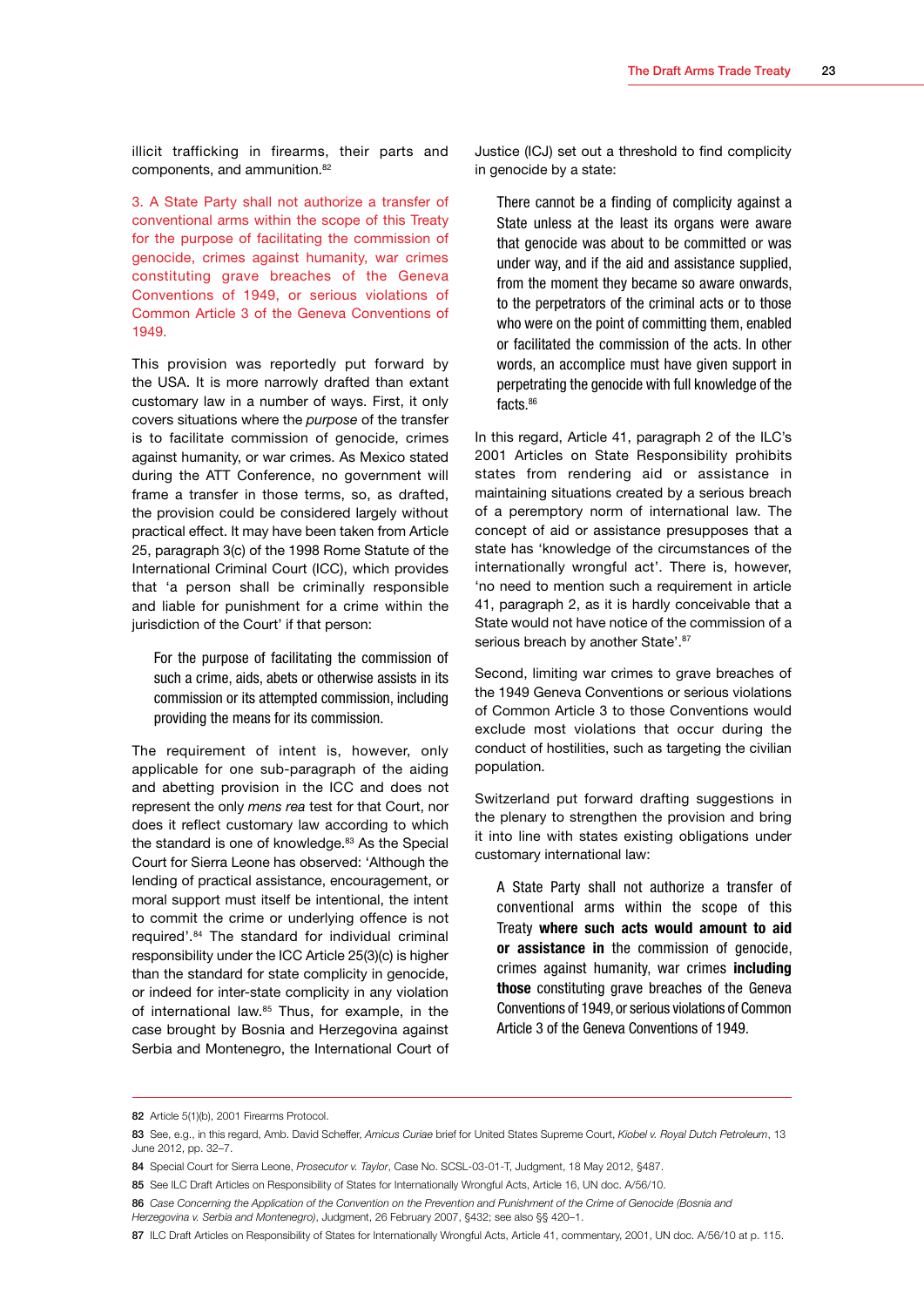illicit trafficking in firearms, their parts and components, and ammunition.82

3. A State Party shall not authorize a transfer of conventional arms within the scope of this Treaty for the purpose of facilitating the commission of genocide, crimes against humanity, war crimes constituting grave breaches of the Geneva Conventions of 1949, or serious violations of Common Article 3 of the Geneva Conventions of 1949.

This provision was reportedly put forward by the USA. It is more narrowly drafted than extant customary law in a number of ways. First, it only covers situations where the *purpose* of the transfer is to facilitate commission of genocide, crimes against humanity, or war crimes. As Mexico stated during the ATT Conference, no government will frame a transfer in those terms, so, as drafted, the provision could be considered largely without practical effect. It may have been taken from Article 25, paragraph 3(c) of the 1998 Rome Statute of the International Criminal Court (ICC), which provides that 'a person shall be criminally responsible and liable for punishment for a crime within the jurisdiction of the Court' if that person:

For the purpose of facilitating the commission of such a crime, aids, abets or otherwise assists in its commission or its attempted commission, including providing the means for its commission.

The requirement of intent is, however, only applicable for one sub-paragraph of the aiding and abetting provision in the ICC and does not represent the only *mens rea* test for that Court, nor does it reflect customary law according to which the standard is one of knowledge.<sup>83</sup> As the Special Court for Sierra Leone has observed: 'Although the lending of practical assistance, encouragement, or moral support must itself be intentional, the intent to commit the crime or underlying offence is not required'.84 The standard for individual criminal responsibility under the ICC Article 25(3)(c) is higher than the standard for state complicity in genocide, or indeed for inter-state complicity in any violation of international law.<sup>85</sup> Thus, for example, in the case brought by Bosnia and Herzegovina against Serbia and Montenegro, the International Court of

Justice (ICJ) set out a threshold to find complicity in genocide by a state:

There cannot be a finding of complicity against a State unless at the least its organs were aware that genocide was about to be committed or was under way, and if the aid and assistance supplied, from the moment they became so aware onwards, to the perpetrators of the criminal acts or to those who were on the point of committing them, enabled or facilitated the commission of the acts. In other words, an accomplice must have given support in perpetrating the genocide with full knowledge of the facts.<sup>86</sup>

In this regard, Article 41, paragraph 2 of the ILC's 2001 Articles on State Responsibility prohibits states from rendering aid or assistance in maintaining situations created by a serious breach of a peremptory norm of international law. The concept of aid or assistance presupposes that a state has 'knowledge of the circumstances of the internationally wrongful act'. There is, however, 'no need to mention such a requirement in article 41, paragraph 2, as it is hardly conceivable that a State would not have notice of the commission of a serious breach by another State'.<sup>87</sup>

Second, limiting war crimes to grave breaches of the 1949 Geneva Conventions or serious violations of Common Article 3 to those Conventions would exclude most violations that occur during the conduct of hostilities, such as targeting the civilian population.

Switzerland put forward drafting suggestions in the plenary to strengthen the provision and bring it into line with states existing obligations under customary international law:

A State Party shall not authorize a transfer of conventional arms within the scope of this Treaty **where such acts would amount to aid or assistance in** the commission of genocide, crimes against humanity, war crimes **including those** constituting grave breaches of the Geneva Conventions of 1949, or serious violations of Common Article 3 of the Geneva Conventions of 1949.

<sup>82</sup> Article 5(1)(b), 2001 Firearms Protocol.

<sup>83</sup> See, e.g., in this regard, Amb. David Scheffer, *Amicus Curiae* brief for United States Supreme Court, *Kiobel v. Royal Dutch Petroleum*, 13 June 2012, pp. 32–7.

<sup>84</sup> Special Court for Sierra Leone, *Prosecutor v. Taylor*, Case No. SCSL-03-01-T, Judgment, 18 May 2012, §487.

<sup>85</sup> See ILC Draft Articles on Responsibility of States for Internationally Wrongful Acts, Article 16, UN doc. A/56/10.

<sup>86</sup> *Case Concerning the Application of the Convention on the Prevention and Punishment of the Crime of Genocide (Bosnia and* 

*Herzegovina v. Serbia and Montenegro)*, Judgment, 26 February 2007, §432; see also §§ 420–1.

<sup>87</sup> ILC Draft Articles on Responsibility of States for Internationally Wrongful Acts, Article 41, commentary, 2001, UN doc. A/56/10 at p. 115.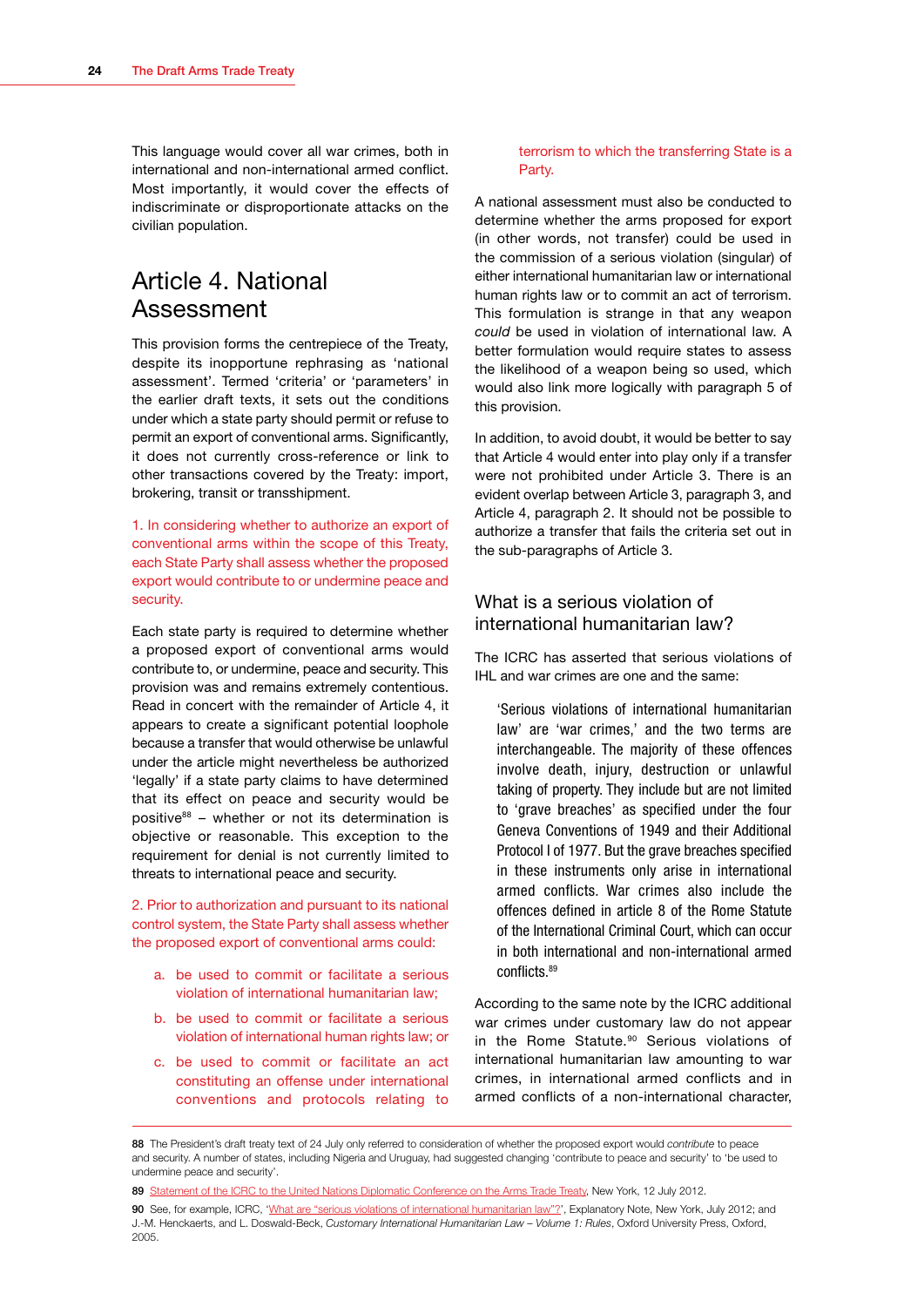<span id="page-26-0"></span>This language would cover all war crimes, both in international and non-international armed conflict. Most importantly, it would cover the effects of indiscriminate or disproportionate attacks on the civilian population.

## Article 4. National Assessment

This provision forms the centrepiece of the Treaty, despite its inopportune rephrasing as 'national assessment'. Termed 'criteria' or 'parameters' in the earlier draft texts, it sets out the conditions under which a state party should permit or refuse to permit an export of conventional arms. Significantly, it does not currently cross-reference or link to other transactions covered by the Treaty: import, brokering, transit or transshipment.

1. In considering whether to authorize an export of conventional arms within the scope of this Treaty, each State Party shall assess whether the proposed export would contribute to or undermine peace and security.

Each state party is required to determine whether a proposed export of conventional arms would contribute to, or undermine, peace and security. This provision was and remains extremely contentious. Read in concert with the remainder of Article 4, it appears to create a significant potential loophole because a transfer that would otherwise be unlawful under the article might nevertheless be authorized 'legally' if a state party claims to have determined that its effect on peace and security would be positive $88$  – whether or not its determination is objective or reasonable. This exception to the requirement for denial is not currently limited to threats to international peace and security.

2. Prior to authorization and pursuant to its national control system, the State Party shall assess whether the proposed export of conventional arms could:

- a. be used to commit or facilitate a serious violation of international humanitarian law;
- b. be used to commit or facilitate a serious violation of international human rights law; or
- c. be used to commit or facilitate an act constituting an offense under international conventions and protocols relating to

#### terrorism to which the transferring State is a Party.

A national assessment must also be conducted to determine whether the arms proposed for export (in other words, not transfer) could be used in the commission of a serious violation (singular) of either international humanitarian law or international human rights law or to commit an act of terrorism. This formulation is strange in that any weapon *could* be used in violation of international law. A better formulation would require states to assess the likelihood of a weapon being so used, which would also link more logically with paragraph 5 of this provision.

In addition, to avoid doubt, it would be better to say that Article 4 would enter into play only if a transfer were not prohibited under Article 3. There is an evident overlap between Article 3, paragraph 3, and Article 4, paragraph 2. It should not be possible to authorize a transfer that fails the criteria set out in the sub-paragraphs of Article 3.

#### What is a serious violation of international humanitarian law?

The ICRC has asserted that serious violations of IHL and war crimes are one and the same:

'Serious violations of international humanitarian law' are 'war crimes,' and the two terms are interchangeable. The majority of these offences involve death, injury, destruction or unlawful taking of property. They include but are not limited to 'grave breaches' as specified under the four Geneva Conventions of 1949 and their Additional Protocol I of 1977. But the grave breaches specified in these instruments only arise in international armed conflicts. War crimes also include the offences defined in article 8 of the Rome Statute of the International Criminal Court, which can occur in both international and non-international armed conflicts.89

According to the same note by the ICRC additional war crimes under customary law do not appear in the Rome Statute.<sup>90</sup> Serious violations of international humanitarian law amounting to war crimes, in international armed conflicts and in armed conflicts of a non-international character,

<sup>88</sup> The President's draft treaty text of 24 July only referred to consideration of whether the proposed export would *contribute* to peace and security. A number of states, including Nigeria and Uruguay, had suggested changing 'contribute to peace and security' to 'be used to undermine peace and security'.

<sup>89</sup> [Statement of the ICRC to the United Nations Diplomatic Conference on the Arms Trade Treaty,](http://www.icrc.org/eng/resources/documents/statement/2012/att-arms-availability-statement-2012-07-12.htm) New York, 12 July 2012.

<sup>90</sup> See, for example, ICRC, ['What are "serious violations of international humanitarian law"?](http://www.icrc.org/eng/assets/files/2012/att-what-are-serious-violations-of-ihl-icrc.pdf)', Explanatory Note, New York, July 2012; and J.-M. Henckaerts, and L. Doswald-Beck, *Customary International Humanitarian Law – Volume 1: Rules*, Oxford University Press, Oxford, 2005.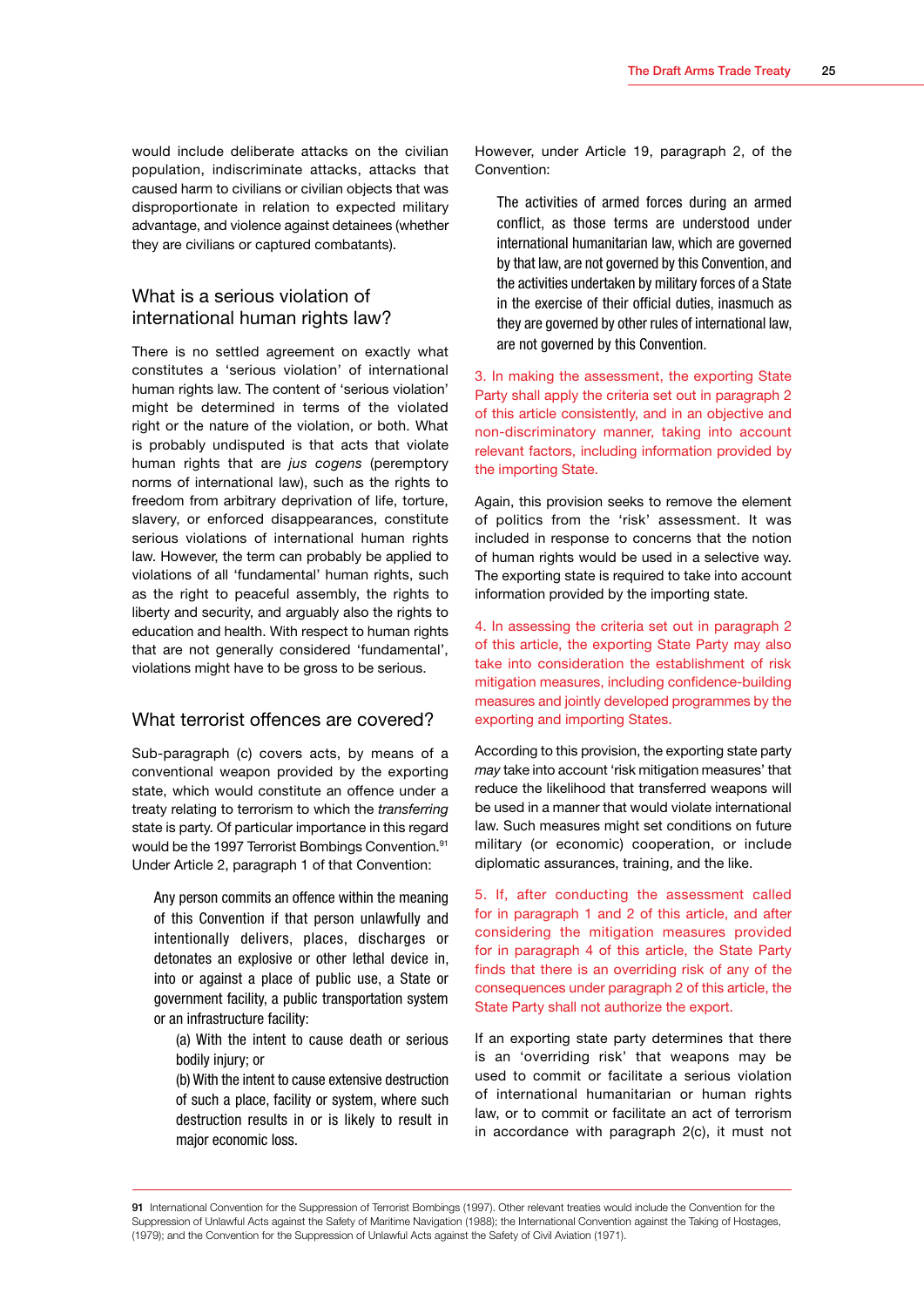<span id="page-27-0"></span>would include deliberate attacks on the civilian population, indiscriminate attacks, attacks that caused harm to civilians or civilian objects that was disproportionate in relation to expected military advantage, and violence against detainees (whether they are civilians or captured combatants).

#### What is a serious violation of international human rights law?

There is no settled agreement on exactly what constitutes a 'serious violation' of international human rights law. The content of 'serious violation' might be determined in terms of the violated right or the nature of the violation, or both. What is probably undisputed is that acts that violate human rights that are *jus cogens* (peremptory norms of international law), such as the rights to freedom from arbitrary deprivation of life, torture, slavery, or enforced disappearances, constitute serious violations of international human rights law. However, the term can probably be applied to violations of all 'fundamental' human rights, such as the right to peaceful assembly, the rights to liberty and security, and arguably also the rights to education and health. With respect to human rights that are not generally considered 'fundamental', violations might have to be gross to be serious.

#### What terrorist offences are covered?

Sub-paragraph (c) covers acts, by means of a conventional weapon provided by the exporting state, which would constitute an offence under a treaty relating to terrorism to which the *transferring* state is party. Of particular importance in this regard would be the 1997 Terrorist Bombings Convention.91 Under Article 2, paragraph 1 of that Convention:

Any person commits an offence within the meaning of this Convention if that person unlawfully and intentionally delivers, places, discharges or detonates an explosive or other lethal device in, into or against a place of public use, a State or government facility, a public transportation system or an infrastructure facility:

(a) With the intent to cause death or serious bodily injury; or

(b) With the intent to cause extensive destruction of such a place, facility or system, where such destruction results in or is likely to result in major economic loss.

However, under Article 19, paragraph 2, of the Convention:

The activities of armed forces during an armed conflict, as those terms are understood under international humanitarian law, which are governed by that law, are not governed by this Convention, and the activities undertaken by military forces of a State in the exercise of their official duties, inasmuch as they are governed by other rules of international law, are not governed by this Convention.

3. In making the assessment, the exporting State Party shall apply the criteria set out in paragraph 2 of this article consistently, and in an objective and non-discriminatory manner, taking into account relevant factors, including information provided by the importing State.

Again, this provision seeks to remove the element of politics from the 'risk' assessment. It was included in response to concerns that the notion of human rights would be used in a selective way. The exporting state is required to take into account information provided by the importing state.

4. In assessing the criteria set out in paragraph 2 of this article, the exporting State Party may also take into consideration the establishment of risk mitigation measures, including confidence-building measures and jointly developed programmes by the exporting and importing States.

According to this provision, the exporting state party *may* take into account 'risk mitigation measures' that reduce the likelihood that transferred weapons will be used in a manner that would violate international law. Such measures might set conditions on future military (or economic) cooperation, or include diplomatic assurances, training, and the like.

5. If, after conducting the assessment called for in paragraph 1 and 2 of this article, and after considering the mitigation measures provided for in paragraph 4 of this article, the State Party finds that there is an overriding risk of any of the consequences under paragraph 2 of this article, the State Party shall not authorize the export.

If an exporting state party determines that there is an 'overriding risk' that weapons may be used to commit or facilitate a serious violation of international humanitarian or human rights law, or to commit or facilitate an act of terrorism in accordance with paragraph 2(c), it must not

91 International Convention for the Suppression of Terrorist Bombings (1997). Other relevant treaties would include the Convention for the Suppression of Unlawful Acts against the Safety of Maritime Navigation (1988); the International Convention against the Taking of Hostages, (1979); and the Convention for the Suppression of Unlawful Acts against the Safety of Civil Aviation (1971).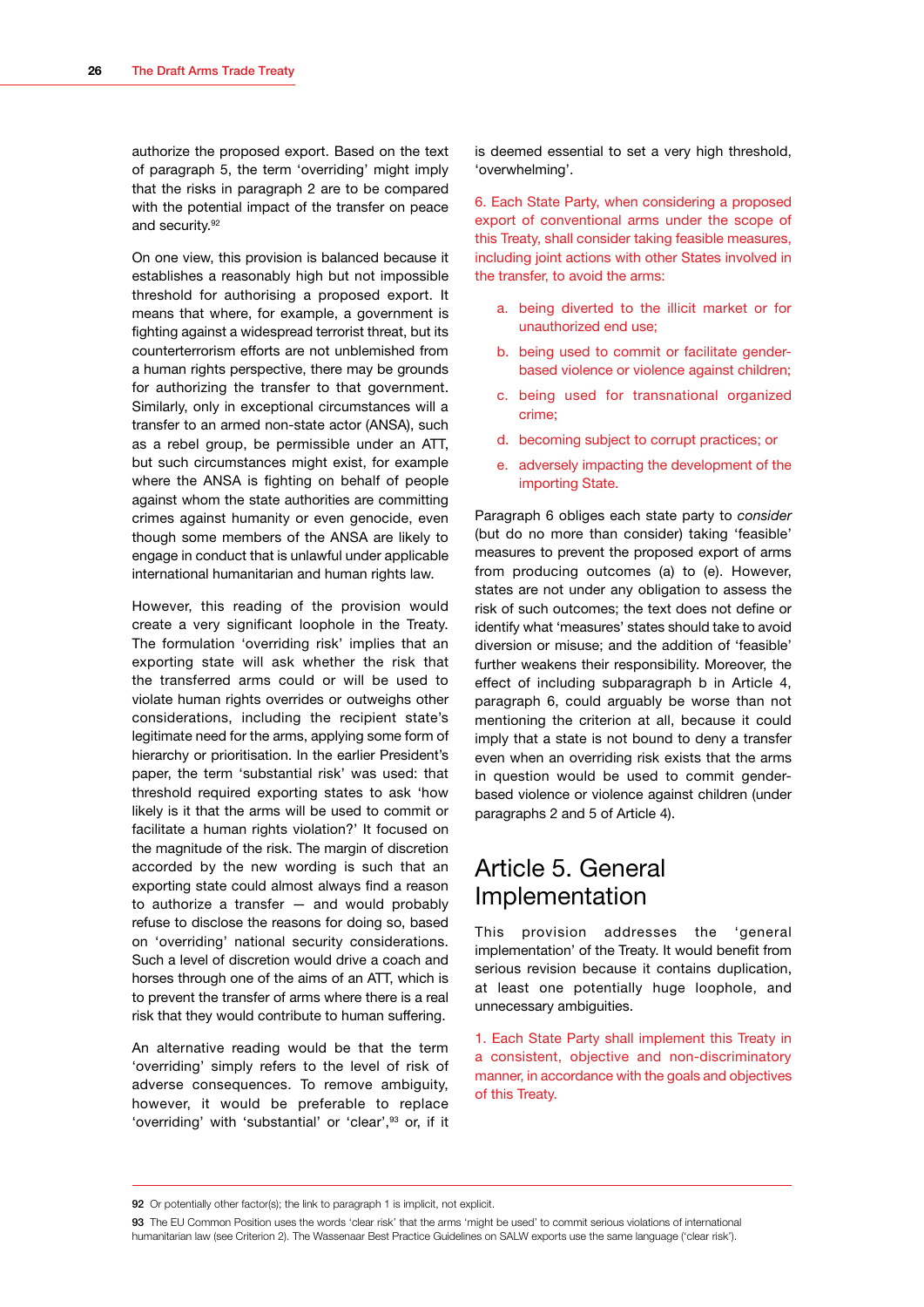<span id="page-28-0"></span>authorize the proposed export. Based on the text of paragraph 5, the term 'overriding' might imply that the risks in paragraph 2 are to be compared with the potential impact of the transfer on peace and security.<sup>92</sup>

On one view, this provision is balanced because it establishes a reasonably high but not impossible threshold for authorising a proposed export. It means that where, for example, a government is fighting against a widespread terrorist threat, but its counterterrorism efforts are not unblemished from a human rights perspective, there may be grounds for authorizing the transfer to that government. Similarly, only in exceptional circumstances will a transfer to an armed non-state actor (ANSA), such as a rebel group, be permissible under an ATT, but such circumstances might exist, for example where the ANSA is fighting on behalf of people against whom the state authorities are committing crimes against humanity or even genocide, even though some members of the ANSA are likely to engage in conduct that is unlawful under applicable international humanitarian and human rights law.

However, this reading of the provision would create a very significant loophole in the Treaty. The formulation 'overriding risk' implies that an exporting state will ask whether the risk that the transferred arms could or will be used to violate human rights overrides or outweighs other considerations, including the recipient state's legitimate need for the arms, applying some form of hierarchy or prioritisation. In the earlier President's paper, the term 'substantial risk' was used: that threshold required exporting states to ask 'how likely is it that the arms will be used to commit or facilitate a human rights violation?' It focused on the magnitude of the risk. The margin of discretion accorded by the new wording is such that an exporting state could almost always find a reason to authorize a transfer — and would probably refuse to disclose the reasons for doing so, based on 'overriding' national security considerations. Such a level of discretion would drive a coach and horses through one of the aims of an ATT, which is to prevent the transfer of arms where there is a real risk that they would contribute to human suffering.

An alternative reading would be that the term 'overriding' simply refers to the level of risk of adverse consequences. To remove ambiguity, however, it would be preferable to replace 'overriding' with 'substantial' or 'clear',93 or, if it is deemed essential to set a very high threshold, 'overwhelming'.

6. Each State Party, when considering a proposed export of conventional arms under the scope of this Treaty, shall consider taking feasible measures, including joint actions with other States involved in the transfer, to avoid the arms:

- a. being diverted to the illicit market or for unauthorized end use;
- b. being used to commit or facilitate genderbased violence or violence against children;
- c. being used for transnational organized crime;
- d. becoming subject to corrupt practices; or
- e. adversely impacting the development of the importing State.

Paragraph 6 obliges each state party to *consider* (but do no more than consider) taking 'feasible' measures to prevent the proposed export of arms from producing outcomes (a) to (e). However, states are not under any obligation to assess the risk of such outcomes; the text does not define or identify what 'measures' states should take to avoid diversion or misuse; and the addition of 'feasible' further weakens their responsibility. Moreover, the effect of including subparagraph b in Article 4, paragraph 6, could arguably be worse than not mentioning the criterion at all, because it could imply that a state is not bound to deny a transfer even when an overriding risk exists that the arms in question would be used to commit genderbased violence or violence against children (under paragraphs 2 and 5 of Article 4).

## Article 5. General Implementation

This provision addresses the 'general implementation' of the Treaty. It would benefit from serious revision because it contains duplication, at least one potentially huge loophole, and unnecessary ambiguities.

1. Each State Party shall implement this Treaty in a consistent, objective and non-discriminatory manner, in accordance with the goals and objectives of this Treaty.

<sup>92</sup> Or potentially other factor(s); the link to paragraph 1 is implicit, not explicit.

<sup>93.</sup> The EU Common Position uses the words 'clear risk' that the arms 'might be used' to commit serious violations of international humanitarian law (see Criterion 2). The Wassenaar Best Practice Guidelines on SALW exports use the same language ('clear risk').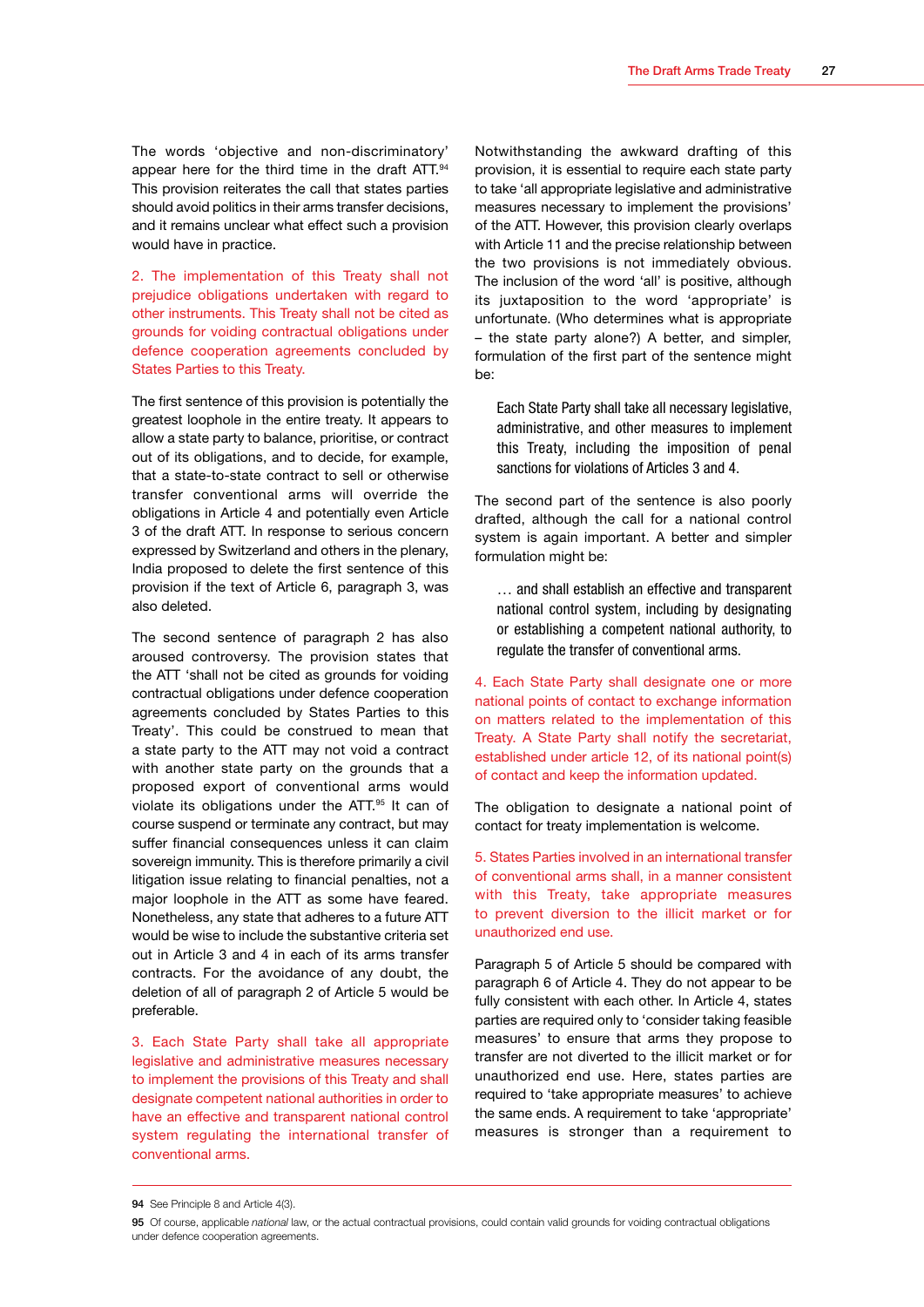The words 'objective and non-discriminatory' appear here for the third time in the draft ATT.94 This provision reiterates the call that states parties should avoid politics in their arms transfer decisions, and it remains unclear what effect such a provision would have in practice.

2. The implementation of this Treaty shall not prejudice obligations undertaken with regard to other instruments. This Treaty shall not be cited as grounds for voiding contractual obligations under defence cooperation agreements concluded by States Parties to this Treaty.

The first sentence of this provision is potentially the greatest loophole in the entire treaty. It appears to allow a state party to balance, prioritise, or contract out of its obligations, and to decide, for example, that a state-to-state contract to sell or otherwise transfer conventional arms will override the obligations in Article 4 and potentially even Article 3 of the draft ATT. In response to serious concern expressed by Switzerland and others in the plenary, India proposed to delete the first sentence of this provision if the text of Article 6, paragraph 3, was also deleted.

The second sentence of paragraph 2 has also aroused controversy. The provision states that the ATT 'shall not be cited as grounds for voiding contractual obligations under defence cooperation agreements concluded by States Parties to this Treaty'. This could be construed to mean that a state party to the ATT may not void a contract with another state party on the grounds that a proposed export of conventional arms would violate its obligations under the ATT.95 It can of course suspend or terminate any contract, but may suffer financial consequences unless it can claim sovereign immunity. This is therefore primarily a civil litigation issue relating to financial penalties, not a major loophole in the ATT as some have feared. Nonetheless, any state that adheres to a future ATT would be wise to include the substantive criteria set out in Article 3 and 4 in each of its arms transfer contracts. For the avoidance of any doubt, the deletion of all of paragraph 2 of Article 5 would be preferable.

3. Each State Party shall take all appropriate legislative and administrative measures necessary to implement the provisions of this Treaty and shall designate competent national authorities in order to have an effective and transparent national control system regulating the international transfer of conventional arms.

Notwithstanding the awkward drafting of this provision, it is essential to require each state party to take 'all appropriate legislative and administrative measures necessary to implement the provisions' of the ATT. However, this provision clearly overlaps with Article 11 and the precise relationship between the two provisions is not immediately obvious. The inclusion of the word 'all' is positive, although its juxtaposition to the word 'appropriate' is unfortunate. (Who determines what is appropriate – the state party alone?) A better, and simpler, formulation of the first part of the sentence might be:

Each State Party shall take all necessary legislative, administrative, and other measures to implement this Treaty, including the imposition of penal sanctions for violations of Articles 3 and 4.

The second part of the sentence is also poorly drafted, although the call for a national control system is again important. A better and simpler formulation might be:

… and shall establish an effective and transparent national control system, including by designating or establishing a competent national authority, to regulate the transfer of conventional arms.

4. Each State Party shall designate one or more national points of contact to exchange information on matters related to the implementation of this Treaty. A State Party shall notify the secretariat, established under article 12, of its national point(s) of contact and keep the information updated.

The obligation to designate a national point of contact for treaty implementation is welcome.

5. States Parties involved in an international transfer of conventional arms shall, in a manner consistent with this Treaty, take appropriate measures to prevent diversion to the illicit market or for unauthorized end use.

Paragraph 5 of Article 5 should be compared with paragraph 6 of Article 4. They do not appear to be fully consistent with each other. In Article 4, states parties are required only to 'consider taking feasible measures' to ensure that arms they propose to transfer are not diverted to the illicit market or for unauthorized end use. Here, states parties are required to 'take appropriate measures' to achieve the same ends. A requirement to take 'appropriate' measures is stronger than a requirement to

<sup>94</sup> See Principle 8 and Article 4(3).

<sup>95</sup> Of course, applicable *national* law, or the actual contractual provisions, could contain valid grounds for voiding contractual obligations under defence cooperation agreements.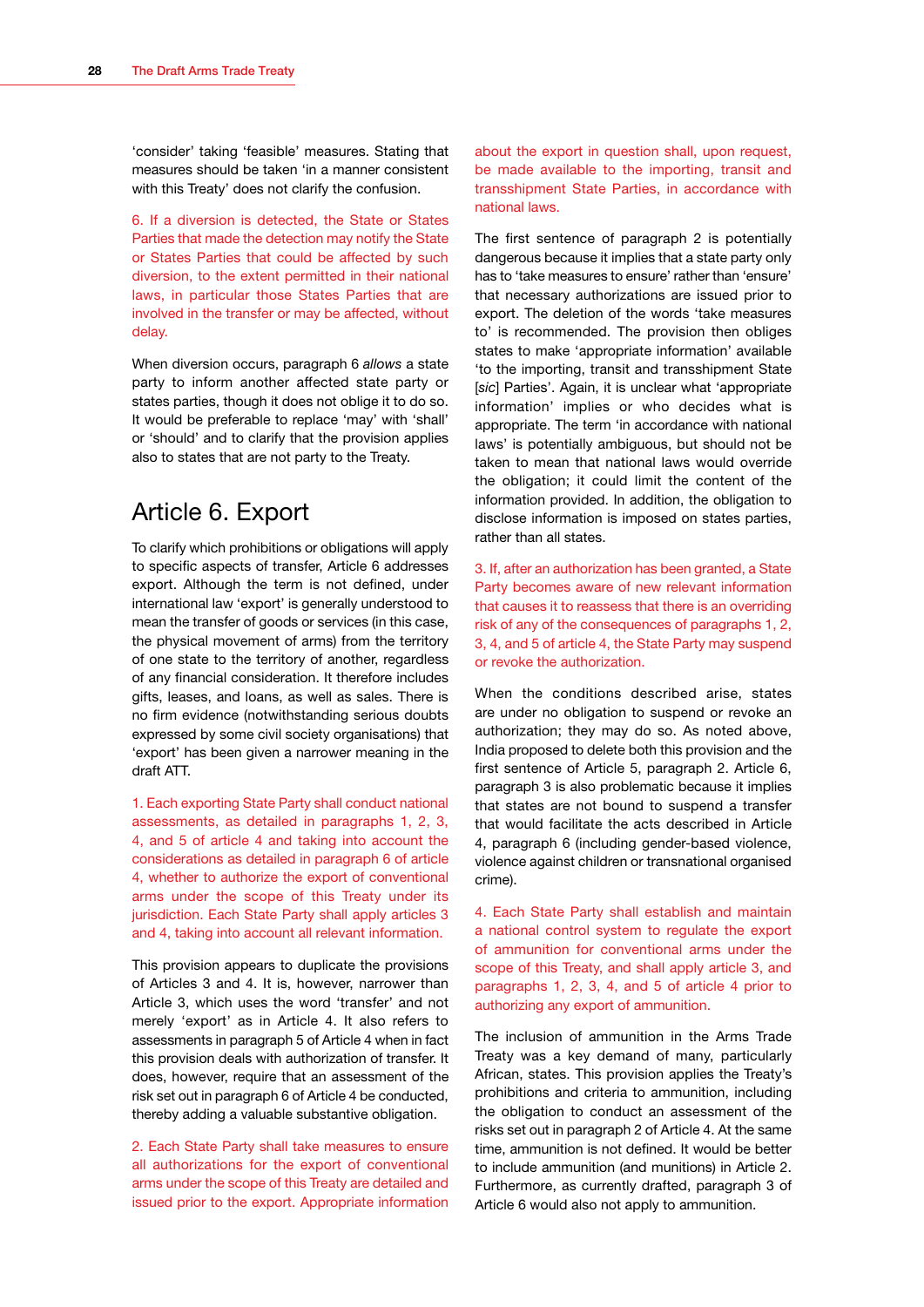<span id="page-30-0"></span>'consider' taking 'feasible' measures. Stating that measures should be taken 'in a manner consistent with this Treaty' does not clarify the confusion.

6. If a diversion is detected, the State or States Parties that made the detection may notify the State or States Parties that could be affected by such diversion, to the extent permitted in their national laws, in particular those States Parties that are involved in the transfer or may be affected, without delay.

When diversion occurs, paragraph 6 *allows* a state party to inform another affected state party or states parties, though it does not oblige it to do so. It would be preferable to replace 'may' with 'shall' or 'should' and to clarify that the provision applies also to states that are not party to the Treaty.

## Article 6. Export

To clarify which prohibitions or obligations will apply to specific aspects of transfer, Article 6 addresses export. Although the term is not defined, under international law 'export' is generally understood to mean the transfer of goods or services (in this case, the physical movement of arms) from the territory of one state to the territory of another, regardless of any financial consideration. It therefore includes gifts, leases, and loans, as well as sales. There is no firm evidence (notwithstanding serious doubts expressed by some civil society organisations) that 'export' has been given a narrower meaning in the draft ATT.

1. Each exporting State Party shall conduct national assessments, as detailed in paragraphs 1, 2, 3, 4, and 5 of article 4 and taking into account the considerations as detailed in paragraph 6 of article 4, whether to authorize the export of conventional arms under the scope of this Treaty under its jurisdiction. Each State Party shall apply articles 3 and 4, taking into account all relevant information.

This provision appears to duplicate the provisions of Articles 3 and 4. It is, however, narrower than Article 3, which uses the word 'transfer' and not merely 'export' as in Article 4. It also refers to assessments in paragraph 5 of Article 4 when in fact this provision deals with authorization of transfer. It does, however, require that an assessment of the risk set out in paragraph 6 of Article 4 be conducted, thereby adding a valuable substantive obligation.

2. Each State Party shall take measures to ensure all authorizations for the export of conventional arms under the scope of this Treaty are detailed and issued prior to the export. Appropriate information about the export in question shall, upon request, be made available to the importing, transit and transshipment State Parties, in accordance with national laws.

The first sentence of paragraph 2 is potentially dangerous because it implies that a state party only has to 'take measures to ensure' rather than 'ensure' that necessary authorizations are issued prior to export. The deletion of the words 'take measures to' is recommended. The provision then obliges states to make 'appropriate information' available 'to the importing, transit and transshipment State [sic] Parties'. Again, it is unclear what 'appropriate' information' implies or who decides what is appropriate. The term 'in accordance with national laws' is potentially ambiguous, but should not be taken to mean that national laws would override the obligation; it could limit the content of the information provided. In addition, the obligation to disclose information is imposed on states parties, rather than all states.

3. If, after an authorization has been granted, a State Party becomes aware of new relevant information that causes it to reassess that there is an overriding risk of any of the consequences of paragraphs 1, 2, 3, 4, and 5 of article 4, the State Party may suspend or revoke the authorization.

When the conditions described arise, states are under no obligation to suspend or revoke an authorization; they may do so. As noted above, India proposed to delete both this provision and the first sentence of Article 5, paragraph 2. Article 6, paragraph 3 is also problematic because it implies that states are not bound to suspend a transfer that would facilitate the acts described in Article 4, paragraph 6 (including gender-based violence, violence against children or transnational organised crime).

4. Each State Party shall establish and maintain a national control system to regulate the export of ammunition for conventional arms under the scope of this Treaty, and shall apply article 3, and paragraphs 1, 2, 3, 4, and 5 of article 4 prior to authorizing any export of ammunition.

The inclusion of ammunition in the Arms Trade Treaty was a key demand of many, particularly African, states. This provision applies the Treaty's prohibitions and criteria to ammunition, including the obligation to conduct an assessment of the risks set out in paragraph 2 of Article 4. At the same time, ammunition is not defined. It would be better to include ammunition (and munitions) in Article 2. Furthermore, as currently drafted, paragraph 3 of Article 6 would also not apply to ammunition.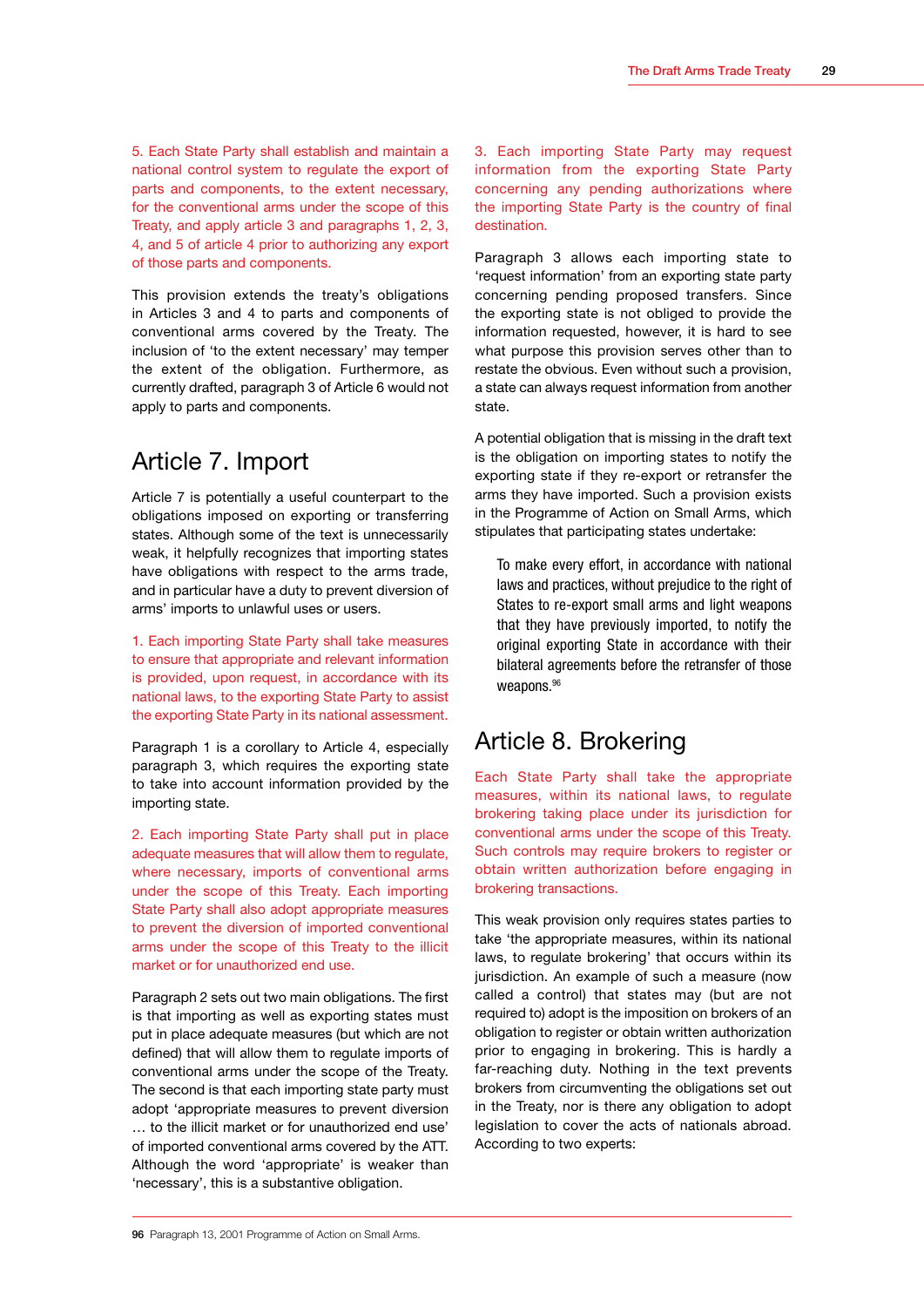<span id="page-31-0"></span>5. Each State Party shall establish and maintain a national control system to regulate the export of parts and components, to the extent necessary, for the conventional arms under the scope of this Treaty, and apply article 3 and paragraphs 1, 2, 3, 4, and 5 of article 4 prior to authorizing any export of those parts and components.

This provision extends the treaty's obligations in Articles 3 and 4 to parts and components of conventional arms covered by the Treaty. The inclusion of 'to the extent necessary' may temper the extent of the obligation. Furthermore, as currently drafted, paragraph 3 of Article 6 would not apply to parts and components.

## Article 7. Import

Article 7 is potentially a useful counterpart to the obligations imposed on exporting or transferring states. Although some of the text is unnecessarily weak, it helpfully recognizes that importing states have obligations with respect to the arms trade, and in particular have a duty to prevent diversion of arms' imports to unlawful uses or users.

1. Each importing State Party shall take measures to ensure that appropriate and relevant information is provided, upon request, in accordance with its national laws, to the exporting State Party to assist the exporting State Party in its national assessment.

Paragraph 1 is a corollary to Article 4, especially paragraph 3, which requires the exporting state to take into account information provided by the importing state.

2. Each importing State Party shall put in place adequate measures that will allow them to regulate, where necessary, imports of conventional arms under the scope of this Treaty. Each importing State Party shall also adopt appropriate measures to prevent the diversion of imported conventional arms under the scope of this Treaty to the illicit market or for unauthorized end use.

Paragraph 2 sets out two main obligations. The first is that importing as well as exporting states must put in place adequate measures (but which are not defined) that will allow them to regulate imports of conventional arms under the scope of the Treaty. The second is that each importing state party must adopt 'appropriate measures to prevent diversion … to the illicit market or for unauthorized end use' of imported conventional arms covered by the ATT. Although the word 'appropriate' is weaker than 'necessary', this is a substantive obligation.

3. Each importing State Party may request information from the exporting State Party concerning any pending authorizations where the importing State Party is the country of final destination.

Paragraph 3 allows each importing state to 'request information' from an exporting state party concerning pending proposed transfers. Since the exporting state is not obliged to provide the information requested, however, it is hard to see what purpose this provision serves other than to restate the obvious. Even without such a provision, a state can always request information from another state.

A potential obligation that is missing in the draft text is the obligation on importing states to notify the exporting state if they re-export or retransfer the arms they have imported. Such a provision exists in the Programme of Action on Small Arms, which stipulates that participating states undertake:

To make every effort, in accordance with national laws and practices, without prejudice to the right of States to re-export small arms and light weapons that they have previously imported, to notify the original exporting State in accordance with their bilateral agreements before the retransfer of those weapons.<sup>96</sup>

### Article 8. Brokering

Each State Party shall take the appropriate measures, within its national laws, to regulate brokering taking place under its jurisdiction for conventional arms under the scope of this Treaty. Such controls may require brokers to register or obtain written authorization before engaging in brokering transactions.

This weak provision only requires states parties to take 'the appropriate measures, within its national laws, to regulate brokering' that occurs within its jurisdiction. An example of such a measure (now called a control) that states may (but are not required to) adopt is the imposition on brokers of an obligation to register or obtain written authorization prior to engaging in brokering. This is hardly a far-reaching duty. Nothing in the text prevents brokers from circumventing the obligations set out in the Treaty, nor is there any obligation to adopt legislation to cover the acts of nationals abroad. According to two experts: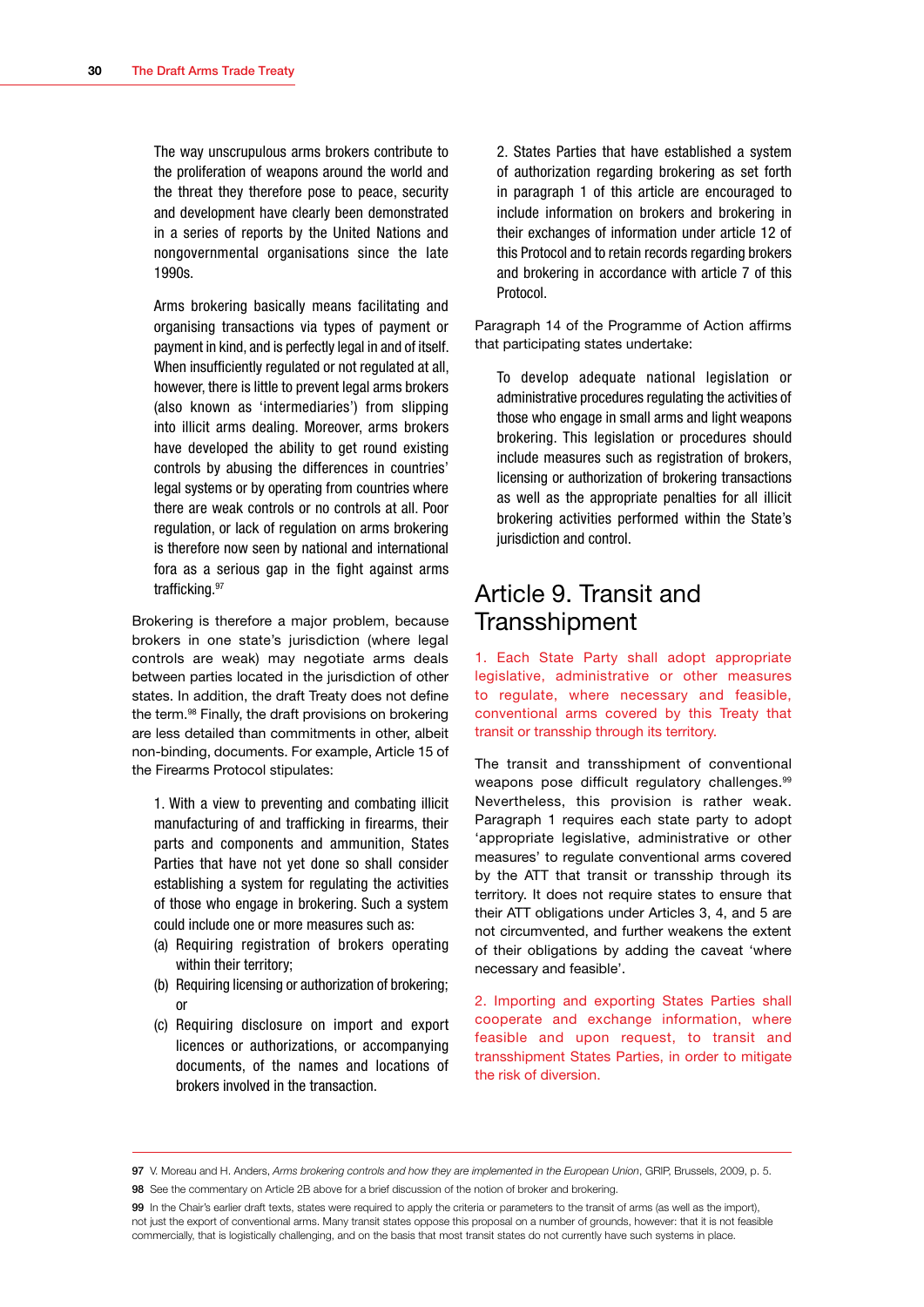<span id="page-32-0"></span>The way unscrupulous arms brokers contribute to the proliferation of weapons around the world and the threat they therefore pose to peace, security and development have clearly been demonstrated in a series of reports by the United Nations and nongovernmental organisations since the late 1990s.

Arms brokering basically means facilitating and organising transactions via types of payment or payment in kind, and is perfectly legal in and of itself. When insufficiently regulated or not regulated at all, however, there is little to prevent legal arms brokers (also known as 'intermediaries') from slipping into illicit arms dealing. Moreover, arms brokers have developed the ability to get round existing controls by abusing the differences in countries' legal systems or by operating from countries where there are weak controls or no controls at all. Poor regulation, or lack of regulation on arms brokering is therefore now seen by national and international fora as a serious gap in the fight against arms trafficking.97

Brokering is therefore a major problem, because brokers in one state's jurisdiction (where legal controls are weak) may negotiate arms deals between parties located in the jurisdiction of other states. In addition, the draft Treaty does not define the term.<sup>98</sup> Finally, the draft provisions on brokering are less detailed than commitments in other, albeit non-binding, documents. For example, Article 15 of the Firearms Protocol stipulates:

1. With a view to preventing and combating illicit manufacturing of and trafficking in firearms, their parts and components and ammunition, States Parties that have not yet done so shall consider establishing a system for regulating the activities of those who engage in brokering. Such a system could include one or more measures such as:

- (a) Requiring registration of brokers operating within their territory;
- (b) Requiring licensing or authorization of brokering; or
- (c) Requiring disclosure on import and export licences or authorizations, or accompanying documents, of the names and locations of brokers involved in the transaction.

2. States Parties that have established a system of authorization regarding brokering as set forth in paragraph 1 of this article are encouraged to include information on brokers and brokering in their exchanges of information under article 12 of this Protocol and to retain records regarding brokers and brokering in accordance with article 7 of this Protocol.

Paragraph 14 of the Programme of Action affirms that participating states undertake:

To develop adequate national legislation or administrative procedures regulating the activities of those who engage in small arms and light weapons brokering. This legislation or procedures should include measures such as registration of brokers, licensing or authorization of brokering transactions as well as the appropriate penalties for all illicit brokering activities performed within the State's jurisdiction and control.

## Article 9. Transit and **Transshipment**

1. Each State Party shall adopt appropriate legislative, administrative or other measures to regulate, where necessary and feasible, conventional arms covered by this Treaty that transit or transship through its territory.

The transit and transshipment of conventional weapons pose difficult regulatory challenges.<sup>99</sup> Nevertheless, this provision is rather weak. Paragraph 1 requires each state party to adopt 'appropriate legislative, administrative or other measures' to regulate conventional arms covered by the ATT that transit or transship through its territory. It does not require states to ensure that their ATT obligations under Articles 3, 4, and 5 are not circumvented, and further weakens the extent of their obligations by adding the caveat 'where necessary and feasible'.

2. Importing and exporting States Parties shall cooperate and exchange information, where feasible and upon request, to transit and transshipment States Parties, in order to mitigate the risk of diversion.

<sup>97</sup> V. Moreau and H. Anders, *Arms brokering controls and how they are implemented in the European Union*, GRIP, Brussels, 2009, p. 5.

<sup>98</sup> See the commentary on Article 2B above for a brief discussion of the notion of broker and brokering.

<sup>99</sup> In the Chair's earlier draft texts, states were required to apply the criteria or parameters to the transit of arms (as well as the import), not just the export of conventional arms. Many transit states oppose this proposal on a number of grounds, however: that it is not feasible commercially, that is logistically challenging, and on the basis that most transit states do not currently have such systems in place.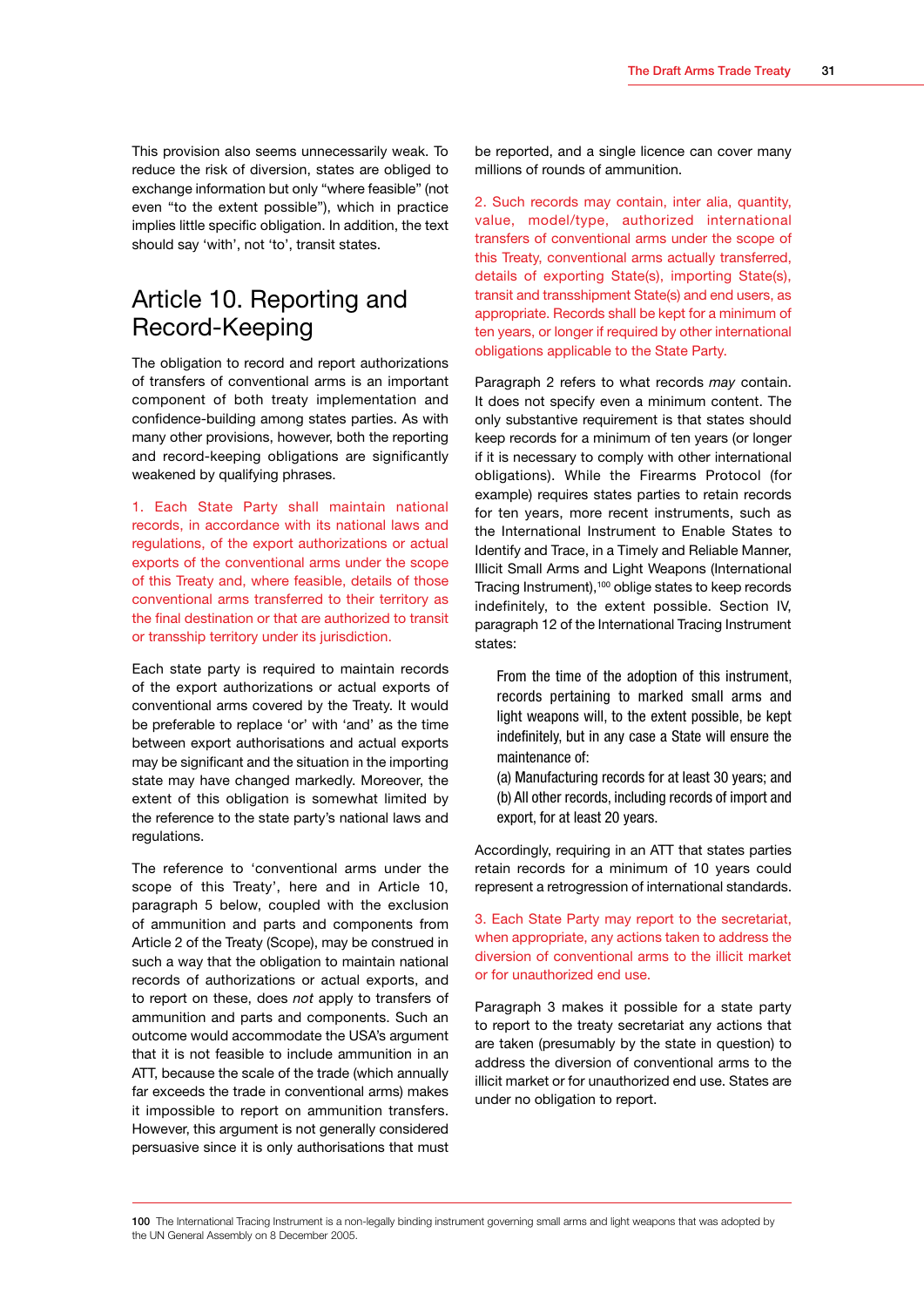<span id="page-33-0"></span>This provision also seems unnecessarily weak. To reduce the risk of diversion, states are obliged to exchange information but only "where feasible" (not even "to the extent possible"), which in practice implies little specific obligation. In addition, the text should say 'with', not 'to', transit states.

## Article 10. Reporting and Record-Keeping

The obligation to record and report authorizations of transfers of conventional arms is an important component of both treaty implementation and confidence-building among states parties. As with many other provisions, however, both the reporting and record-keeping obligations are significantly weakened by qualifying phrases.

1. Each State Party shall maintain national records, in accordance with its national laws and regulations, of the export authorizations or actual exports of the conventional arms under the scope of this Treaty and, where feasible, details of those conventional arms transferred to their territory as the final destination or that are authorized to transit or transship territory under its jurisdiction.

Each state party is required to maintain records of the export authorizations or actual exports of conventional arms covered by the Treaty. It would be preferable to replace 'or' with 'and' as the time between export authorisations and actual exports may be significant and the situation in the importing state may have changed markedly. Moreover, the extent of this obligation is somewhat limited by the reference to the state party's national laws and regulations.

The reference to 'conventional arms under the scope of this Treaty', here and in Article 10, paragraph 5 below, coupled with the exclusion of ammunition and parts and components from Article 2 of the Treaty (Scope), may be construed in such a way that the obligation to maintain national records of authorizations or actual exports, and to report on these, does *not* apply to transfers of ammunition and parts and components. Such an outcome would accommodate the USA's argument that it is not feasible to include ammunition in an ATT, because the scale of the trade (which annually far exceeds the trade in conventional arms) makes it impossible to report on ammunition transfers. However, this argument is not generally considered persuasive since it is only authorisations that must be reported, and a single licence can cover many millions of rounds of ammunition.

2. Such records may contain, inter alia, quantity, value, model/type, authorized international transfers of conventional arms under the scope of this Treaty, conventional arms actually transferred, details of exporting State(s), importing State(s), transit and transshipment State(s) and end users, as appropriate. Records shall be kept for a minimum of ten years, or longer if required by other international obligations applicable to the State Party.

Paragraph 2 refers to what records *may* contain. It does not specify even a minimum content. The only substantive requirement is that states should keep records for a minimum of ten years (or longer if it is necessary to comply with other international obligations). While the Firearms Protocol (for example) requires states parties to retain records for ten years, more recent instruments, such as the International Instrument to Enable States to Identify and Trace, in a Timely and Reliable Manner, Illicit Small Arms and Light Weapons (International Tracing Instrument),100 oblige states to keep records indefinitely, to the extent possible. Section IV, paragraph 12 of the International Tracing Instrument states:

From the time of the adoption of this instrument, records pertaining to marked small arms and light weapons will, to the extent possible, be kept indefinitely, but in any case a State will ensure the maintenance of:

(a) Manufacturing records for at least 30 years; and (b) All other records, including records of import and export, for at least 20 years.

Accordingly, requiring in an ATT that states parties retain records for a minimum of 10 years could represent a retrogression of international standards.

3. Each State Party may report to the secretariat, when appropriate, any actions taken to address the diversion of conventional arms to the illicit market or for unauthorized end use.

Paragraph 3 makes it possible for a state party to report to the treaty secretariat any actions that are taken (presumably by the state in question) to address the diversion of conventional arms to the illicit market or for unauthorized end use. States are under no obligation to report.

100 The International Tracing Instrument is a non-legally binding instrument governing small arms and light weapons that was adopted by the UN General Assembly on 8 December 2005.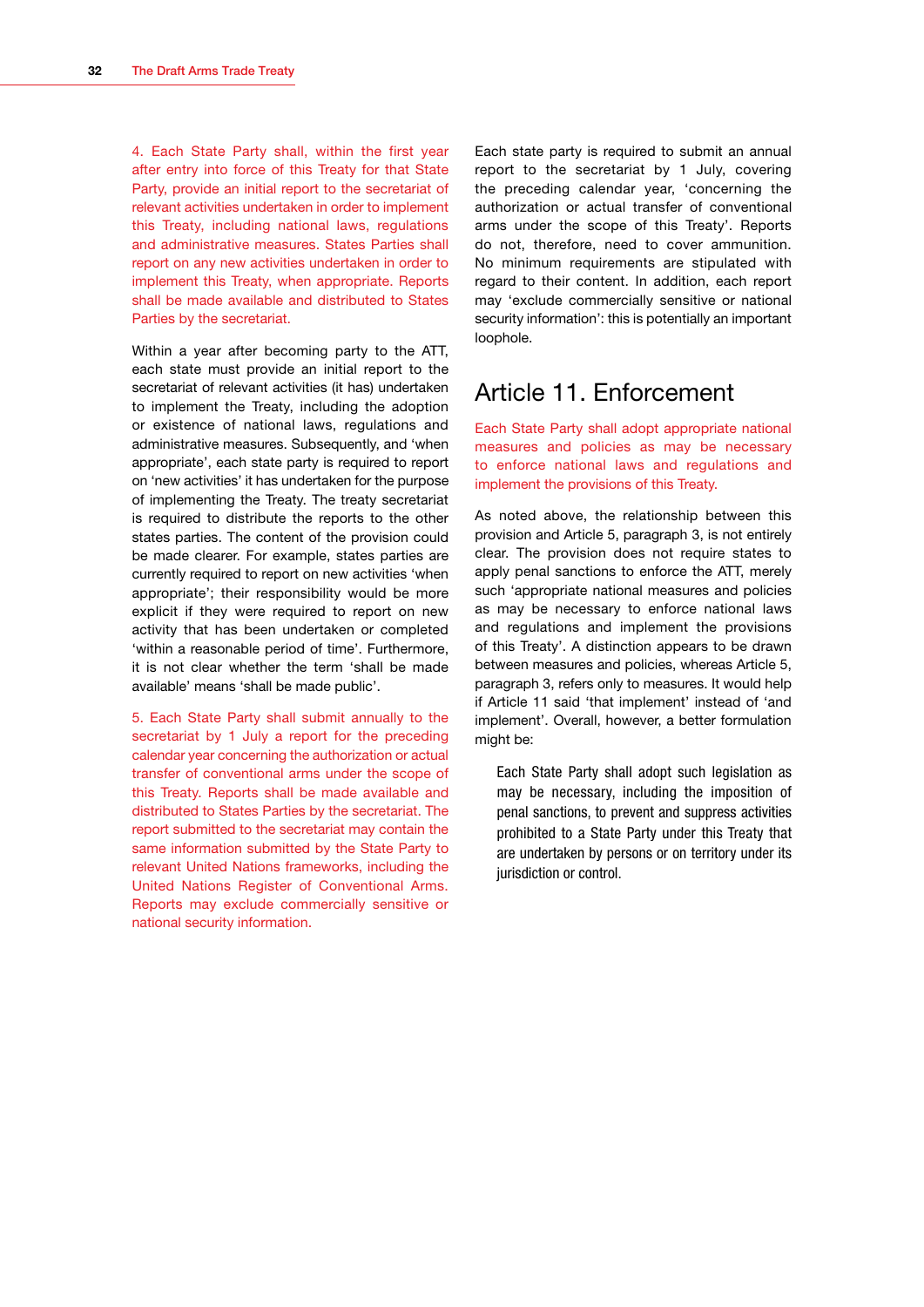<span id="page-34-0"></span>4. Each State Party shall, within the first year after entry into force of this Treaty for that State Party, provide an initial report to the secretariat of relevant activities undertaken in order to implement this Treaty, including national laws, regulations and administrative measures. States Parties shall report on any new activities undertaken in order to implement this Treaty, when appropriate. Reports shall be made available and distributed to States Parties by the secretariat.

Within a year after becoming party to the ATT, each state must provide an initial report to the secretariat of relevant activities (it has) undertaken to implement the Treaty, including the adoption or existence of national laws, regulations and administrative measures. Subsequently, and 'when appropriate', each state party is required to report on 'new activities' it has undertaken for the purpose of implementing the Treaty. The treaty secretariat is required to distribute the reports to the other states parties. The content of the provision could be made clearer. For example, states parties are currently required to report on new activities 'when appropriate'; their responsibility would be more explicit if they were required to report on new activity that has been undertaken or completed 'within a reasonable period of time'. Furthermore, it is not clear whether the term 'shall be made available' means 'shall be made public'.

5. Each State Party shall submit annually to the secretariat by 1 July a report for the preceding calendar year concerning the authorization or actual transfer of conventional arms under the scope of this Treaty. Reports shall be made available and distributed to States Parties by the secretariat. The report submitted to the secretariat may contain the same information submitted by the State Party to relevant United Nations frameworks, including the United Nations Register of Conventional Arms. Reports may exclude commercially sensitive or national security information.

Each state party is required to submit an annual report to the secretariat by 1 July, covering the preceding calendar year, 'concerning the authorization or actual transfer of conventional arms under the scope of this Treaty'. Reports do not, therefore, need to cover ammunition. No minimum requirements are stipulated with regard to their content. In addition, each report may 'exclude commercially sensitive or national security information': this is potentially an important loophole.

## Article 11. Enforcement

Each State Party shall adopt appropriate national measures and policies as may be necessary to enforce national laws and regulations and implement the provisions of this Treaty.

As noted above, the relationship between this provision and Article 5, paragraph 3, is not entirely clear. The provision does not require states to apply penal sanctions to enforce the ATT, merely such 'appropriate national measures and policies as may be necessary to enforce national laws and regulations and implement the provisions of this Treaty'. A distinction appears to be drawn between measures and policies, whereas Article 5, paragraph 3, refers only to measures. It would help if Article 11 said 'that implement' instead of 'and implement'. Overall, however, a better formulation might be:

Each State Party shall adopt such legislation as may be necessary, including the imposition of penal sanctions, to prevent and suppress activities prohibited to a State Party under this Treaty that are undertaken by persons or on territory under its jurisdiction or control.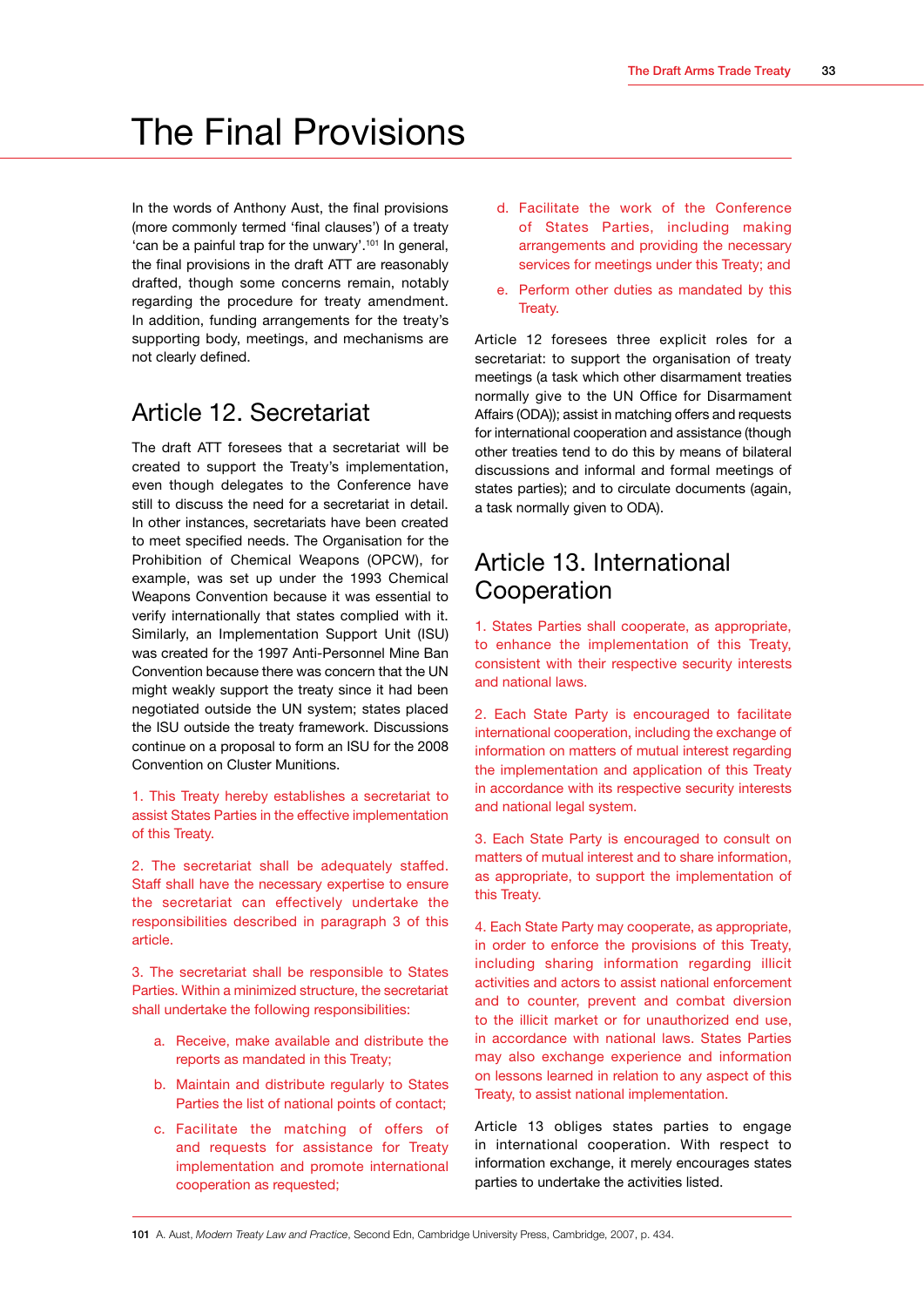## <span id="page-35-0"></span>The Final Provisions

In the words of Anthony Aust, the final provisions (more commonly termed 'final clauses') of a treaty 'can be a painful trap for the unwary'.101 In general, the final provisions in the draft ATT are reasonably drafted, though some concerns remain, notably regarding the procedure for treaty amendment. In addition, funding arrangements for the treaty's supporting body, meetings, and mechanisms are not clearly defined.

## Article 12. Secretariat

The draft ATT foresees that a secretariat will be created to support the Treaty's implementation, even though delegates to the Conference have still to discuss the need for a secretariat in detail. In other instances, secretariats have been created to meet specified needs. The Organisation for the Prohibition of Chemical Weapons (OPCW), for example, was set up under the 1993 Chemical Weapons Convention because it was essential to verify internationally that states complied with it. Similarly, an Implementation Support Unit (ISU) was created for the 1997 Anti-Personnel Mine Ban Convention because there was concern that the UN might weakly support the treaty since it had been negotiated outside the UN system; states placed the ISU outside the treaty framework. Discussions continue on a proposal to form an ISU for the 2008 Convention on Cluster Munitions.

1. This Treaty hereby establishes a secretariat to assist States Parties in the effective implementation of this Treaty.

2. The secretariat shall be adequately staffed. Staff shall have the necessary expertise to ensure the secretariat can effectively undertake the responsibilities described in paragraph 3 of this article.

3. The secretariat shall be responsible to States Parties. Within a minimized structure, the secretariat shall undertake the following responsibilities:

- a. Receive, make available and distribute the reports as mandated in this Treaty;
- b. Maintain and distribute regularly to States Parties the list of national points of contact;
- c. Facilitate the matching of offers of and requests for assistance for Treaty implementation and promote international cooperation as requested;
- d. Facilitate the work of the Conference of States Parties, including making arrangements and providing the necessary services for meetings under this Treaty; and
- e. Perform other duties as mandated by this Treaty.

Article 12 foresees three explicit roles for a secretariat: to support the organisation of treaty meetings (a task which other disarmament treaties normally give to the UN Office for Disarmament Affairs (ODA)); assist in matching offers and requests for international cooperation and assistance (though other treaties tend to do this by means of bilateral discussions and informal and formal meetings of states parties); and to circulate documents (again, a task normally given to ODA).

### Article 13. International Cooperation

1. States Parties shall cooperate, as appropriate, to enhance the implementation of this Treaty, consistent with their respective security interests and national laws.

2. Each State Party is encouraged to facilitate international cooperation, including the exchange of information on matters of mutual interest regarding the implementation and application of this Treaty in accordance with its respective security interests and national legal system.

3. Each State Party is encouraged to consult on matters of mutual interest and to share information, as appropriate, to support the implementation of this Treaty.

4. Each State Party may cooperate, as appropriate, in order to enforce the provisions of this Treaty, including sharing information regarding illicit activities and actors to assist national enforcement and to counter, prevent and combat diversion to the illicit market or for unauthorized end use, in accordance with national laws. States Parties may also exchange experience and information on lessons learned in relation to any aspect of this Treaty, to assist national implementation.

Article 13 obliges states parties to engage in international cooperation. With respect to information exchange, it merely encourages states parties to undertake the activities listed.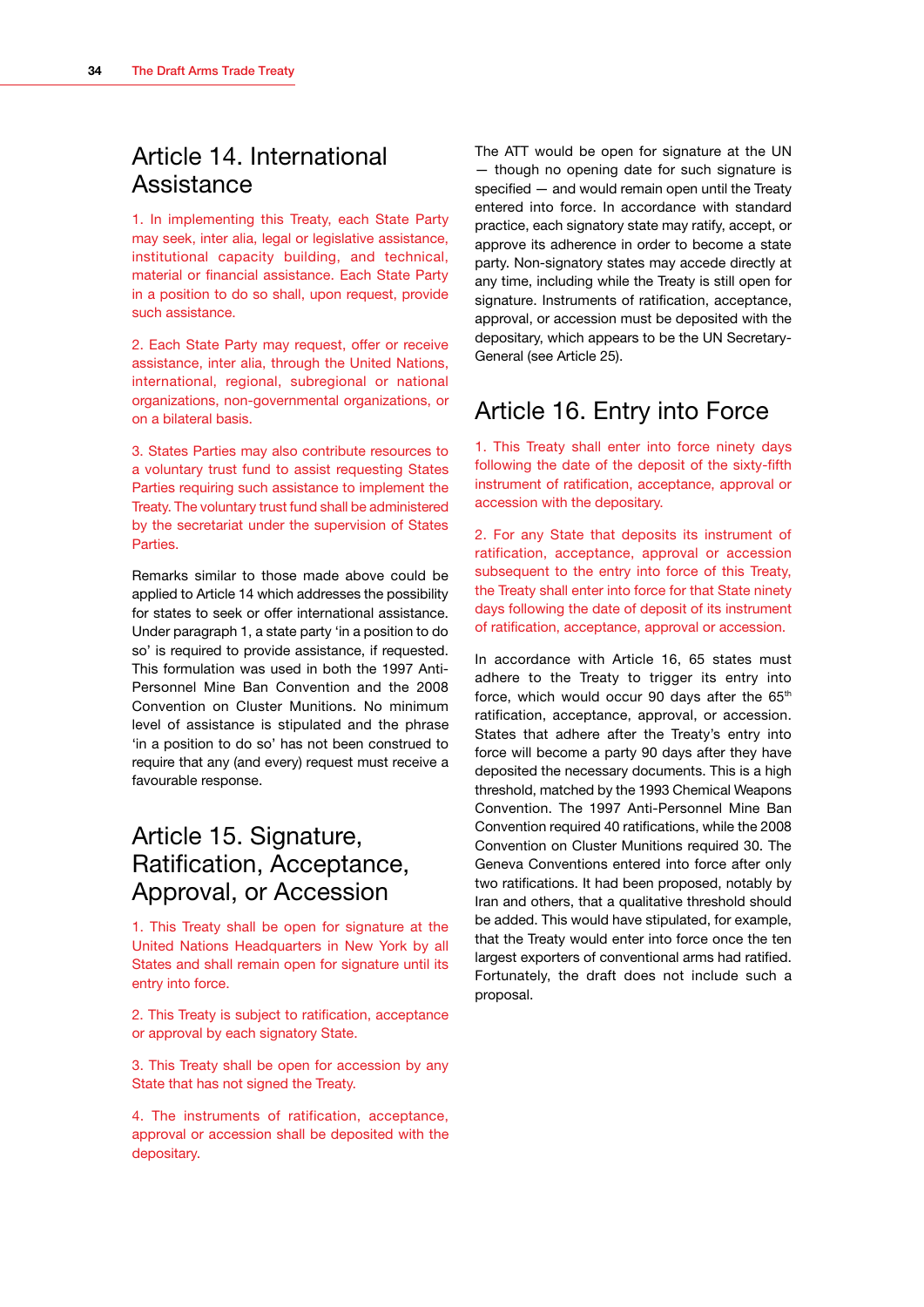## <span id="page-36-0"></span>Article 14. International Assistance

1. In implementing this Treaty, each State Party may seek, inter alia, legal or legislative assistance, institutional capacity building, and technical, material or financial assistance. Each State Party in a position to do so shall, upon request, provide such assistance.

2. Each State Party may request, offer or receive assistance, inter alia, through the United Nations, international, regional, subregional or national organizations, non-governmental organizations, or on a bilateral basis.

3. States Parties may also contribute resources to a voluntary trust fund to assist requesting States Parties requiring such assistance to implement the Treaty. The voluntary trust fund shall be administered by the secretariat under the supervision of States Parties.

Remarks similar to those made above could be applied to Article 14 which addresses the possibility for states to seek or offer international assistance. Under paragraph 1, a state party 'in a position to do so' is required to provide assistance, if requested. This formulation was used in both the 1997 Anti-Personnel Mine Ban Convention and the 2008 Convention on Cluster Munitions. No minimum level of assistance is stipulated and the phrase 'in a position to do so' has not been construed to require that any (and every) request must receive a favourable response.

## Article 15. Signature, Ratification, Acceptance, Approval, or Accession

1. This Treaty shall be open for signature at the United Nations Headquarters in New York by all States and shall remain open for signature until its entry into force.

2. This Treaty is subject to ratification, acceptance or approval by each signatory State.

3. This Treaty shall be open for accession by any State that has not signed the Treaty.

4. The instruments of ratification, acceptance, approval or accession shall be deposited with the depositary.

The ATT would be open for signature at the UN — though no opening date for such signature is specified — and would remain open until the Treaty entered into force. In accordance with standard practice, each signatory state may ratify, accept, or approve its adherence in order to become a state party. Non-signatory states may accede directly at any time, including while the Treaty is still open for signature. Instruments of ratification, acceptance, approval, or accession must be deposited with the depositary, which appears to be the UN Secretary-General (see Article 25).

## Article 16. Entry into Force

1. This Treaty shall enter into force ninety days following the date of the deposit of the sixty-fifth instrument of ratification, acceptance, approval or accession with the depositary.

2. For any State that deposits its instrument of ratification, acceptance, approval or accession subsequent to the entry into force of this Treaty, the Treaty shall enter into force for that State ninety days following the date of deposit of its instrument of ratification, acceptance, approval or accession.

In accordance with Article 16, 65 states must adhere to the Treaty to trigger its entry into force, which would occur 90 days after the 65<sup>th</sup> ratification, acceptance, approval, or accession. States that adhere after the Treaty's entry into force will become a party 90 days after they have deposited the necessary documents. This is a high threshold, matched by the 1993 Chemical Weapons Convention. The 1997 Anti-Personnel Mine Ban Convention required 40 ratifications, while the 2008 Convention on Cluster Munitions required 30. The Geneva Conventions entered into force after only two ratifications. It had been proposed, notably by Iran and others, that a qualitative threshold should be added. This would have stipulated, for example, that the Treaty would enter into force once the ten largest exporters of conventional arms had ratified. Fortunately, the draft does not include such a proposal.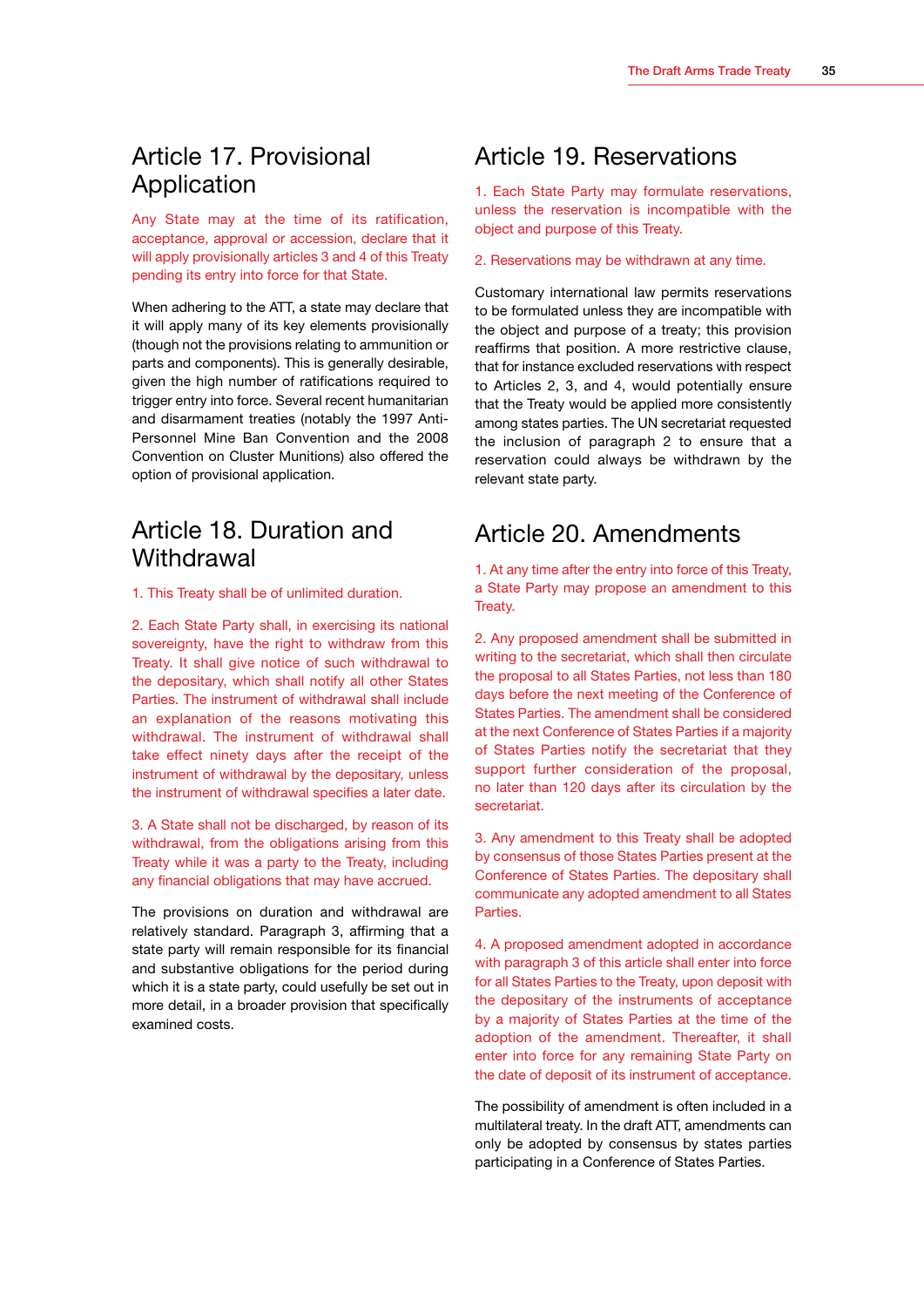## <span id="page-37-0"></span>Article 17. Provisional Application

Any State may at the time of its ratification, acceptance, approval or accession, declare that it will apply provisionally articles 3 and 4 of this Treaty pending its entry into force for that State.

When adhering to the ATT, a state may declare that it will apply many of its key elements provisionally (though not the provisions relating to ammunition or parts and components). This is generally desirable, given the high number of ratifications required to trigger entry into force. Several recent humanitarian and disarmament treaties (notably the 1997 Anti-Personnel Mine Ban Convention and the 2008 Convention on Cluster Munitions) also offered the option of provisional application.

## Article 18. Duration and **Withdrawal**

1. This Treaty shall be of unlimited duration.

2. Each State Party shall, in exercising its national sovereignty, have the right to withdraw from this Treaty. It shall give notice of such withdrawal to the depositary, which shall notify all other States Parties. The instrument of withdrawal shall include an explanation of the reasons motivating this withdrawal. The instrument of withdrawal shall take effect ninety days after the receipt of the instrument of withdrawal by the depositary, unless the instrument of withdrawal specifies a later date.

3. A State shall not be discharged, by reason of its withdrawal, from the obligations arising from this Treaty while it was a party to the Treaty, including any financial obligations that may have accrued.

The provisions on duration and withdrawal are relatively standard. Paragraph 3, affirming that a state party will remain responsible for its financial and substantive obligations for the period during which it is a state party, could usefully be set out in more detail, in a broader provision that specifically examined costs.

### Article 19. Reservations

1. Each State Party may formulate reservations, unless the reservation is incompatible with the object and purpose of this Treaty.

2. Reservations may be withdrawn at any time.

Customary international law permits reservations to be formulated unless they are incompatible with the object and purpose of a treaty; this provision reaffirms that position. A more restrictive clause, that for instance excluded reservations with respect to Articles 2, 3, and 4, would potentially ensure that the Treaty would be applied more consistently among states parties. The UN secretariat requested the inclusion of paragraph 2 to ensure that a reservation could always be withdrawn by the relevant state party.

### Article 20. Amendments

1. At any time after the entry into force of this Treaty, a State Party may propose an amendment to this Treaty.

2. Any proposed amendment shall be submitted in writing to the secretariat, which shall then circulate the proposal to all States Parties, not less than 180 days before the next meeting of the Conference of States Parties. The amendment shall be considered at the next Conference of States Parties if a majority of States Parties notify the secretariat that they support further consideration of the proposal, no later than 120 days after its circulation by the secretariat.

3. Any amendment to this Treaty shall be adopted by consensus of those States Parties present at the Conference of States Parties. The depositary shall communicate any adopted amendment to all States **Parties** 

4. A proposed amendment adopted in accordance with paragraph 3 of this article shall enter into force for all States Parties to the Treaty, upon deposit with the depositary of the instruments of acceptance by a majority of States Parties at the time of the adoption of the amendment. Thereafter, it shall enter into force for any remaining State Party on the date of deposit of its instrument of acceptance.

The possibility of amendment is often included in a multilateral treaty. In the draft ATT, amendments can only be adopted by consensus by states parties participating in a Conference of States Parties.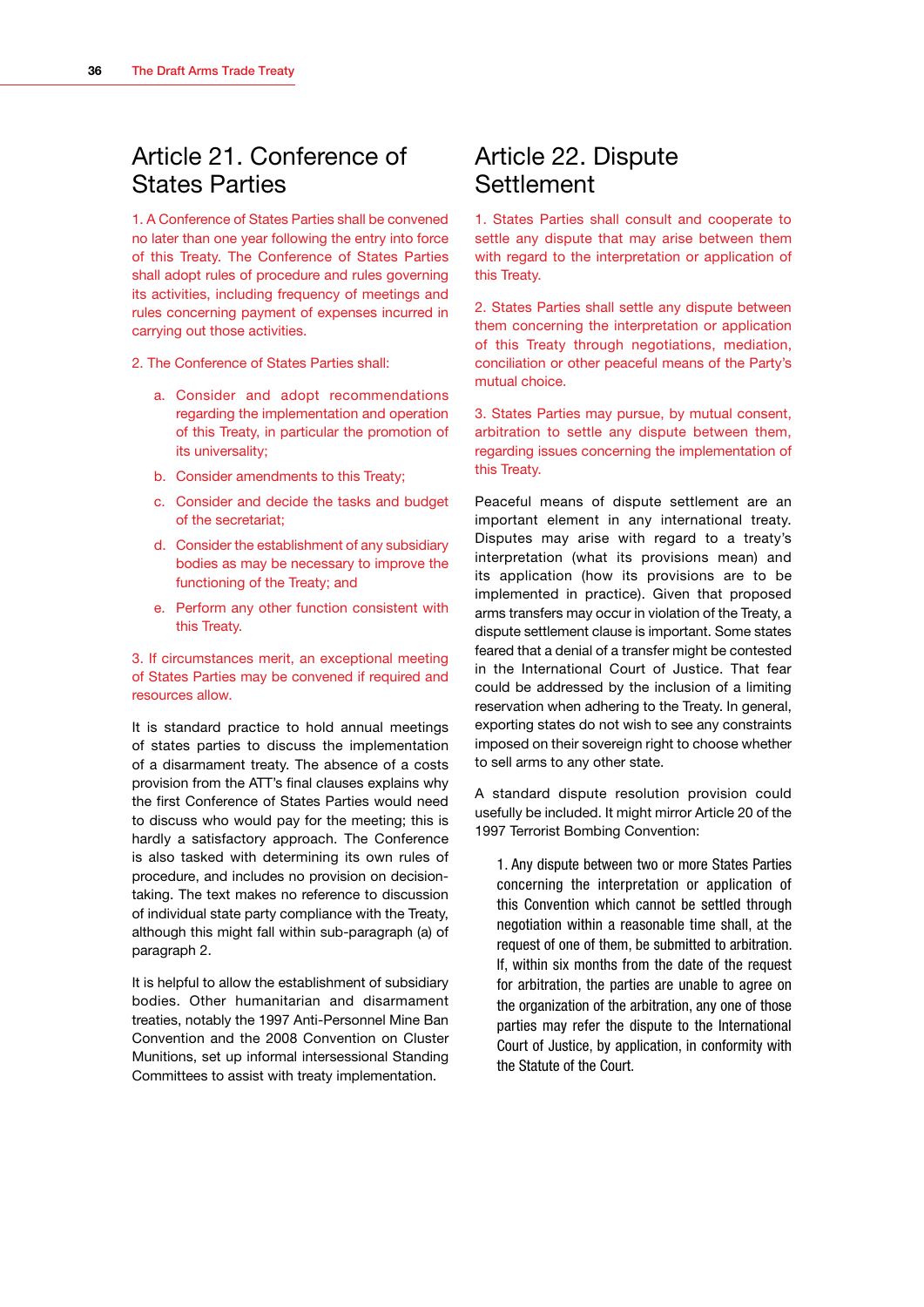## <span id="page-38-0"></span>Article 21. Conference of States Parties

1. A Conference of States Parties shall be convened no later than one year following the entry into force of this Treaty. The Conference of States Parties shall adopt rules of procedure and rules governing its activities, including frequency of meetings and rules concerning payment of expenses incurred in carrying out those activities.

2. The Conference of States Parties shall:

- a. Consider and adopt recommendations regarding the implementation and operation of this Treaty, in particular the promotion of its universality;
- b. Consider amendments to this Treaty;
- c. Consider and decide the tasks and budget of the secretariat;
- d. Consider the establishment of any subsidiary bodies as may be necessary to improve the functioning of the Treaty; and
- e. Perform any other function consistent with this Treaty.

#### 3. If circumstances merit, an exceptional meeting of States Parties may be convened if required and resources allow.

It is standard practice to hold annual meetings of states parties to discuss the implementation of a disarmament treaty. The absence of a costs provision from the ATT's final clauses explains why the first Conference of States Parties would need to discuss who would pay for the meeting; this is hardly a satisfactory approach. The Conference is also tasked with determining its own rules of procedure, and includes no provision on decisiontaking. The text makes no reference to discussion of individual state party compliance with the Treaty, although this might fall within sub-paragraph (a) of paragraph 2.

It is helpful to allow the establishment of subsidiary bodies. Other humanitarian and disarmament treaties, notably the 1997 Anti-Personnel Mine Ban Convention and the 2008 Convention on Cluster Munitions, set up informal intersessional Standing Committees to assist with treaty implementation.

## Article 22. Dispute **Settlement**

1. States Parties shall consult and cooperate to settle any dispute that may arise between them with regard to the interpretation or application of this Treaty.

2. States Parties shall settle any dispute between them concerning the interpretation or application of this Treaty through negotiations, mediation, conciliation or other peaceful means of the Party's mutual choice.

3. States Parties may pursue, by mutual consent, arbitration to settle any dispute between them, regarding issues concerning the implementation of this Treaty.

Peaceful means of dispute settlement are an important element in any international treaty. Disputes may arise with regard to a treaty's interpretation (what its provisions mean) and its application (how its provisions are to be implemented in practice). Given that proposed arms transfers may occur in violation of the Treaty, a dispute settlement clause is important. Some states feared that a denial of a transfer might be contested in the International Court of Justice. That fear could be addressed by the inclusion of a limiting reservation when adhering to the Treaty. In general, exporting states do not wish to see any constraints imposed on their sovereign right to choose whether to sell arms to any other state.

A standard dispute resolution provision could usefully be included. It might mirror Article 20 of the 1997 Terrorist Bombing Convention:

1. Any dispute between two or more States Parties concerning the interpretation or application of this Convention which cannot be settled through negotiation within a reasonable time shall, at the request of one of them, be submitted to arbitration. If, within six months from the date of the request for arbitration, the parties are unable to agree on the organization of the arbitration, any one of those parties may refer the dispute to the International Court of Justice, by application, in conformity with the Statute of the Court.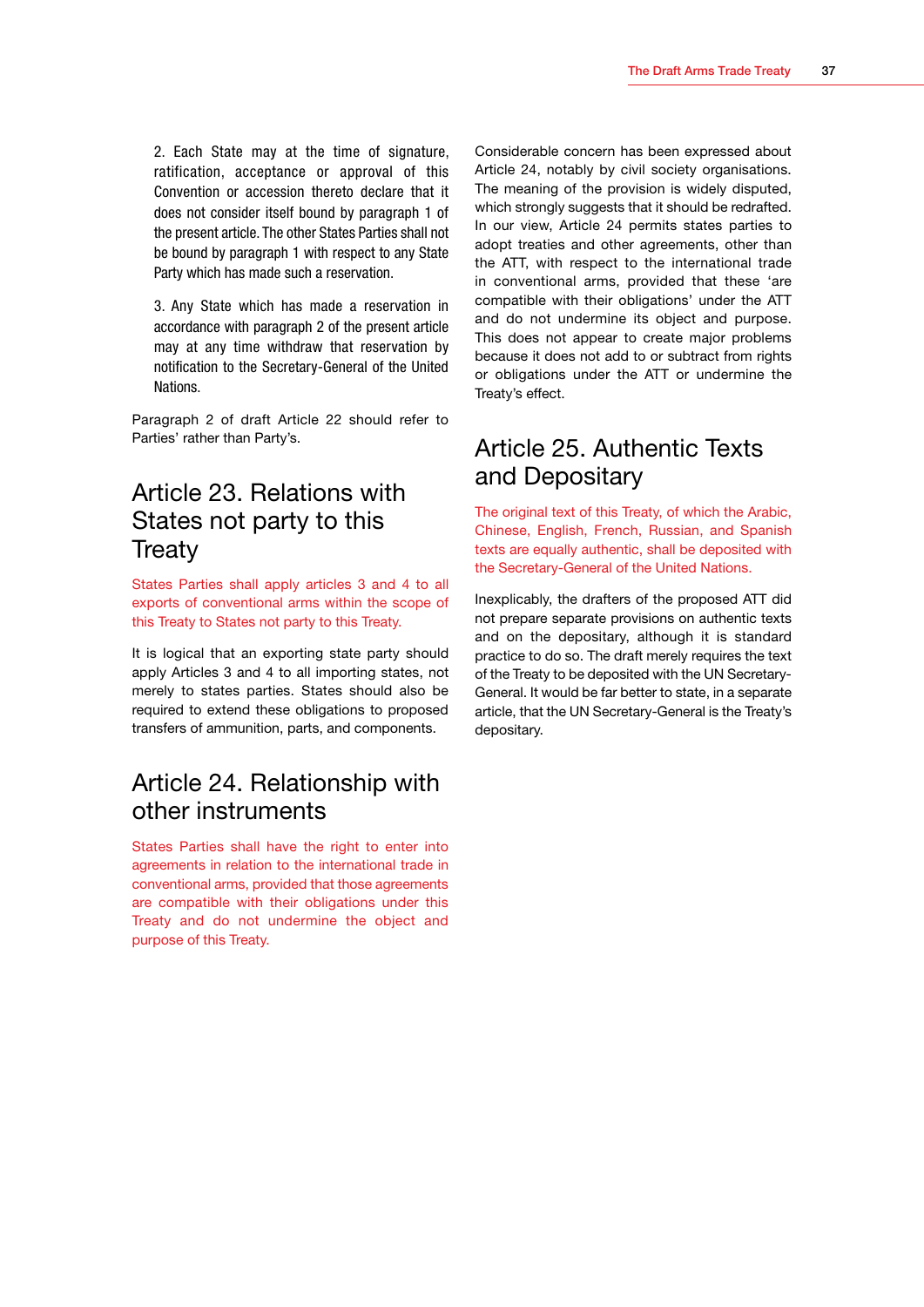<span id="page-39-0"></span>2. Each State may at the time of signature, ratification, acceptance or approval of this Convention or accession thereto declare that it does not consider itself bound by paragraph 1 of the present article. The other States Parties shall not be bound by paragraph 1 with respect to any State Party which has made such a reservation.

3. Any State which has made a reservation in accordance with paragraph 2 of the present article may at any time withdraw that reservation by notification to the Secretary-General of the United Nations.

Paragraph 2 of draft Article 22 should refer to Parties' rather than Party's.

## Article 23. Relations with States not party to this Treaty

States Parties shall apply articles 3 and 4 to all exports of conventional arms within the scope of this Treaty to States not party to this Treaty.

It is logical that an exporting state party should apply Articles 3 and 4 to all importing states, not merely to states parties. States should also be required to extend these obligations to proposed transfers of ammunition, parts, and components.

### Article 24. Relationship with other instruments

States Parties shall have the right to enter into agreements in relation to the international trade in conventional arms, provided that those agreements are compatible with their obligations under this Treaty and do not undermine the object and purpose of this Treaty.

Considerable concern has been expressed about Article 24, notably by civil society organisations. The meaning of the provision is widely disputed, which strongly suggests that it should be redrafted. In our view, Article 24 permits states parties to adopt treaties and other agreements, other than the ATT, with respect to the international trade in conventional arms, provided that these 'are compatible with their obligations' under the ATT and do not undermine its object and purpose. This does not appear to create major problems because it does not add to or subtract from rights or obligations under the ATT or undermine the Treaty's effect.

### Article 25. Authentic Texts and Depositary

The original text of this Treaty, of which the Arabic, Chinese, English, French, Russian, and Spanish texts are equally authentic, shall be deposited with the Secretary-General of the United Nations.

Inexplicably, the drafters of the proposed ATT did not prepare separate provisions on authentic texts and on the depositary, although it is standard practice to do so. The draft merely requires the text of the Treaty to be deposited with the UN Secretary-General. It would be far better to state, in a separate article, that the UN Secretary-General is the Treaty's depositary.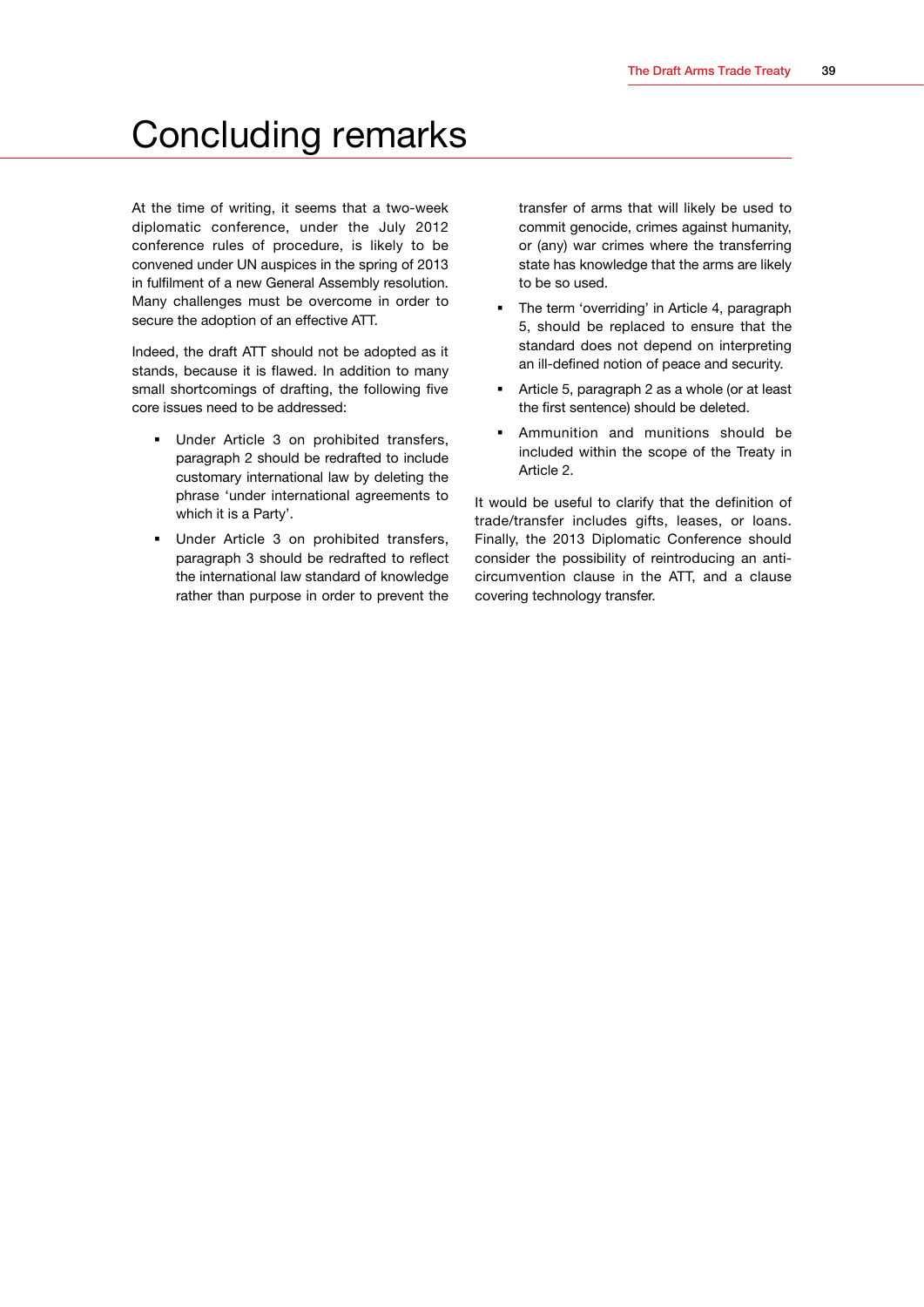## <span id="page-41-0"></span>Concluding remarks

At the time of writing, it seems that a two-week diplomatic conference, under the July 2012 conference rules of procedure, is likely to be convened under UN auspices in the spring of 2013 in fulfilment of a new General Assembly resolution. Many challenges must be overcome in order to secure the adoption of an effective ATT.

Indeed, the draft ATT should not be adopted as it stands, because it is flawed. In addition to many small shortcomings of drafting, the following five core issues need to be addressed:

- Under Article 3 on prohibited transfers, paragraph 2 should be redrafted to include customary international law by deleting the phrase 'under international agreements to which it is a Party'.
- Under Article 3 on prohibited transfers, paragraph 3 should be redrafted to reflect the international law standard of knowledge rather than purpose in order to prevent the

transfer of arms that will likely be used to commit genocide, crimes against humanity, or (any) war crimes where the transferring state has knowledge that the arms are likely to be so used.

- The term 'overriding' in Article 4, paragraph 5, should be replaced to ensure that the standard does not depend on interpreting an ill-defined notion of peace and security.
- Article 5, paragraph 2 as a whole (or at least the first sentence) should be deleted.
- Ammunition and munitions should be included within the scope of the Treaty in Article 2.

It would be useful to clarify that the definition of trade/transfer includes gifts, leases, or loans. Finally, the 2013 Diplomatic Conference should consider the possibility of reintroducing an anticircumvention clause in the ATT, and a clause covering technology transfer.